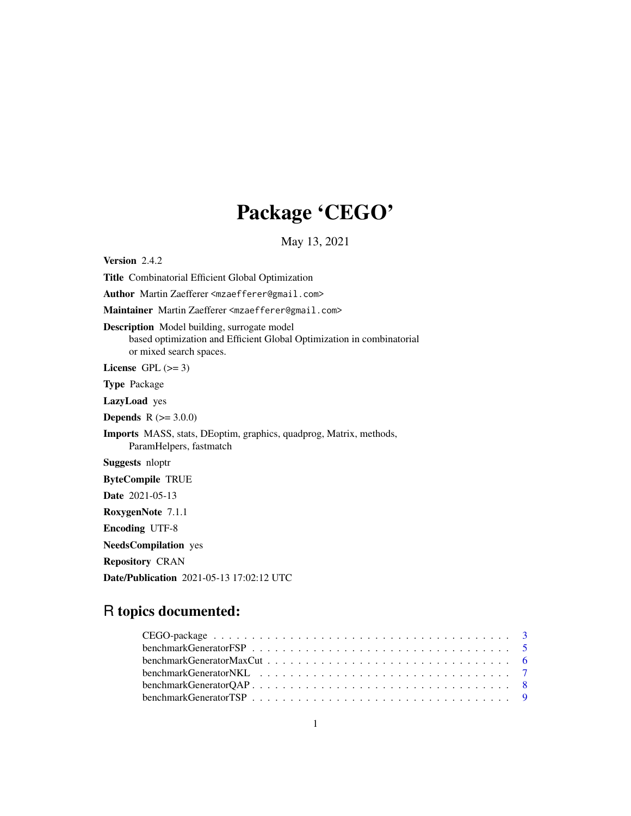# Package 'CEGO'

May 13, 2021

Version 2.4.2 Title Combinatorial Efficient Global Optimization Author Martin Zaefferer <mzaefferer@gmail.com> Maintainer Martin Zaefferer <mzaefferer@gmail.com> Description Model building, surrogate model based optimization and Efficient Global Optimization in combinatorial or mixed search spaces. License GPL  $(>= 3)$ Type Package LazyLoad yes **Depends** R  $(>= 3.0.0)$ Imports MASS, stats, DEoptim, graphics, quadprog, Matrix, methods, ParamHelpers, fastmatch Suggests nloptr ByteCompile TRUE Date 2021-05-13 RoxygenNote 7.1.1 Encoding UTF-8 NeedsCompilation yes Repository CRAN Date/Publication 2021-05-13 17:02:12 UTC

# R topics documented:

| benchmarkGeneratorFSP $\ldots \ldots \ldots \ldots \ldots \ldots \ldots \ldots \ldots \ldots \ldots \ldots 5$ |  |
|---------------------------------------------------------------------------------------------------------------|--|
|                                                                                                               |  |
|                                                                                                               |  |
|                                                                                                               |  |
|                                                                                                               |  |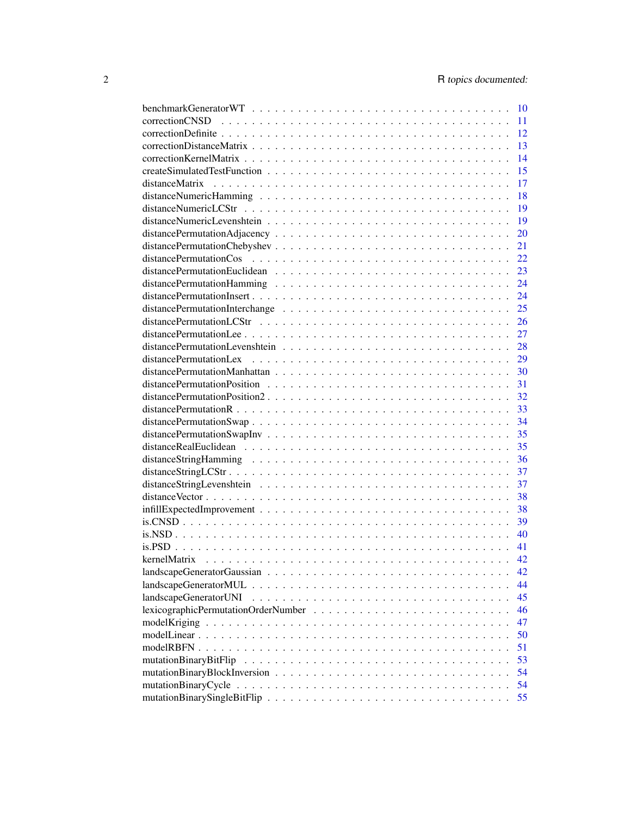|                       | 10 |
|-----------------------|----|
| correctionCNSD        | 11 |
|                       | 12 |
|                       | 13 |
|                       | 14 |
|                       | 15 |
|                       | 17 |
|                       | 18 |
|                       | 19 |
|                       | 19 |
|                       | 20 |
|                       | 21 |
|                       | 22 |
|                       | 23 |
|                       | 24 |
|                       | 24 |
|                       | 25 |
|                       | 26 |
|                       | 27 |
|                       | 28 |
|                       | 29 |
|                       | 30 |
|                       | 31 |
|                       | 32 |
|                       | 33 |
|                       | 34 |
|                       | 35 |
|                       | 35 |
|                       | 36 |
|                       | 37 |
|                       | 37 |
|                       | 38 |
|                       | 38 |
|                       | 39 |
|                       | 40 |
|                       | 41 |
|                       | 42 |
|                       | 42 |
|                       | 44 |
| landscapeGeneratorUNI | 45 |
|                       | 46 |
|                       | 47 |
|                       | 50 |
|                       |    |
|                       | 51 |
|                       | 53 |
|                       | 54 |
|                       | 54 |
|                       | 55 |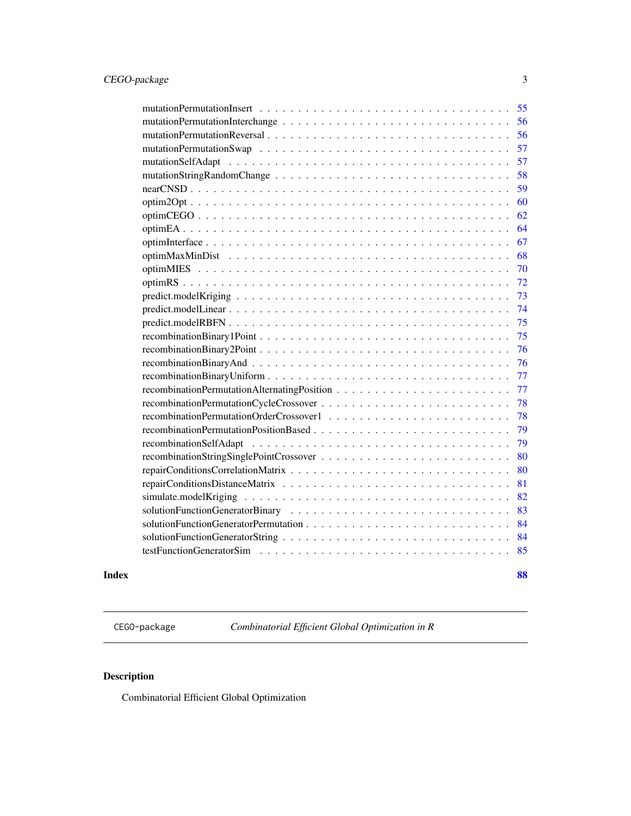<span id="page-2-0"></span>

| Index |                                          | 88 |
|-------|------------------------------------------|----|
|       |                                          | 85 |
|       |                                          | 84 |
|       |                                          | 84 |
|       |                                          | 83 |
|       |                                          | 82 |
|       |                                          | 81 |
|       |                                          | 80 |
|       |                                          | 80 |
|       |                                          | 79 |
|       |                                          | 79 |
|       |                                          | 78 |
|       |                                          | 78 |
|       |                                          | 77 |
|       |                                          | 77 |
|       |                                          | 76 |
|       |                                          | 76 |
|       |                                          | 75 |
|       |                                          | 75 |
|       |                                          | 74 |
|       | $predict.modelKriging                  $ | 73 |
|       |                                          | 72 |
|       |                                          | 70 |
|       |                                          | 68 |
|       |                                          | 67 |
|       |                                          | 64 |
|       |                                          | 62 |
|       |                                          | 60 |
|       |                                          | 59 |
|       |                                          | 58 |
|       |                                          | 57 |
|       |                                          | 57 |
|       |                                          | 56 |
|       |                                          | 56 |
|       |                                          | 55 |

CEGO-package *Combinatorial Efficient Global Optimization in R*

# Description

Combinatorial Efficient Global Optimization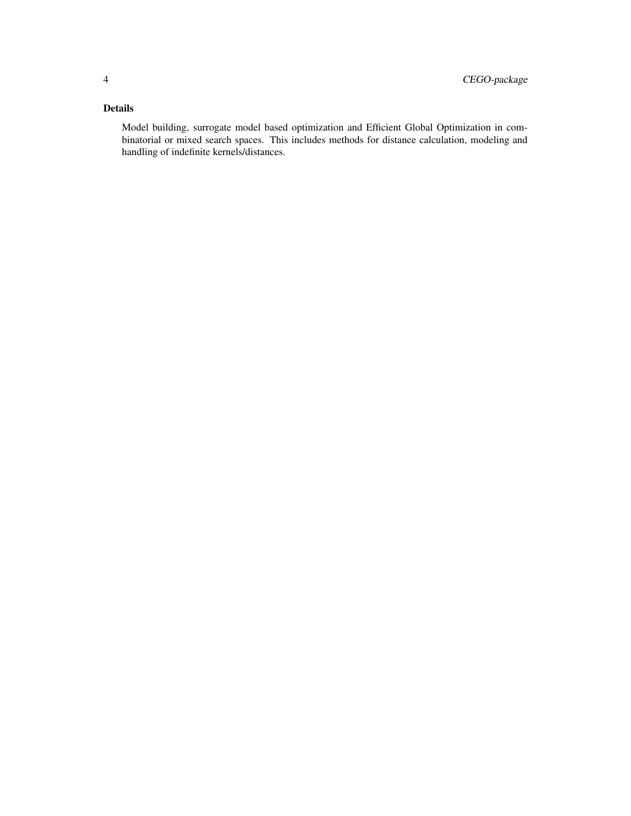# Details

Model building, surrogate model based optimization and Efficient Global Optimization in combinatorial or mixed search spaces. This includes methods for distance calculation, modeling and handling of indefinite kernels/distances.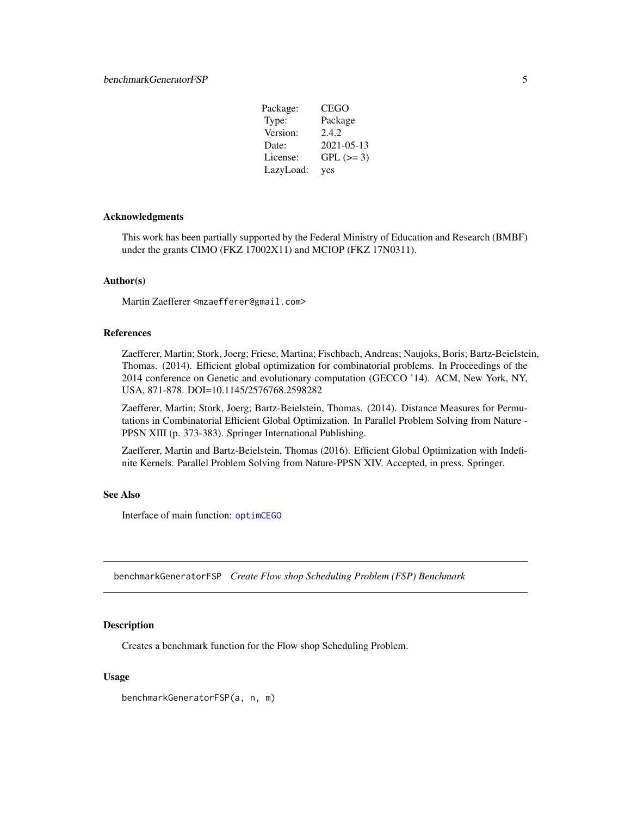| Package:  | CEGO       |
|-----------|------------|
| Type:     | Package    |
| Version:  | 2.4.2      |
| Date:     | 2021-05-13 |
| License:  | $GPL (=3)$ |
| LazyLoad: | yes        |

#### <span id="page-4-0"></span>Acknowledgments

This work has been partially supported by the Federal Ministry of Education and Research (BMBF) under the grants CIMO (FKZ 17002X11) and MCIOP (FKZ 17N0311).

#### Author(s)

Martin Zaefferer <mzaefferer@gmail.com>

#### References

Zaefferer, Martin; Stork, Joerg; Friese, Martina; Fischbach, Andreas; Naujoks, Boris; Bartz-Beielstein, Thomas. (2014). Efficient global optimization for combinatorial problems. In Proceedings of the 2014 conference on Genetic and evolutionary computation (GECCO '14). ACM, New York, NY, USA, 871-878. DOI=10.1145/2576768.2598282

Zaefferer, Martin; Stork, Joerg; Bartz-Beielstein, Thomas. (2014). Distance Measures for Permutations in Combinatorial Efficient Global Optimization. In Parallel Problem Solving from Nature - PPSN XIII (p. 373-383). Springer International Publishing.

Zaefferer, Martin and Bartz-Beielstein, Thomas (2016). Efficient Global Optimization with Indefinite Kernels. Parallel Problem Solving from Nature-PPSN XIV. Accepted, in press. Springer.

#### See Also

Interface of main function: [optimCEGO](#page-61-1)

<span id="page-4-1"></span>benchmarkGeneratorFSP *Create Flow shop Scheduling Problem (FSP) Benchmark*

#### **Description**

Creates a benchmark function for the Flow shop Scheduling Problem.

#### Usage

benchmarkGeneratorFSP(a, n, m)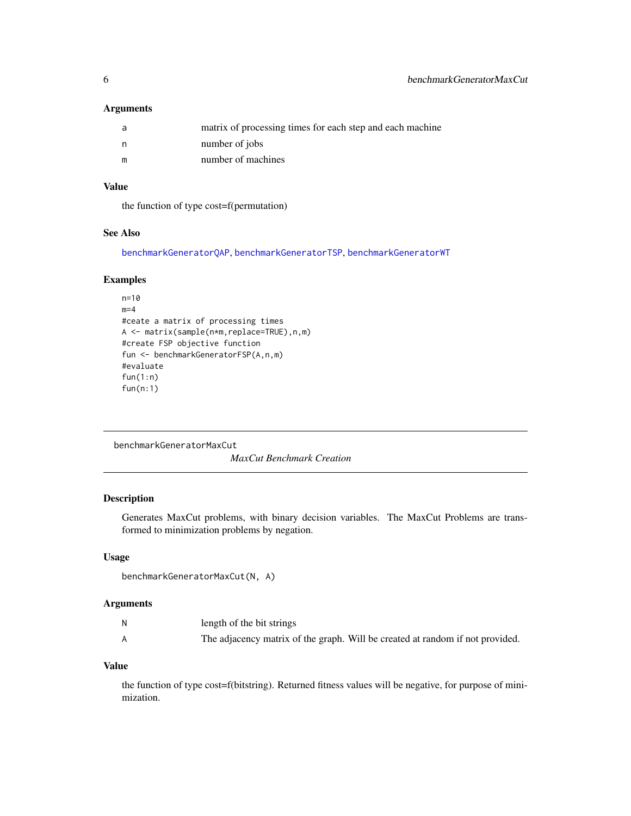# <span id="page-5-0"></span>Arguments

|   | matrix of processing times for each step and each machine |
|---|-----------------------------------------------------------|
|   | number of jobs                                            |
| m | number of machines                                        |

# Value

the function of type cost=f(permutation)

# See Also

[benchmarkGeneratorQAP](#page-7-1), [benchmarkGeneratorTSP](#page-8-1), [benchmarkGeneratorWT](#page-9-1)

# Examples

```
n=10
m=4#ceate a matrix of processing times
A <- matrix(sample(n*m,replace=TRUE),n,m)
#create FSP objective function
fun <- benchmarkGeneratorFSP(A,n,m)
#evaluate
fun(1:n)
fun(n:1)
```

```
benchmarkGeneratorMaxCut
```
*MaxCut Benchmark Creation*

# Description

Generates MaxCut problems, with binary decision variables. The MaxCut Problems are transformed to minimization problems by negation.

#### Usage

```
benchmarkGeneratorMaxCut(N, A)
```
#### Arguments

| N | length of the bit strings |                                                                               |
|---|---------------------------|-------------------------------------------------------------------------------|
|   |                           | The adjacency matrix of the graph. Will be created at random if not provided. |

# Value

the function of type cost=f(bitstring). Returned fitness values will be negative, for purpose of minimization.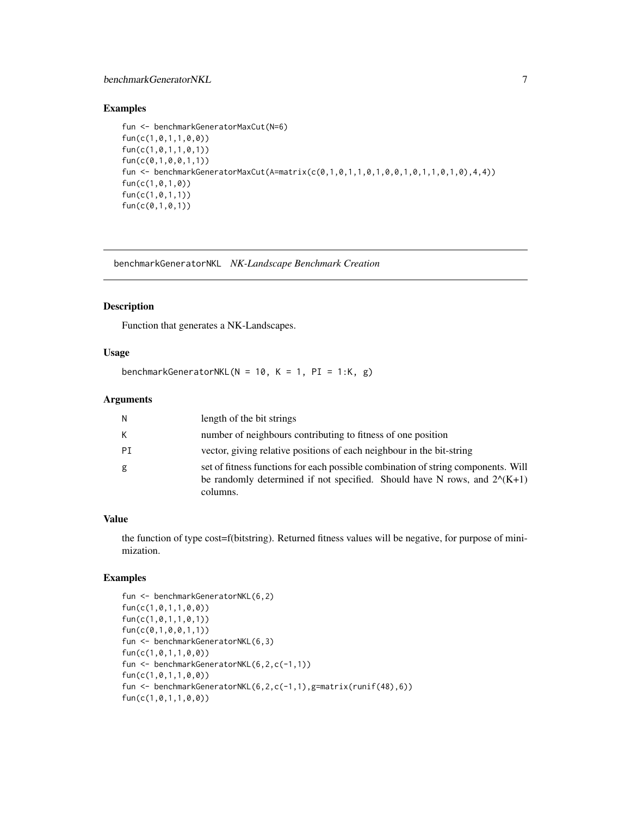# <span id="page-6-0"></span>benchmarkGeneratorNKL 7

# Examples

```
fun <- benchmarkGeneratorMaxCut(N=6)
fun(c(1,0,1,1,0,0))
fun(c(1,0,1,1,0,1))
fun(c(0,1,0,0,1,1))
fun <- benchmarkGeneratorMaxCut(A=matrix(c(0,1,0,1,1,0,1,0,0,1,0,1,1,0,1,0),4,4))
fun(c(1,0,1,0))
fun(c(1,0,1,1))
fun(c(0,1,0,1))
```
benchmarkGeneratorNKL *NK-Landscape Benchmark Creation*

#### Description

Function that generates a NK-Landscapes.

#### Usage

benchmarkGeneratorNKL( $N = 10$ ,  $K = 1$ ,  $PI = 1:K$ , g)

#### Arguments

| N  | length of the bit strings                                                                                                                                                           |
|----|-------------------------------------------------------------------------------------------------------------------------------------------------------------------------------------|
| K. | number of neighbours contributing to fitness of one position                                                                                                                        |
| PI | vector, giving relative positions of each neighbour in the bit-string                                                                                                               |
| g  | set of fitness functions for each possible combination of string components. Will<br>be randomly determined if not specified. Should have N rows, and $2^{\wedge}(K+1)$<br>columns. |

#### Value

the function of type cost=f(bitstring). Returned fitness values will be negative, for purpose of minimization.

```
fun <- benchmarkGeneratorNKL(6,2)
fun(c(1,0,1,1,0,0))
fun(c(1,0,1,1,0,1))
fun(c(0,1,0,0,1,1))
fun <- benchmarkGeneratorNKL(6,3)
fun(c(1,0,1,1,0,0))
fun <- benchmarkGeneratorNKL(6,2,c(-1,1))
fun(c(1,0,1,1,0,0))
fun <- benchmarkGeneratorNKL(6,2,c(-1,1),g=matrix(runif(48),6))
fun(c(1,0,1,1,0,0))
```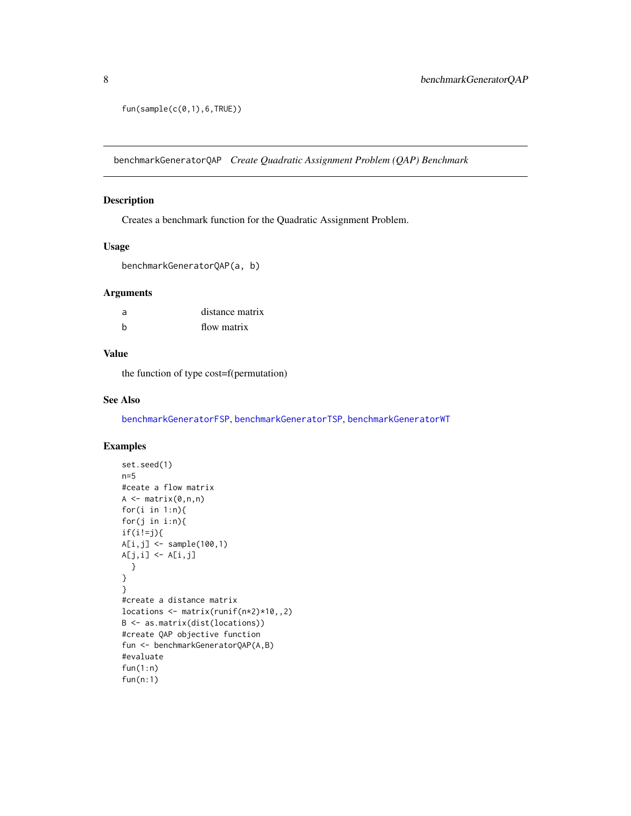```
fun(sample(c(<math>\emptyset, 1)</math>), 6, TRUE))
```
<span id="page-7-1"></span>benchmarkGeneratorQAP *Create Quadratic Assignment Problem (QAP) Benchmark*

#### Description

Creates a benchmark function for the Quadratic Assignment Problem.

# Usage

benchmarkGeneratorQAP(a, b)

#### Arguments

| a | distance matrix |
|---|-----------------|
| h | flow matrix     |

# Value

the function of type cost=f(permutation)

#### See Also

[benchmarkGeneratorFSP](#page-4-1), [benchmarkGeneratorTSP](#page-8-1), [benchmarkGeneratorWT](#page-9-1)

```
set.seed(1)
n=5
#ceate a flow matrix
A \leftarrow matrix(0, n, n)for(i in 1:n){
for(j in i:n){
if(i!=j){
A[i,j] <- sample(100,1)
A[j,i] \leftarrow A[i,j]}
}
}
#create a distance matrix
locations <- matrix(runif(n*2)*10,,2)
B <- as.matrix(dist(locations))
#create QAP objective function
fun <- benchmarkGeneratorQAP(A,B)
#evaluate
fun(1:n)
fun(n:1)
```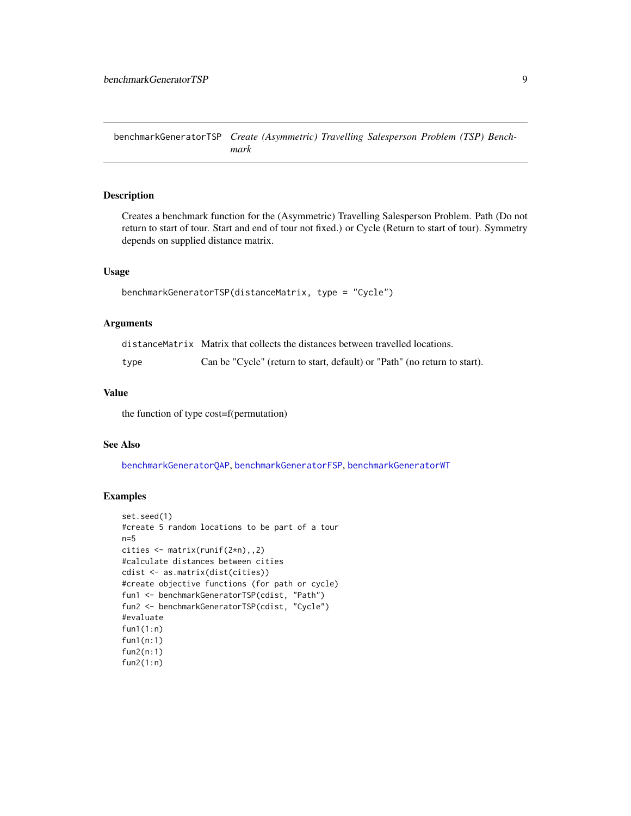<span id="page-8-1"></span><span id="page-8-0"></span>benchmarkGeneratorTSP *Create (Asymmetric) Travelling Salesperson Problem (TSP) Benchmark*

#### Description

Creates a benchmark function for the (Asymmetric) Travelling Salesperson Problem. Path (Do not return to start of tour. Start and end of tour not fixed.) or Cycle (Return to start of tour). Symmetry depends on supplied distance matrix.

# Usage

```
benchmarkGeneratorTSP(distanceMatrix, type = "Cycle")
```
#### Arguments

|      | distanceMatrix Matrix that collects the distances between travelled locations. |
|------|--------------------------------------------------------------------------------|
| type | Can be "Cycle" (return to start, default) or "Path" (no return to start).      |

# Value

the function of type cost=f(permutation)

#### See Also

[benchmarkGeneratorQAP](#page-7-1), [benchmarkGeneratorFSP](#page-4-1), [benchmarkGeneratorWT](#page-9-1)

```
set.seed(1)
#create 5 random locations to be part of a tour
n=5
cities <- matrix(runif(2*n),,2)
#calculate distances between cities
cdist <- as.matrix(dist(cities))
#create objective functions (for path or cycle)
fun1 <- benchmarkGeneratorTSP(cdist, "Path")
fun2 <- benchmarkGeneratorTSP(cdist, "Cycle")
#evaluate
fun1(1:n)
fun1(n:1)
fun2(n:1)
fun2(1:n)
```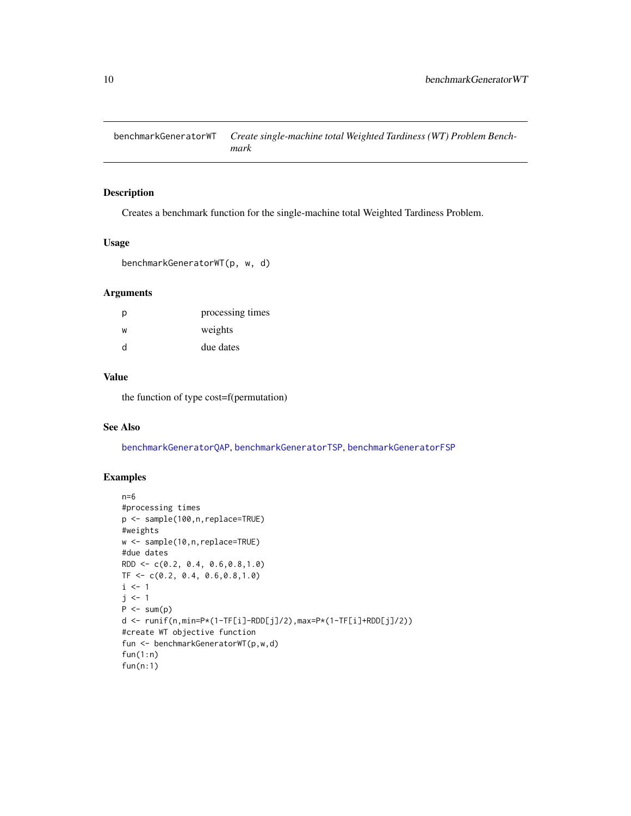<span id="page-9-1"></span><span id="page-9-0"></span>benchmarkGeneratorWT *Create single-machine total Weighted Tardiness (WT) Problem Benchmark*

# Description

Creates a benchmark function for the single-machine total Weighted Tardiness Problem.

# Usage

```
benchmarkGeneratorWT(p, w, d)
```
#### Arguments

| D | processing times |
|---|------------------|
| W | weights          |
| d | due dates        |

# Value

the function of type cost=f(permutation)

#### See Also

[benchmarkGeneratorQAP](#page-7-1), [benchmarkGeneratorTSP](#page-8-1), [benchmarkGeneratorFSP](#page-4-1)

```
n=6
#processing times
p <- sample(100,n,replace=TRUE)
#weights
w <- sample(10,n,replace=TRUE)
#due dates
RDD <- c(0.2, 0.4, 0.6,0.8,1.0)
TF < -c(0.2, 0.4, 0.6, 0.8, 1.0)i \leq 1j \leq -1P \leftarrow sum(p)d <- runif(n,min=P*(1-TF[i]-RDD[j]/2),max=P*(1-TF[i]+RDD[j]/2))
#create WT objective function
fun <- benchmarkGeneratorWT(p,w,d)
fun(1:n)
fun(n:1)
```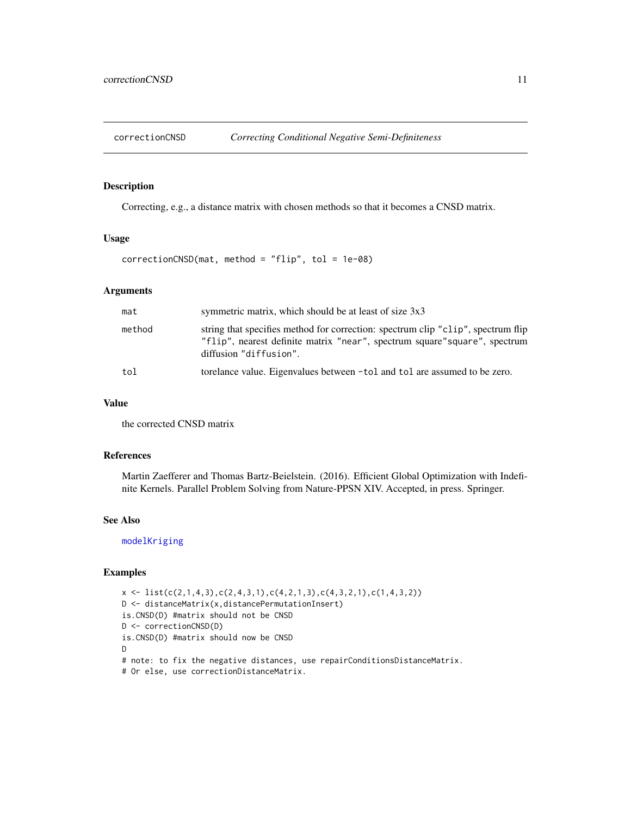<span id="page-10-1"></span><span id="page-10-0"></span>

# Description

Correcting, e.g., a distance matrix with chosen methods so that it becomes a CNSD matrix.

#### Usage

 $correctionCNSD(mat, method = "flip", tol = 1e-08)$ 

# Arguments

| mat    | symmetric matrix, which should be at least of size 3x3                                                                                                                                   |
|--------|------------------------------------------------------------------------------------------------------------------------------------------------------------------------------------------|
| method | string that specifies method for correction: spectrum clip "clip", spectrum flip<br>"flip", nearest definite matrix "near", spectrum square" square", spectrum<br>diffusion "diffusion". |
| tol    | torelance value. Eigenvalues between -tol and tol are assumed to be zero.                                                                                                                |

# Value

the corrected CNSD matrix

#### References

Martin Zaefferer and Thomas Bartz-Beielstein. (2016). Efficient Global Optimization with Indefinite Kernels. Parallel Problem Solving from Nature-PPSN XIV. Accepted, in press. Springer.

# See Also

[modelKriging](#page-46-1)

```
x \leftarrow \text{list}(c(2,1,4,3),c(2,4,3,1),c(4,2,1,3),c(4,3,2,1),c(1,4,3,2))D <- distanceMatrix(x,distancePermutationInsert)
is.CNSD(D) #matrix should not be CNSD
D <- correctionCNSD(D)
is.CNSD(D) #matrix should now be CNSD
D
# note: to fix the negative distances, use repairConditionsDistanceMatrix.
# Or else, use correctionDistanceMatrix.
```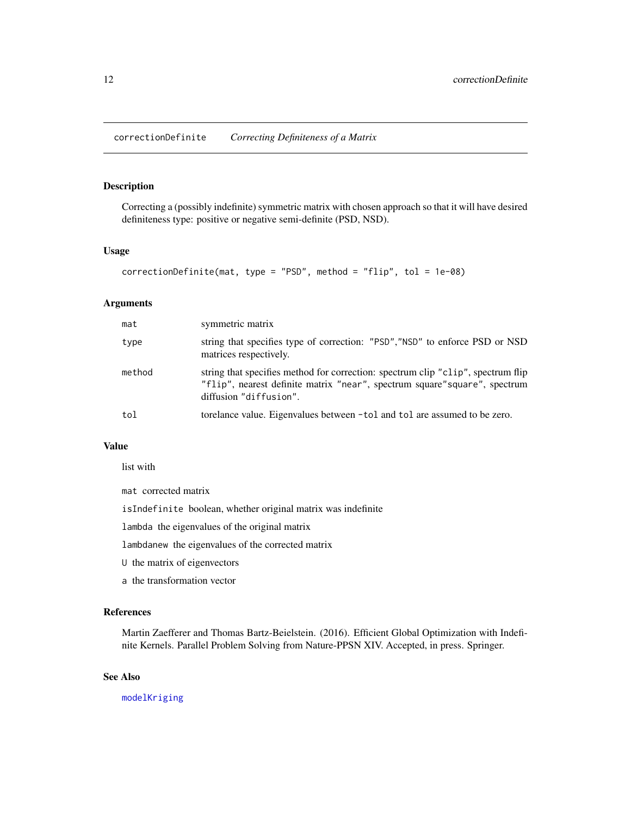<span id="page-11-1"></span><span id="page-11-0"></span>correctionDefinite *Correcting Definiteness of a Matrix*

# Description

Correcting a (possibly indefinite) symmetric matrix with chosen approach so that it will have desired definiteness type: positive or negative semi-definite (PSD, NSD).

# Usage

```
correctionDefinite(mat, type = "PSD", method = "flip", tol = 1e-08)
```
#### Arguments

| mat    | symmetric matrix                                                                                                                                                                         |
|--------|------------------------------------------------------------------------------------------------------------------------------------------------------------------------------------------|
| type   | string that specifies type of correction: "PSD","NSD" to enforce PSD or NSD<br>matrices respectively.                                                                                    |
| method | string that specifies method for correction: spectrum clip "clip", spectrum flip<br>"flip", nearest definite matrix "near", spectrum square" square", spectrum<br>diffusion "diffusion". |
| tol    | torelance value. Eigenvalues between -tol and tol are assumed to be zero.                                                                                                                |

#### Value

list with

mat corrected matrix

isIndefinite boolean, whether original matrix was indefinite

lambda the eigenvalues of the original matrix

lambdanew the eigenvalues of the corrected matrix

- U the matrix of eigenvectors
- a the transformation vector

#### References

Martin Zaefferer and Thomas Bartz-Beielstein. (2016). Efficient Global Optimization with Indefinite Kernels. Parallel Problem Solving from Nature-PPSN XIV. Accepted, in press. Springer.

# See Also

[modelKriging](#page-46-1)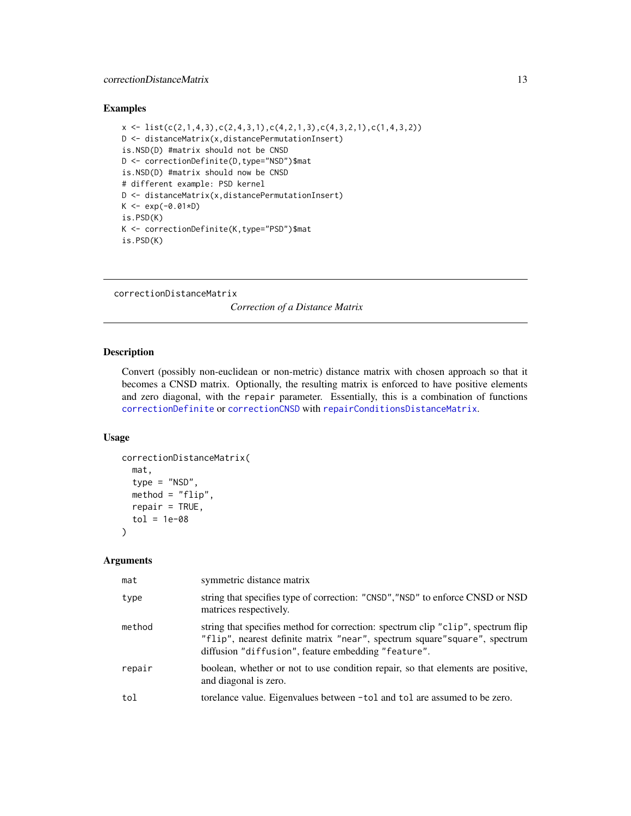# <span id="page-12-0"></span>correctionDistanceMatrix 13

# Examples

```
x \leftarrow \text{list}(c(2,1,4,3), c(2,4,3,1), c(4,2,1,3), c(4,3,2,1), c(1,4,3,2))D <- distanceMatrix(x,distancePermutationInsert)
is.NSD(D) #matrix should not be CNSD
D <- correctionDefinite(D,type="NSD")$mat
is.NSD(D) #matrix should now be CNSD
# different example: PSD kernel
D <- distanceMatrix(x,distancePermutationInsert)
K \le - \exp(-0.01*D)is.PSD(K)
K <- correctionDefinite(K,type="PSD")$mat
is.PSD(K)
```
correctionDistanceMatrix *Correction of a Distance Matrix*

# Description

Convert (possibly non-euclidean or non-metric) distance matrix with chosen approach so that it becomes a CNSD matrix. Optionally, the resulting matrix is enforced to have positive elements and zero diagonal, with the repair parameter. Essentially, this is a combination of functions [correctionDefinite](#page-11-1) or [correctionCNSD](#page-10-1) with [repairConditionsDistanceMatrix](#page-80-1).

#### Usage

```
correctionDistanceMatrix(
 mat,
  type = "NSD",
 method = "flip",repair = TRUE,tol = 1e-08)
```

| mat    | symmetric distance matrix                                                                                                                                                                                             |
|--------|-----------------------------------------------------------------------------------------------------------------------------------------------------------------------------------------------------------------------|
| type   | string that specifies type of correction: "CNSD", "NSD" to enforce CNSD or NSD<br>matrices respectively.                                                                                                              |
| method | string that specifies method for correction: spectrum clip "clip", spectrum flip<br>"flip", nearest definite matrix "near", spectrum square" square", spectrum<br>diffusion "diffusion", feature embedding "feature". |
| repair | boolean, whether or not to use condition repair, so that elements are positive,<br>and diagonal is zero.                                                                                                              |
| tol    | torelance value. Eigenvalues between -tol and tol are assumed to be zero.                                                                                                                                             |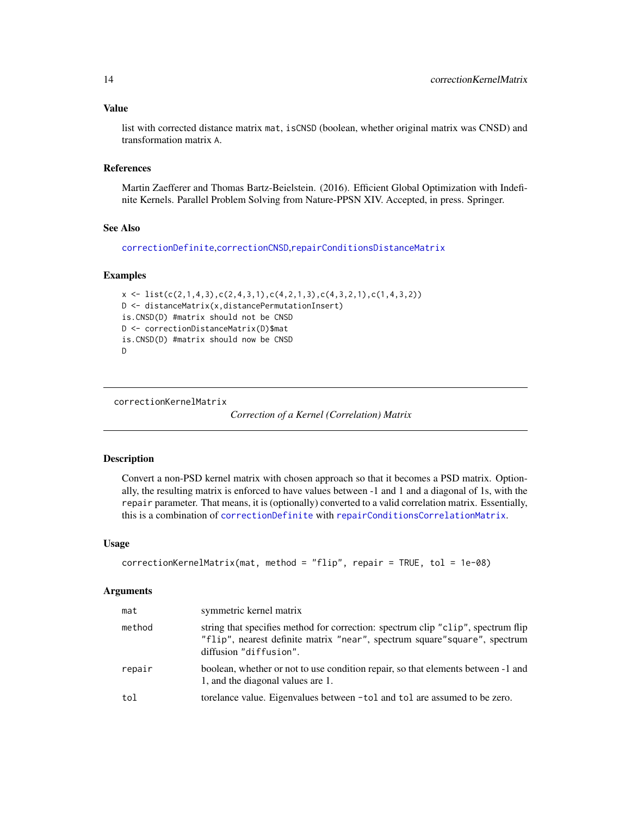#### <span id="page-13-0"></span>Value

list with corrected distance matrix mat, isCNSD (boolean, whether original matrix was CNSD) and transformation matrix A.

#### References

Martin Zaefferer and Thomas Bartz-Beielstein. (2016). Efficient Global Optimization with Indefinite Kernels. Parallel Problem Solving from Nature-PPSN XIV. Accepted, in press. Springer.

#### See Also

[correctionDefinite](#page-11-1),[correctionCNSD](#page-10-1),[repairConditionsDistanceMatrix](#page-80-1)

#### Examples

```
x \leftarrow \text{list}(c(2,1,4,3),c(2,4,3,1),c(4,2,1,3),c(4,3,2,1),c(1,4,3,2))D <- distanceMatrix(x,distancePermutationInsert)
is.CNSD(D) #matrix should not be CNSD
D <- correctionDistanceMatrix(D)$mat
is.CNSD(D) #matrix should now be CNSD
D
```
correctionKernelMatrix

*Correction of a Kernel (Correlation) Matrix*

#### Description

Convert a non-PSD kernel matrix with chosen approach so that it becomes a PSD matrix. Optionally, the resulting matrix is enforced to have values between -1 and 1 and a diagonal of 1s, with the repair parameter. That means, it is (optionally) converted to a valid correlation matrix. Essentially, this is a combination of [correctionDefinite](#page-11-1) with [repairConditionsCorrelationMatrix](#page-79-1).

#### Usage

```
correctionKernelMatrix(mat, method = "flip", repair = TRUE, tol = 1e-08)
```

| mat    | symmetric kernel matrix                                                                                                                                                                  |
|--------|------------------------------------------------------------------------------------------------------------------------------------------------------------------------------------------|
| method | string that specifies method for correction: spectrum clip "clip", spectrum flip<br>"flip", nearest definite matrix "near", spectrum square" square", spectrum<br>diffusion "diffusion". |
| repair | boolean, whether or not to use condition repair, so that elements between -1 and<br>1, and the diagonal values are 1.                                                                    |
| tol    | torelance value. Eigenvalues between -tol and tol are assumed to be zero.                                                                                                                |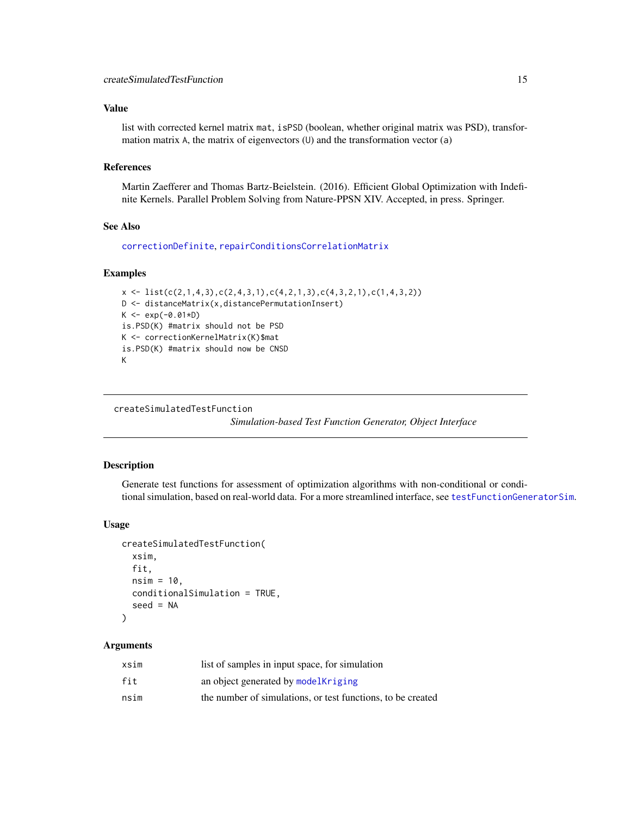# <span id="page-14-0"></span>Value

list with corrected kernel matrix mat, isPSD (boolean, whether original matrix was PSD), transformation matrix A, the matrix of eigenvectors (U) and the transformation vector (a)

#### References

Martin Zaefferer and Thomas Bartz-Beielstein. (2016). Efficient Global Optimization with Indefinite Kernels. Parallel Problem Solving from Nature-PPSN XIV. Accepted, in press. Springer.

# See Also

[correctionDefinite](#page-11-1), [repairConditionsCorrelationMatrix](#page-79-1)

#### Examples

```
x \leftarrow \text{list}(c(2,1,4,3),c(2,4,3,1),c(4,2,1,3),c(4,3,2,1),c(1,4,3,2))D <- distanceMatrix(x,distancePermutationInsert)
K < -exp(-0.01*D)is.PSD(K) #matrix should not be PSD
K <- correctionKernelMatrix(K)$mat
is.PSD(K) #matrix should now be CNSD
K
```
createSimulatedTestFunction

*Simulation-based Test Function Generator, Object Interface*

# Description

Generate test functions for assessment of optimization algorithms with non-conditional or conditional simulation, based on real-world data. For a more streamlined interface, see [testFunctionGeneratorSim](#page-84-1).

# Usage

```
createSimulatedTestFunction(
  xsim,
  fit,
  nsim = 10,
  conditionalSimulation = TRUE,
  seed = NA
)
```

| xsim | list of samples in input space, for simulation              |
|------|-------------------------------------------------------------|
| fit  | an object generated by model Kriging                        |
| nsim | the number of simulations, or test functions, to be created |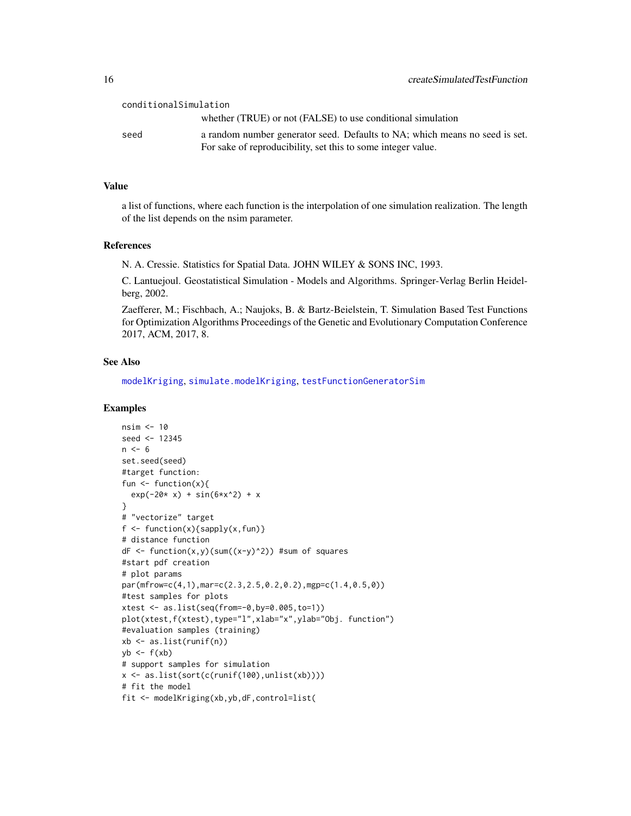#### conditionalSimulation

whether (TRUE) or not (FALSE) to use conditional simulation seed a random number generator seed. Defaults to NA; which means no seed is set. For sake of reproducibility, set this to some integer value.

#### Value

a list of functions, where each function is the interpolation of one simulation realization. The length of the list depends on the nsim parameter.

# References

N. A. Cressie. Statistics for Spatial Data. JOHN WILEY & SONS INC, 1993.

C. Lantuejoul. Geostatistical Simulation - Models and Algorithms. Springer-Verlag Berlin Heidelberg, 2002.

Zaefferer, M.; Fischbach, A.; Naujoks, B. & Bartz-Beielstein, T. Simulation Based Test Functions for Optimization Algorithms Proceedings of the Genetic and Evolutionary Computation Conference 2017, ACM, 2017, 8.

# See Also

[modelKriging](#page-46-1), [simulate.modelKriging](#page-81-1), [testFunctionGeneratorSim](#page-84-1)

```
nsim <- 10
seed <- 12345
n < -6set.seed(seed)
#target function:
fun <- function(x){
  exp(-20* x) + sin(6*x^2) + x}
# "vectorize" target
f \leftarrow function(x){sapply(x,fun)}
# distance function
dF \leftarrow function(x,y)(sum((x-y)^2))^2 #sum of squares
#start pdf creation
# plot params
par(mfrow=c(4,1),mar=c(2.3,2.5,0.2,0.2),mgp=c(1.4,0.5,0))
#test samples for plots
xtest <- as.list(seq(from=-0,by=0.005,to=1))
plot(xtest,f(xtest),type="l",xlab="x",ylab="Obj. function")
#evaluation samples (training)
xb \leftarrow as.list(runif(n))yb \leftarrow f(xb)# support samples for simulation
x <- as.list(sort(c(runif(100),unlist(xb))))
# fit the model
fit <- modelKriging(xb,yb,dF,control=list(
```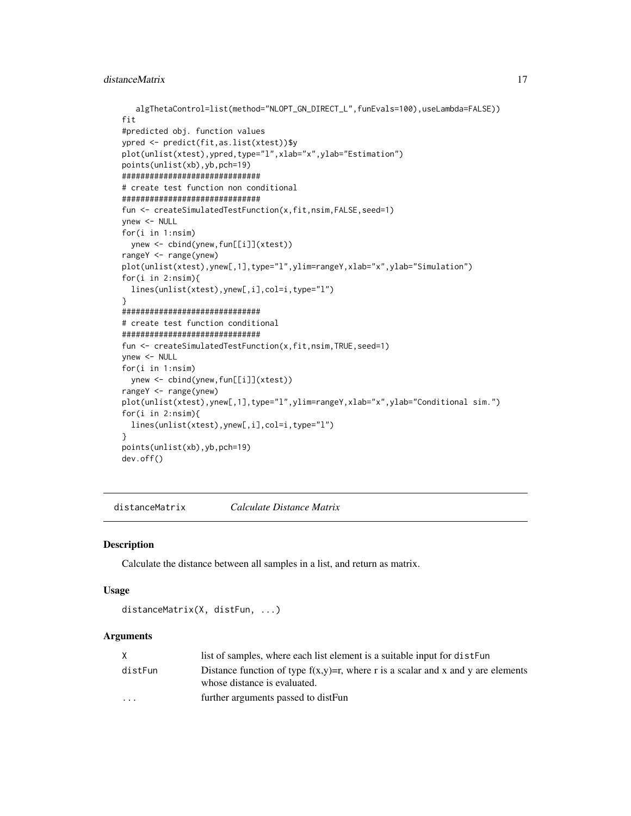```
algThetaControl=list(method="NLOPT_GN_DIRECT_L",funEvals=100),useLambda=FALSE))
fit
#predicted obj. function values
ypred <- predict(fit,as.list(xtest))$y
plot(unlist(xtest),ypred,type="l",xlab="x",ylab="Estimation")
points(unlist(xb),yb,pch=19)
##############################
# create test function non conditional
##############################
fun <- createSimulatedTestFunction(x,fit,nsim,FALSE,seed=1)
ynew <- NULL
for(i in 1:nsim)
  ynew <- cbind(ynew,fun[[i]](xtest))
rangeY <- range(ynew)
plot(unlist(xtest),ynew[,1],type="l",ylim=rangeY,xlab="x",ylab="Simulation")
for(i in 2:nsim){
  lines(unlist(xtest),ynew[,i],col=i,type="l")
}
##############################
# create test function conditional
##############################
fun <- createSimulatedTestFunction(x,fit,nsim,TRUE,seed=1)
ynew <- NULL
for(i in 1:nsim)
 ynew <- cbind(ynew,fun[[i]](xtest))
rangeY <- range(ynew)
plot(unlist(xtest),ynew[,1],type="l",ylim=rangeY,xlab="x",ylab="Conditional sim.")
for(i in 2:nsim){
  lines(unlist(xtest),ynew[,i],col=i,type="l")
}
points(unlist(xb),yb,pch=19)
dev.off()
```
distanceMatrix *Calculate Distance Matrix*

# Description

Calculate the distance between all samples in a list, and return as matrix.

#### Usage

```
distanceMatrix(X, distFun, ...)
```

|                         | list of samples, where each list element is a suitable input for distFun                                            |
|-------------------------|---------------------------------------------------------------------------------------------------------------------|
| distFun                 | Distance function of type $f(x,y)=r$ , where r is a scalar and x and y are elements<br>whose distance is evaluated. |
| $\cdot$ $\cdot$ $\cdot$ | further arguments passed to distFun                                                                                 |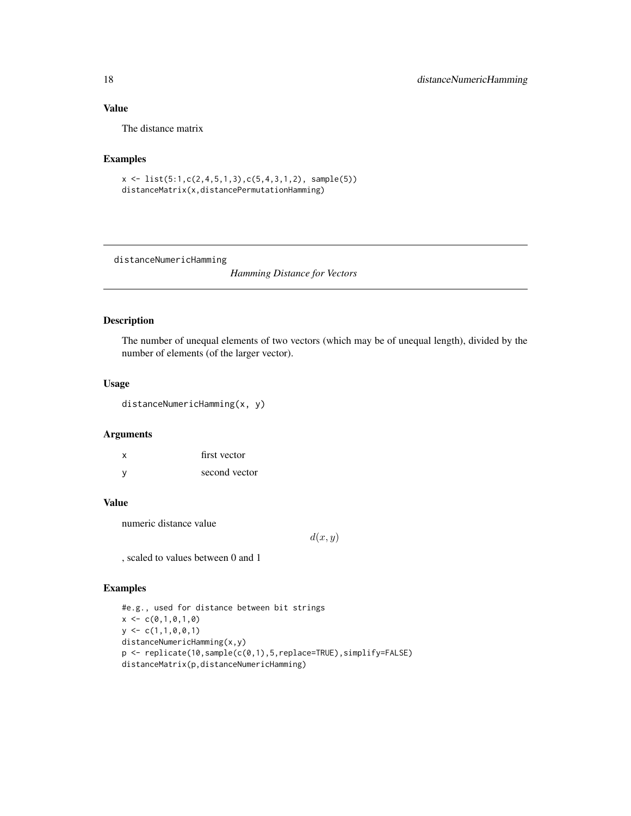# Value

The distance matrix

# Examples

```
x \leftarrow \text{list}(5:1, c(2, 4, 5, 1, 3), c(5, 4, 3, 1, 2), \text{ sample}(5))distanceMatrix(x,distancePermutationHamming)
```
distanceNumericHamming

*Hamming Distance for Vectors*

# Description

The number of unequal elements of two vectors (which may be of unequal length), divided by the number of elements (of the larger vector).

#### Usage

distanceNumericHamming(x, y)

#### Arguments

| X            | first vector  |
|--------------|---------------|
| <sub>y</sub> | second vector |

#### Value

numeric distance value

 $d(x, y)$ 

, scaled to values between 0 and 1

```
#e.g., used for distance between bit strings
x \leftarrow c(0,1,0,1,0)y \leftarrow c(1,1,0,0,1)distanceNumericHamming(x,y)
p <- replicate(10,sample(c(0,1),5,replace=TRUE),simplify=FALSE)
distanceMatrix(p,distanceNumericHamming)
```
<span id="page-17-0"></span>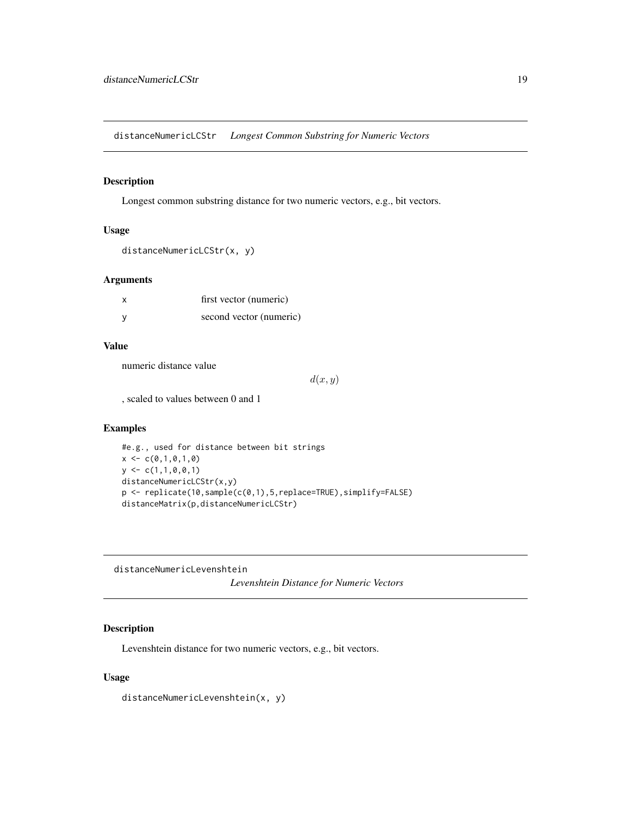<span id="page-18-0"></span>distanceNumericLCStr *Longest Common Substring for Numeric Vectors*

# Description

Longest common substring distance for two numeric vectors, e.g., bit vectors.

#### Usage

```
distanceNumericLCStr(x, y)
```
#### Arguments

| x | first vector (numeric)  |
|---|-------------------------|
|   | second vector (numeric) |

# Value

numeric distance value

 $d(x, y)$ 

, scaled to values between 0 and 1

# Examples

```
#e.g., used for distance between bit strings
x \leq -c(0,1,0,1,0)y \leftarrow c(1,1,0,0,1)distanceNumericLCStr(x,y)
p <- replicate(10,sample(c(0,1),5,replace=TRUE),simplify=FALSE)
distanceMatrix(p,distanceNumericLCStr)
```
distanceNumericLevenshtein *Levenshtein Distance for Numeric Vectors*

# Description

Levenshtein distance for two numeric vectors, e.g., bit vectors.

#### Usage

distanceNumericLevenshtein(x, y)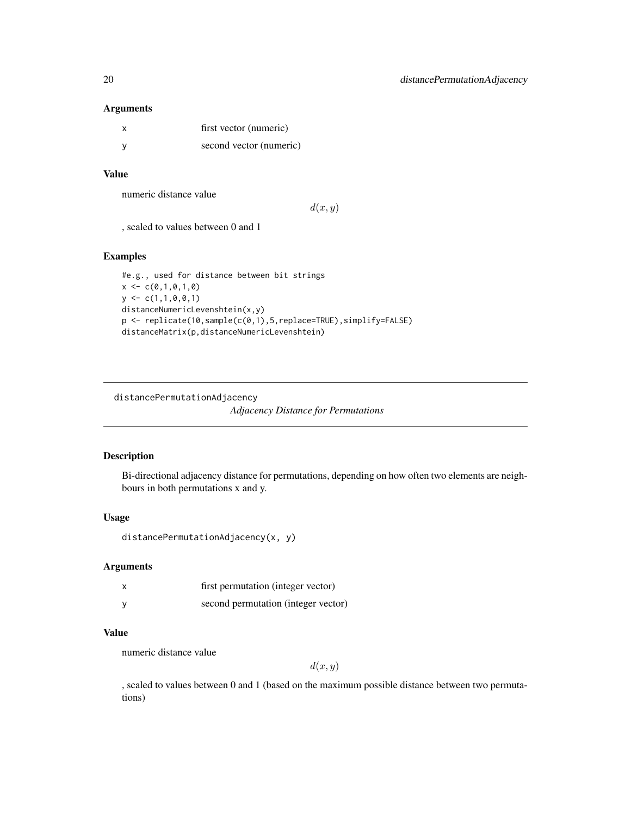#### Arguments

| x        | first vector (numeric)  |
|----------|-------------------------|
| <b>V</b> | second vector (numeric) |

#### Value

numeric distance value

 $d(x, y)$ 

, scaled to values between 0 and 1

# Examples

```
#e.g., used for distance between bit strings
x < -c(0,1,0,1,0)y \leftarrow c(1,1,0,0,1)distanceNumericLevenshtein(x,y)
p <- replicate(10,sample(c(0,1),5,replace=TRUE),simplify=FALSE)
distanceMatrix(p,distanceNumericLevenshtein)
```

```
distancePermutationAdjacency
```
*Adjacency Distance for Permutations*

# Description

Bi-directional adjacency distance for permutations, depending on how often two elements are neighbours in both permutations x and y.

#### Usage

distancePermutationAdjacency(x, y)

# Arguments

| first permutation (integer vector)  |
|-------------------------------------|
| second permutation (integer vector) |

# Value

numeric distance value

 $d(x, y)$ 

, scaled to values between 0 and 1 (based on the maximum possible distance between two permutations)

<span id="page-19-0"></span>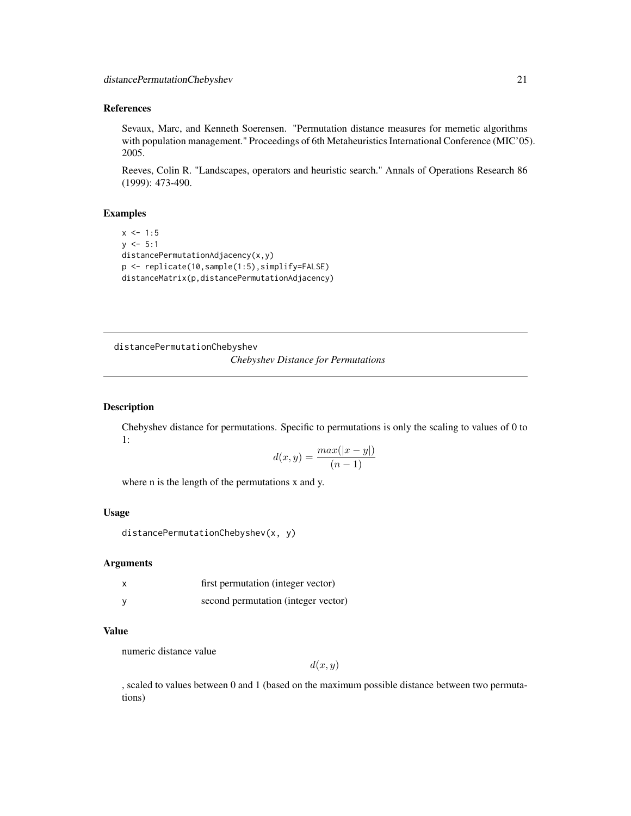#### <span id="page-20-0"></span>References

Sevaux, Marc, and Kenneth Soerensen. "Permutation distance measures for memetic algorithms with population management." Proceedings of 6th Metaheuristics International Conference (MIC'05). 2005.

Reeves, Colin R. "Landscapes, operators and heuristic search." Annals of Operations Research 86 (1999): 473-490.

#### Examples

```
x \le -1:5y \le -5:1distancePermutationAdjacency(x,y)
p <- replicate(10,sample(1:5),simplify=FALSE)
distanceMatrix(p,distancePermutationAdjacency)
```
distancePermutationChebyshev *Chebyshev Distance for Permutations*

# Description

Chebyshev distance for permutations. Specific to permutations is only the scaling to values of 0 to 1:

$$
d(x,y) = \frac{max(|x-y|)}{(n-1)}
$$

where n is the length of the permutations x and y.

#### Usage

```
distancePermutationChebyshev(x, y)
```
#### Arguments

| X | first permutation (integer vector)  |
|---|-------------------------------------|
| v | second permutation (integer vector) |

#### Value

numeric distance value

 $d(x, y)$ 

, scaled to values between 0 and 1 (based on the maximum possible distance between two permutations)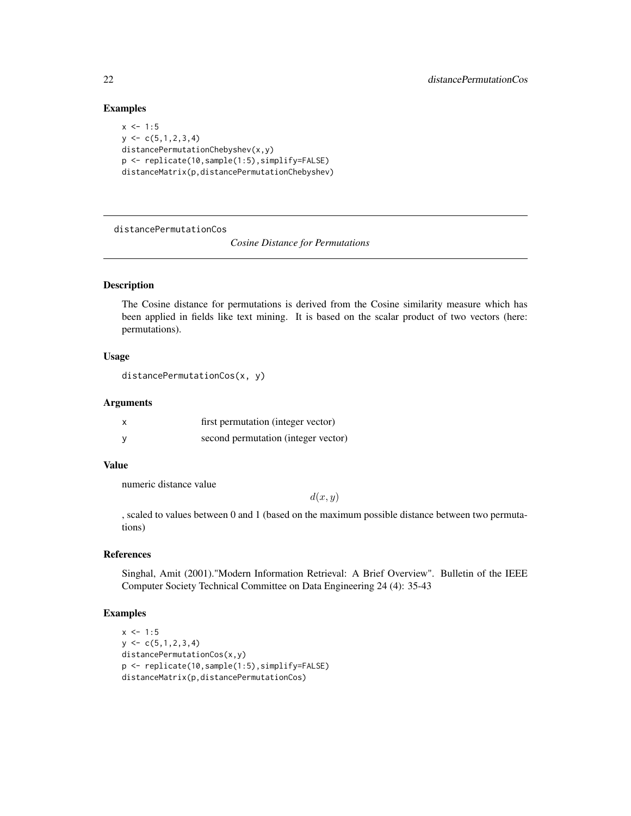#### Examples

```
x \le -1:5y \leftarrow c(5, 1, 2, 3, 4)distancePermutationChebyshev(x,y)
p <- replicate(10,sample(1:5),simplify=FALSE)
distanceMatrix(p,distancePermutationChebyshev)
```
distancePermutationCos

*Cosine Distance for Permutations*

#### Description

The Cosine distance for permutations is derived from the Cosine similarity measure which has been applied in fields like text mining. It is based on the scalar product of two vectors (here: permutations).

# Usage

```
distancePermutationCos(x, y)
```
#### Arguments

| X | first permutation (integer vector)  |
|---|-------------------------------------|
| v | second permutation (integer vector) |

# Value

numeric distance value

 $d(x, y)$ 

, scaled to values between 0 and 1 (based on the maximum possible distance between two permutations)

#### References

Singhal, Amit (2001)."Modern Information Retrieval: A Brief Overview". Bulletin of the IEEE Computer Society Technical Committee on Data Engineering 24 (4): 35-43

```
x \le -1:5y \leftarrow c(5,1,2,3,4)distancePermutationCos(x,y)
p <- replicate(10,sample(1:5),simplify=FALSE)
distanceMatrix(p,distancePermutationCos)
```
<span id="page-21-0"></span>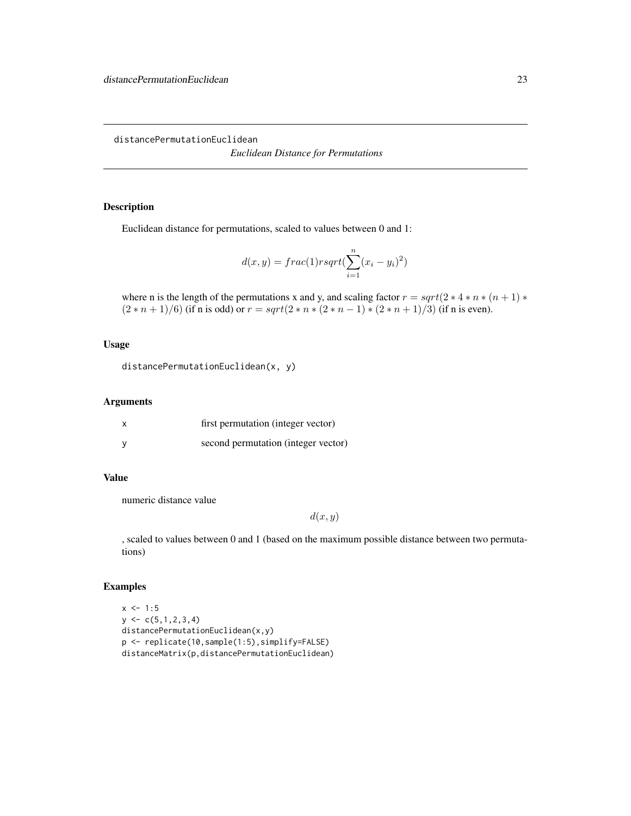<span id="page-22-0"></span>distancePermutationEuclidean

*Euclidean Distance for Permutations*

# Description

Euclidean distance for permutations, scaled to values between 0 and 1:

$$
d(x,y) = frac(1)rsqrt(\sum_{i=1}^{n} (x_i - y_i)^2)
$$

where n is the length of the permutations x and y, and scaling factor  $r = sqrt(2 * 4 * n * (n + 1) *$  $(2*n+1)/6$ ) (if n is odd) or  $r = sqrt(2*n*(2*n-1)*(2*n+1)/3)$  (if n is even).

#### Usage

```
distancePermutationEuclidean(x, y)
```
# Arguments

| first permutation (integer vector)  |
|-------------------------------------|
| second permutation (integer vector) |

# Value

numeric distance value

 $d(x, y)$ 

, scaled to values between 0 and 1 (based on the maximum possible distance between two permutations)

```
x \le -1:5y \leftarrow c(5, 1, 2, 3, 4)distancePermutationEuclidean(x,y)
p <- replicate(10,sample(1:5),simplify=FALSE)
distanceMatrix(p,distancePermutationEuclidean)
```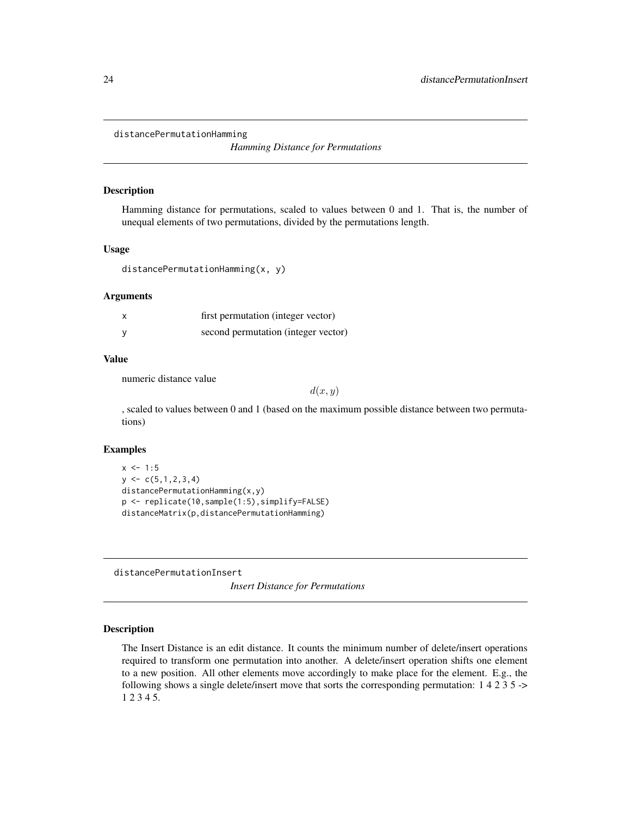<span id="page-23-0"></span>distancePermutationHamming

*Hamming Distance for Permutations*

#### Description

Hamming distance for permutations, scaled to values between 0 and 1. That is, the number of unequal elements of two permutations, divided by the permutations length.

# Usage

```
distancePermutationHamming(x, y)
```
#### Arguments

| first permutation (integer vector)  |
|-------------------------------------|
| second permutation (integer vector) |

#### Value

numeric distance value

 $d(x, y)$ 

, scaled to values between 0 and 1 (based on the maximum possible distance between two permutations)

#### Examples

```
x \le -1:5y \leftarrow c(5, 1, 2, 3, 4)distancePermutationHamming(x,y)
p <- replicate(10,sample(1:5),simplify=FALSE)
distanceMatrix(p,distancePermutationHamming)
```
distancePermutationInsert

*Insert Distance for Permutations*

# Description

The Insert Distance is an edit distance. It counts the minimum number of delete/insert operations required to transform one permutation into another. A delete/insert operation shifts one element to a new position. All other elements move accordingly to make place for the element. E.g., the following shows a single delete/insert move that sorts the corresponding permutation: 1 4 2 3 5 -> 1 2 3 4 5.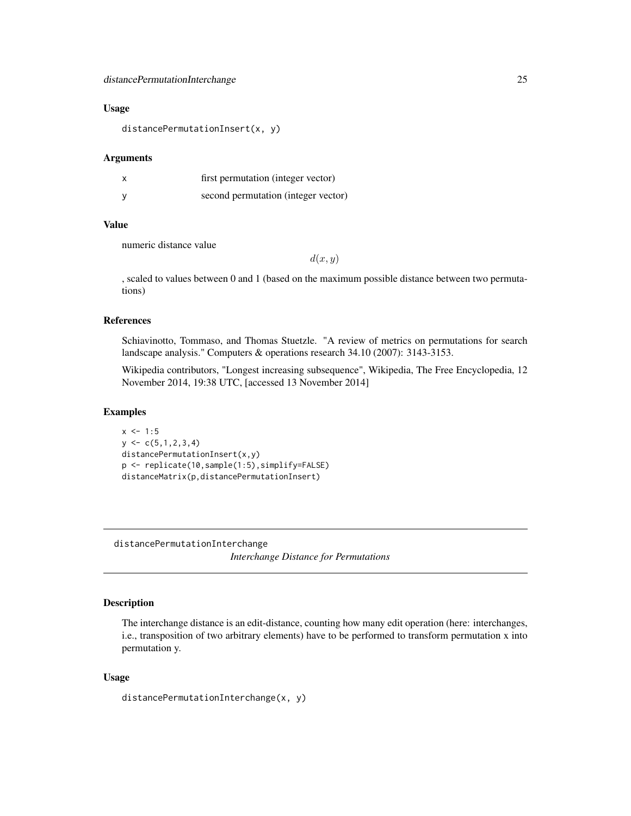#### <span id="page-24-0"></span>Usage

distancePermutationInsert(x, y)

#### Arguments

| X | first permutation (integer vector)  |
|---|-------------------------------------|
| v | second permutation (integer vector) |

# Value

numeric distance value

 $d(x, y)$ 

, scaled to values between 0 and 1 (based on the maximum possible distance between two permutations)

#### References

Schiavinotto, Tommaso, and Thomas Stuetzle. "A review of metrics on permutations for search landscape analysis." Computers & operations research 34.10 (2007): 3143-3153.

Wikipedia contributors, "Longest increasing subsequence", Wikipedia, The Free Encyclopedia, 12 November 2014, 19:38 UTC, [accessed 13 November 2014]

#### Examples

```
x \le -1:5y \leftarrow c(5, 1, 2, 3, 4)distancePermutationInsert(x,y)
p <- replicate(10,sample(1:5),simplify=FALSE)
distanceMatrix(p,distancePermutationInsert)
```
distancePermutationInterchange *Interchange Distance for Permutations*

#### Description

The interchange distance is an edit-distance, counting how many edit operation (here: interchanges, i.e., transposition of two arbitrary elements) have to be performed to transform permutation x into permutation y.

#### Usage

distancePermutationInterchange(x, y)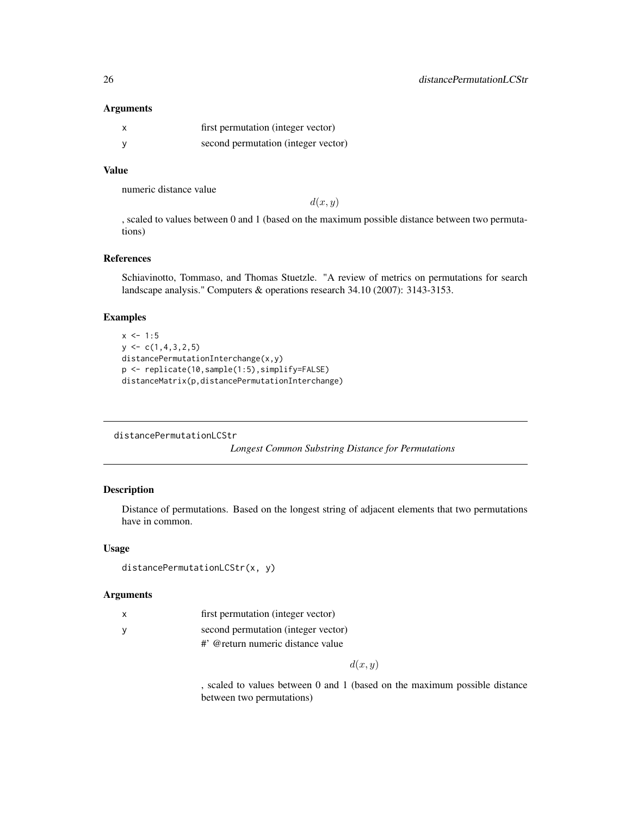#### Arguments

| first permutation (integer vector)  |
|-------------------------------------|
| second permutation (integer vector) |

# Value

numeric distance value

 $d(x, y)$ 

, scaled to values between 0 and 1 (based on the maximum possible distance between two permutations)

#### References

Schiavinotto, Tommaso, and Thomas Stuetzle. "A review of metrics on permutations for search landscape analysis." Computers & operations research 34.10 (2007): 3143-3153.

# Examples

```
x \le -1:5y \leftarrow c(1, 4, 3, 2, 5)distancePermutationInterchange(x,y)
p <- replicate(10,sample(1:5),simplify=FALSE)
distanceMatrix(p,distancePermutationInterchange)
```
distancePermutationLCStr

*Longest Common Substring Distance for Permutations*

#### Description

Distance of permutations. Based on the longest string of adjacent elements that two permutations have in common.

#### Usage

```
distancePermutationLCStr(x, y)
```
# Arguments

| $\mathsf{x}$ | first permutation (integer vector)                |
|--------------|---------------------------------------------------|
|              | second permutation (integer vector)               |
|              | $\#$ <sup>,</sup> @ return numeric distance value |

 $d(x, y)$ 

, scaled to values between 0 and 1 (based on the maximum possible distance between two permutations)

<span id="page-25-0"></span>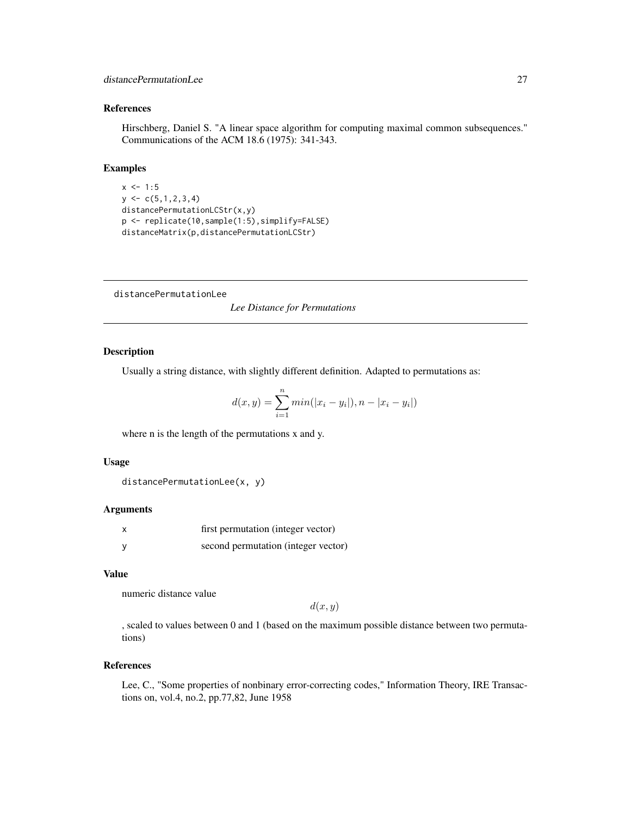# <span id="page-26-0"></span>distancePermutationLee 27

# References

Hirschberg, Daniel S. "A linear space algorithm for computing maximal common subsequences." Communications of the ACM 18.6 (1975): 341-343.

#### Examples

```
x \le -1:5y \leftarrow c(5, 1, 2, 3, 4)distancePermutationLCStr(x,y)
p <- replicate(10,sample(1:5),simplify=FALSE)
distanceMatrix(p,distancePermutationLCStr)
```
distancePermutationLee

*Lee Distance for Permutations*

# Description

Usually a string distance, with slightly different definition. Adapted to permutations as:

$$
d(x, y) = \sum_{i=1}^{n} min(|x_i - y_i|), n - |x_i - y_i|)
$$

where n is the length of the permutations x and y.

#### Usage

```
distancePermutationLee(x, y)
```
# Arguments

| first permutation (integer vector)  |
|-------------------------------------|
| second permutation (integer vector) |

# Value

numeric distance value

 $d(x, y)$ 

, scaled to values between 0 and 1 (based on the maximum possible distance between two permutations)

#### References

Lee, C., "Some properties of nonbinary error-correcting codes," Information Theory, IRE Transactions on, vol.4, no.2, pp.77,82, June 1958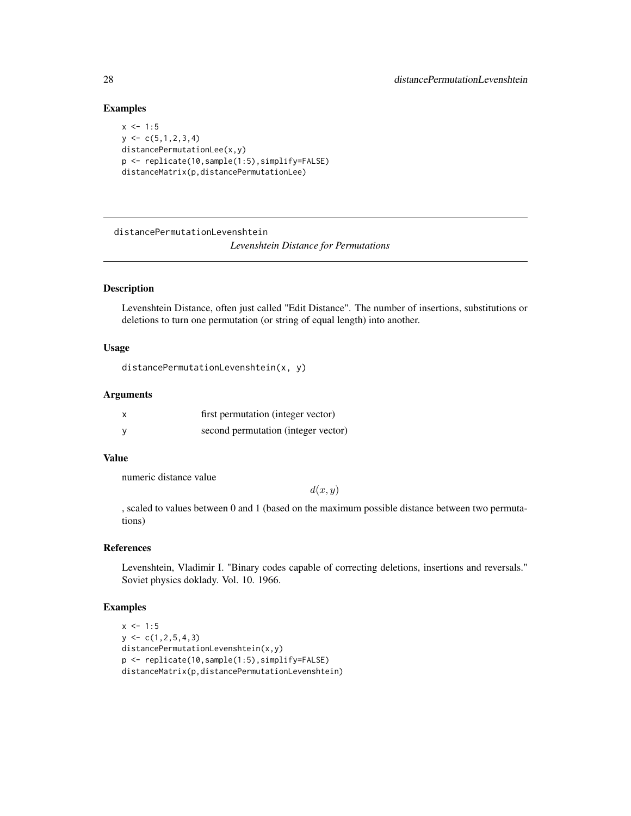#### Examples

```
x \le -1:5y \leftarrow c(5, 1, 2, 3, 4)distancePermutationLee(x,y)
p <- replicate(10,sample(1:5),simplify=FALSE)
distanceMatrix(p,distancePermutationLee)
```
distancePermutationLevenshtein

*Levenshtein Distance for Permutations*

# Description

Levenshtein Distance, often just called "Edit Distance". The number of insertions, substitutions or deletions to turn one permutation (or string of equal length) into another.

#### Usage

```
distancePermutationLevenshtein(x, y)
```
#### Arguments

| first permutation (integer vector)  |
|-------------------------------------|
| second permutation (integer vector) |

# Value

numeric distance value

 $d(x, y)$ 

, scaled to values between 0 and 1 (based on the maximum possible distance between two permutations)

#### References

Levenshtein, Vladimir I. "Binary codes capable of correcting deletions, insertions and reversals." Soviet physics doklady. Vol. 10. 1966.

```
x \le -1:5y \leftarrow c(1, 2, 5, 4, 3)distancePermutationLevenshtein(x,y)
p <- replicate(10,sample(1:5),simplify=FALSE)
distanceMatrix(p,distancePermutationLevenshtein)
```
<span id="page-27-0"></span>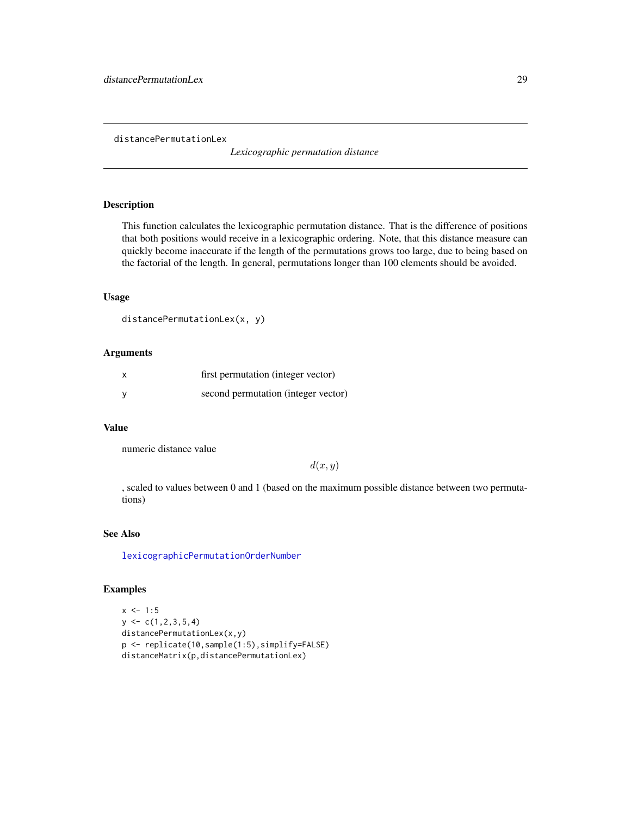<span id="page-28-0"></span>distancePermutationLex

*Lexicographic permutation distance*

# Description

This function calculates the lexicographic permutation distance. That is the difference of positions that both positions would receive in a lexicographic ordering. Note, that this distance measure can quickly become inaccurate if the length of the permutations grows too large, due to being based on the factorial of the length. In general, permutations longer than 100 elements should be avoided.

# Usage

```
distancePermutationLex(x, y)
```
#### Arguments

| X | first permutation (integer vector)  |
|---|-------------------------------------|
| v | second permutation (integer vector) |

#### Value

numeric distance value

 $d(x, y)$ 

, scaled to values between 0 and 1 (based on the maximum possible distance between two permutations)

#### See Also

[lexicographicPermutationOrderNumber](#page-45-1)

```
x \le -1:5y \leftarrow c(1, 2, 3, 5, 4)distancePermutationLex(x,y)
p <- replicate(10,sample(1:5),simplify=FALSE)
distanceMatrix(p,distancePermutationLex)
```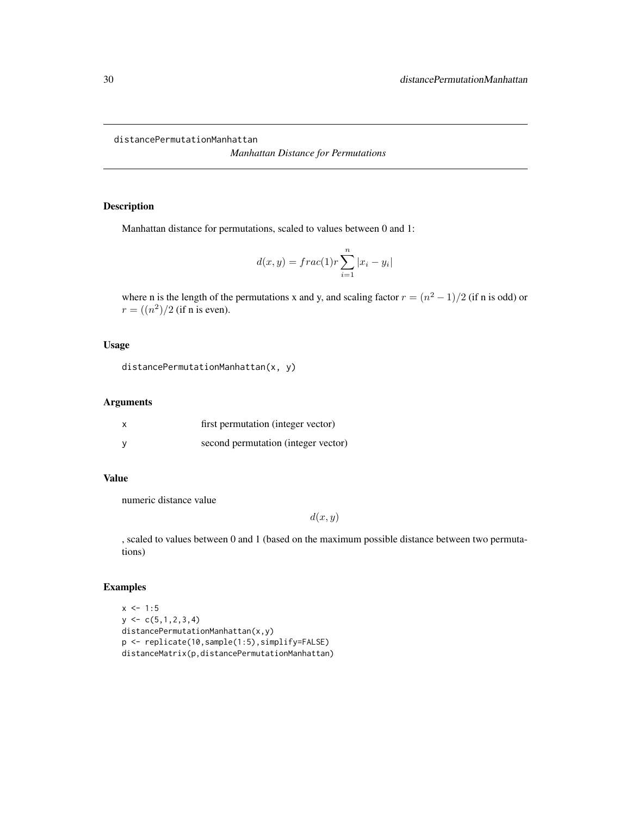<span id="page-29-0"></span>distancePermutationManhattan

*Manhattan Distance for Permutations*

# Description

Manhattan distance for permutations, scaled to values between 0 and 1:

$$
d(x,y) = frac(1)r \sum_{i=1}^{n} |x_i - y_i|
$$

where n is the length of the permutations x and y, and scaling factor  $r = (n^2 - 1)/2$  (if n is odd) or  $r = \frac{(n^2)}{2}$  (if n is even).

# Usage

```
distancePermutationManhattan(x, y)
```
# Arguments

| x | first permutation (integer vector)  |
|---|-------------------------------------|
|   | second permutation (integer vector) |

#### Value

numeric distance value

 $d(x, y)$ 

, scaled to values between 0 and 1 (based on the maximum possible distance between two permutations)

```
x \le -1:5y \leftarrow c(5, 1, 2, 3, 4)distancePermutationManhattan(x,y)
p <- replicate(10,sample(1:5),simplify=FALSE)
distanceMatrix(p,distancePermutationManhattan)
```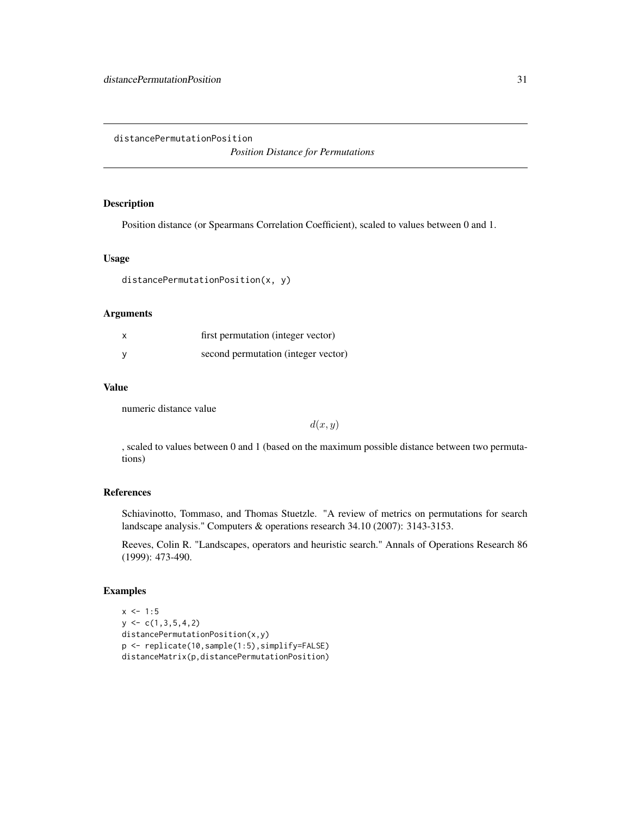<span id="page-30-0"></span>distancePermutationPosition

*Position Distance for Permutations*

# Description

Position distance (or Spearmans Correlation Coefficient), scaled to values between 0 and 1.

#### Usage

```
distancePermutationPosition(x, y)
```
# Arguments

| $\boldsymbol{\mathsf{x}}$ | first permutation (integer vector)  |
|---------------------------|-------------------------------------|
| <b>V</b>                  | second permutation (integer vector) |

#### Value

numeric distance value

 $d(x, y)$ 

, scaled to values between 0 and 1 (based on the maximum possible distance between two permutations)

# References

Schiavinotto, Tommaso, and Thomas Stuetzle. "A review of metrics on permutations for search landscape analysis." Computers & operations research 34.10 (2007): 3143-3153.

Reeves, Colin R. "Landscapes, operators and heuristic search." Annals of Operations Research 86 (1999): 473-490.

```
x \le -1:5y \leftarrow c(1, 3, 5, 4, 2)distancePermutationPosition(x,y)
p <- replicate(10,sample(1:5),simplify=FALSE)
distanceMatrix(p,distancePermutationPosition)
```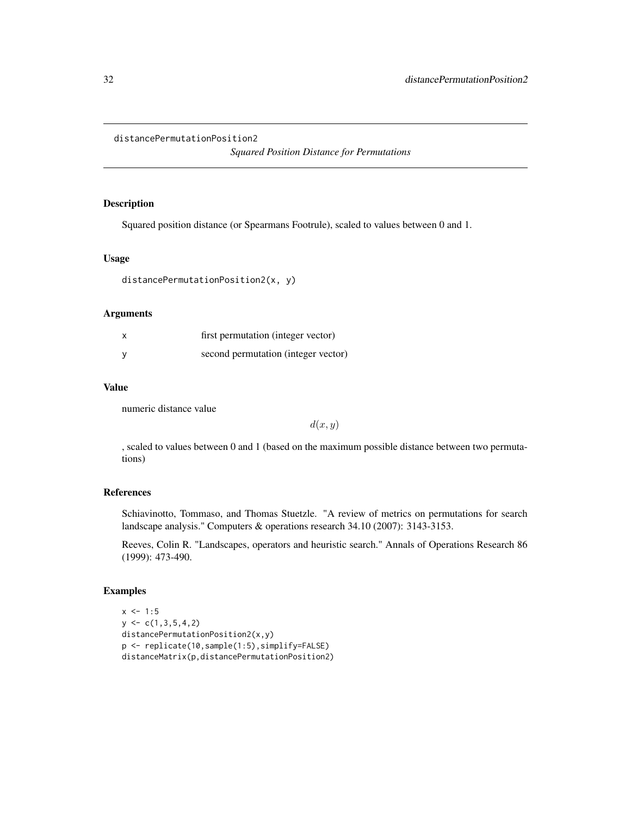#### <span id="page-31-0"></span>distancePermutationPosition2

*Squared Position Distance for Permutations*

#### Description

Squared position distance (or Spearmans Footrule), scaled to values between 0 and 1.

#### Usage

```
distancePermutationPosition2(x, y)
```
# Arguments

| $\boldsymbol{\mathsf{x}}$ | first permutation (integer vector)  |
|---------------------------|-------------------------------------|
|                           | second permutation (integer vector) |

#### Value

numeric distance value

 $d(x, y)$ 

, scaled to values between 0 and 1 (based on the maximum possible distance between two permutations)

# References

Schiavinotto, Tommaso, and Thomas Stuetzle. "A review of metrics on permutations for search landscape analysis." Computers & operations research 34.10 (2007): 3143-3153.

Reeves, Colin R. "Landscapes, operators and heuristic search." Annals of Operations Research 86 (1999): 473-490.

```
x \le -1:5y \leftarrow c(1, 3, 5, 4, 2)distancePermutationPosition2(x,y)
p <- replicate(10,sample(1:5),simplify=FALSE)
distanceMatrix(p,distancePermutationPosition2)
```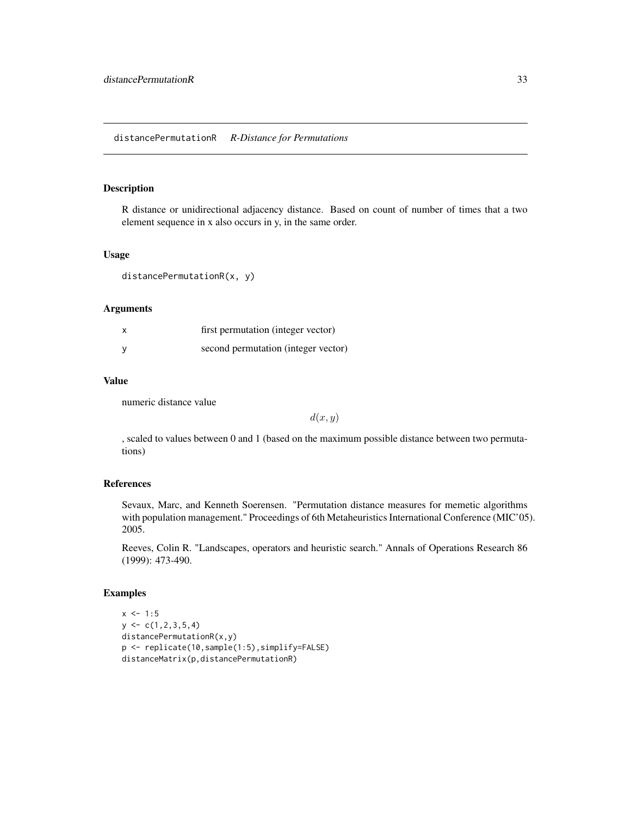# <span id="page-32-0"></span>Description

R distance or unidirectional adjacency distance. Based on count of number of times that a two element sequence in x also occurs in y, in the same order.

#### Usage

distancePermutationR(x, y)

#### Arguments

| first permutation (integer vector)  |
|-------------------------------------|
| second permutation (integer vector) |

# Value

numeric distance value

 $d(x, y)$ 

, scaled to values between 0 and 1 (based on the maximum possible distance between two permutations)

#### References

Sevaux, Marc, and Kenneth Soerensen. "Permutation distance measures for memetic algorithms with population management." Proceedings of 6th Metaheuristics International Conference (MIC'05). 2005.

Reeves, Colin R. "Landscapes, operators and heuristic search." Annals of Operations Research 86 (1999): 473-490.

```
x < -1:5y \leftarrow c(1, 2, 3, 5, 4)distancePermutationR(x,y)
p <- replicate(10,sample(1:5),simplify=FALSE)
distanceMatrix(p,distancePermutationR)
```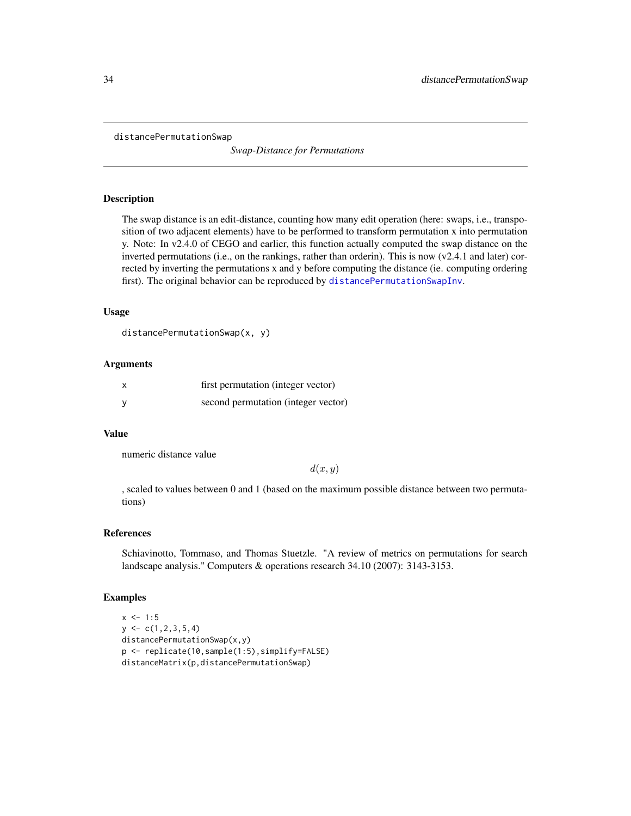<span id="page-33-1"></span><span id="page-33-0"></span>distancePermutationSwap

*Swap-Distance for Permutations*

#### Description

The swap distance is an edit-distance, counting how many edit operation (here: swaps, i.e., transposition of two adjacent elements) have to be performed to transform permutation x into permutation y. Note: In v2.4.0 of CEGO and earlier, this function actually computed the swap distance on the inverted permutations (i.e., on the rankings, rather than orderin). This is now (v2.4.1 and later) corrected by inverting the permutations x and y before computing the distance (ie. computing ordering first). The original behavior can be reproduced by [distancePermutationSwapInv](#page-34-1).

# Usage

```
distancePermutationSwap(x, y)
```
#### Arguments

| X        | first permutation (integer vector)  |
|----------|-------------------------------------|
| <b>V</b> | second permutation (integer vector) |

#### Value

numeric distance value

 $d(x, y)$ 

, scaled to values between 0 and 1 (based on the maximum possible distance between two permutations)

#### References

Schiavinotto, Tommaso, and Thomas Stuetzle. "A review of metrics on permutations for search landscape analysis." Computers & operations research 34.10 (2007): 3143-3153.

```
x \le -1:5y \leftarrow c(1, 2, 3, 5, 4)distancePermutationSwap(x,y)
p <- replicate(10,sample(1:5),simplify=FALSE)
distanceMatrix(p,distancePermutationSwap)
```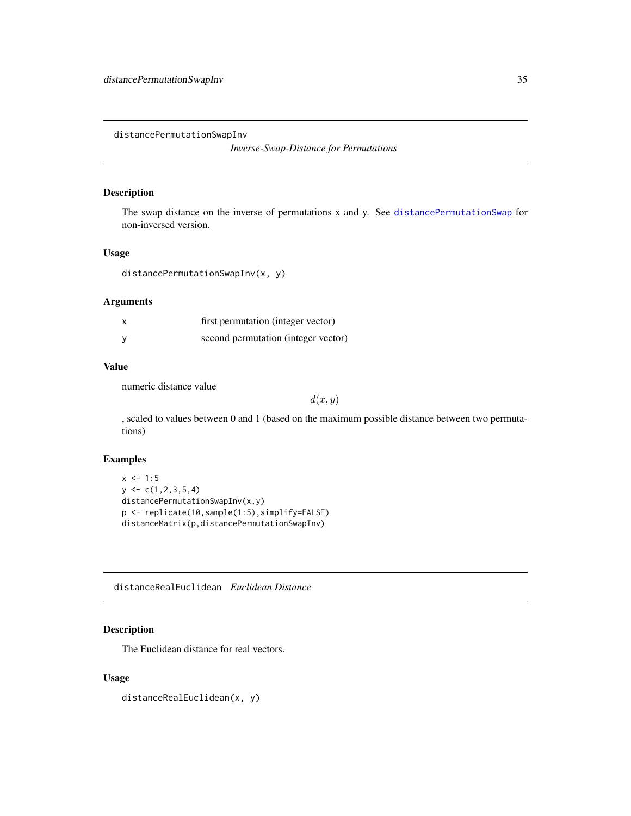<span id="page-34-1"></span><span id="page-34-0"></span>distancePermutationSwapInv

*Inverse-Swap-Distance for Permutations*

# Description

The swap distance on the inverse of permutations x and y. See [distancePermutationSwap](#page-33-1) for non-inversed version.

#### Usage

```
distancePermutationSwapInv(x, y)
```
# Arguments

| first permutation (integer vector)  |
|-------------------------------------|
| second permutation (integer vector) |

#### Value

numeric distance value

 $d(x, y)$ 

, scaled to values between 0 and 1 (based on the maximum possible distance between two permutations)

# Examples

```
x \le -1:5y \leftarrow c(1, 2, 3, 5, 4)distancePermutationSwapInv(x,y)
p <- replicate(10,sample(1:5),simplify=FALSE)
distanceMatrix(p,distancePermutationSwapInv)
```
distanceRealEuclidean *Euclidean Distance*

# Description

The Euclidean distance for real vectors.

# Usage

distanceRealEuclidean(x, y)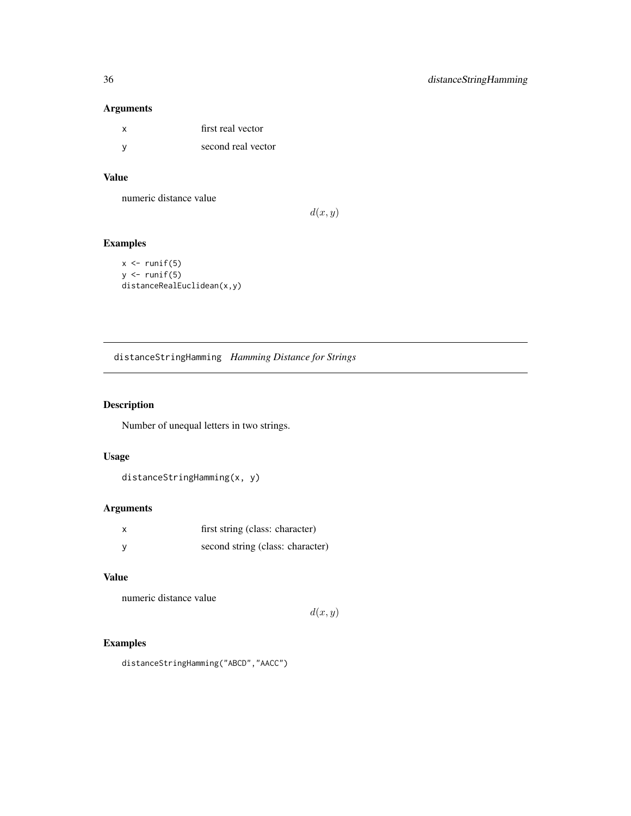# Arguments

| x   | first real vector  |
|-----|--------------------|
| - V | second real vector |

# Value

numeric distance value

 $d(x, y)$ 

# Examples

```
x \leftarrow runif(5)y \leftarrow runif(5)distanceRealEuclidean(x,y)
```
distanceStringHamming *Hamming Distance for Strings*

# Description

Number of unequal letters in two strings.

# Usage

distanceStringHamming(x, y)

# Arguments

| first string (class: character)  |
|----------------------------------|
| second string (class: character) |

# Value

numeric distance value

 $d(x, y)$ 

# Examples

distanceStringHamming("ABCD","AACC")

<span id="page-35-0"></span>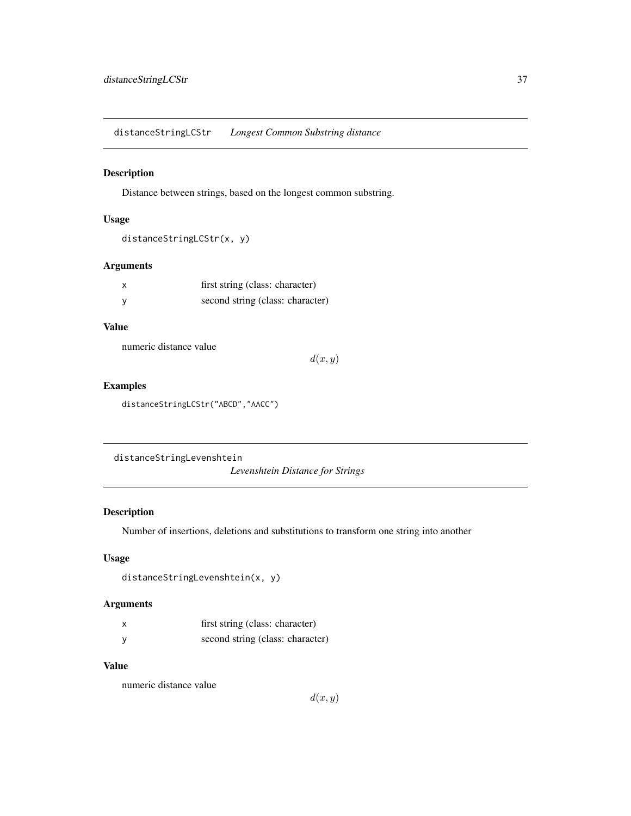distanceStringLCStr *Longest Common Substring distance*

#### Description

Distance between strings, based on the longest common substring.

#### Usage

```
distanceStringLCStr(x, y)
```
## Arguments

| x | first string (class: character)  |
|---|----------------------------------|
|   | second string (class: character) |

## Value

numeric distance value

 $d(x, y)$ 

### Examples

distanceStringLCStr("ABCD","AACC")

distanceStringLevenshtein

*Levenshtein Distance for Strings*

## Description

Number of insertions, deletions and substitutions to transform one string into another

## Usage

```
distanceStringLevenshtein(x, y)
```
## Arguments

| first string (class: character)  |
|----------------------------------|
| second string (class: character) |

#### Value

numeric distance value

 $d(x, y)$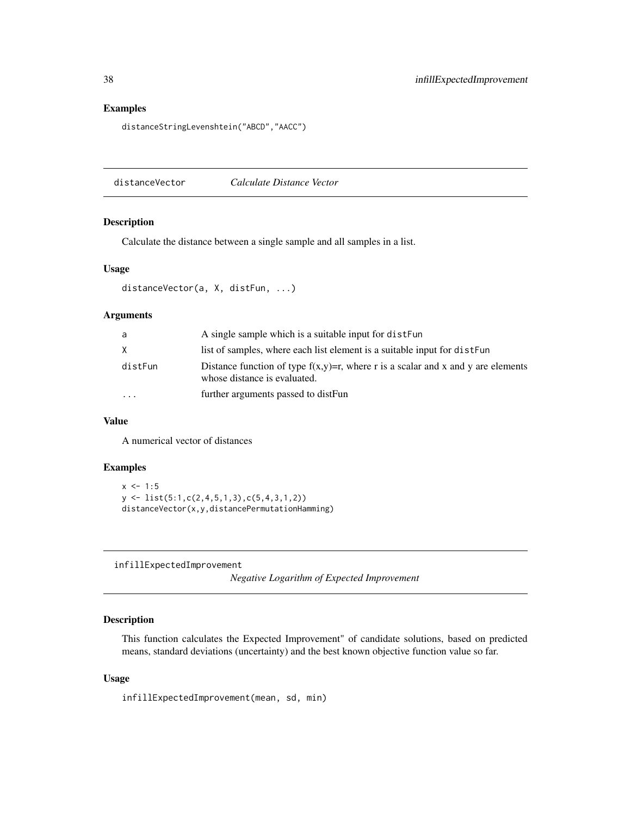## Examples

distanceStringLevenshtein("ABCD","AACC")

distanceVector *Calculate Distance Vector*

### Description

Calculate the distance between a single sample and all samples in a list.

### Usage

```
distanceVector(a, X, distFun, ...)
```
### Arguments

| A single sample which is a suitable input for dister-                                                               |
|---------------------------------------------------------------------------------------------------------------------|
| list of samples, where each list element is a suitable input for distFun                                            |
| Distance function of type $f(x,y)=r$ , where r is a scalar and x and y are elements<br>whose distance is evaluated. |
| further arguments passed to distFun                                                                                 |
|                                                                                                                     |

## Value

A numerical vector of distances

### Examples

```
x \le -1:5y <- list(5:1,c(2,4,5,1,3),c(5,4,3,1,2))
distanceVector(x,y,distancePermutationHamming)
```
infillExpectedImprovement

*Negative Logarithm of Expected Improvement*

## Description

This function calculates the Expected Improvement" of candidate solutions, based on predicted means, standard deviations (uncertainty) and the best known objective function value so far.

#### Usage

infillExpectedImprovement(mean, sd, min)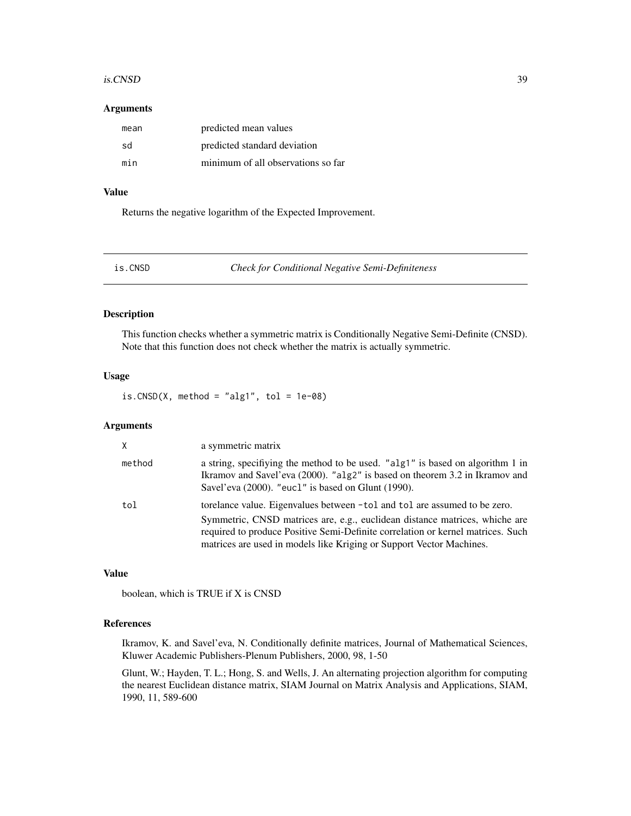#### is.CNSD 39

#### Arguments

| mean | predicted mean values              |
|------|------------------------------------|
| sd   | predicted standard deviation       |
| min  | minimum of all observations so far |

## Value

Returns the negative logarithm of the Expected Improvement.

<span id="page-38-0"></span>

is.CNSD *Check for Conditional Negative Semi-Definiteness*

### Description

This function checks whether a symmetric matrix is Conditionally Negative Semi-Definite (CNSD). Note that this function does not check whether the matrix is actually symmetric.

### Usage

 $is.CNSD(X, method = "alg1", tol = 1e-08)$ 

## Arguments

| $\times$ | a symmetric matrix                                                                                                                                                                                                                                                                                                  |
|----------|---------------------------------------------------------------------------------------------------------------------------------------------------------------------------------------------------------------------------------------------------------------------------------------------------------------------|
| method   | a string, specifiying the method to be used. "alg1" is based on algorithm 1 in<br>Ikramov and Savel'eva (2000). " $a\log 2$ " is based on theorem 3.2 in Ikramov and<br>Savel'eva (2000). "eucl" is based on Glunt (1990).                                                                                          |
| tol      | torelance value. Eigenvalues between -tol and tol are assumed to be zero.<br>Symmetric, CNSD matrices are, e.g., euclidean distance matrices, whiche are<br>required to produce Positive Semi-Definite correlation or kernel matrices. Such<br>matrices are used in models like Kriging or Support Vector Machines. |

### Value

boolean, which is TRUE if X is CNSD

### References

Ikramov, K. and Savel'eva, N. Conditionally definite matrices, Journal of Mathematical Sciences, Kluwer Academic Publishers-Plenum Publishers, 2000, 98, 1-50

Glunt, W.; Hayden, T. L.; Hong, S. and Wells, J. An alternating projection algorithm for computing the nearest Euclidean distance matrix, SIAM Journal on Matrix Analysis and Applications, SIAM, 1990, 11, 589-600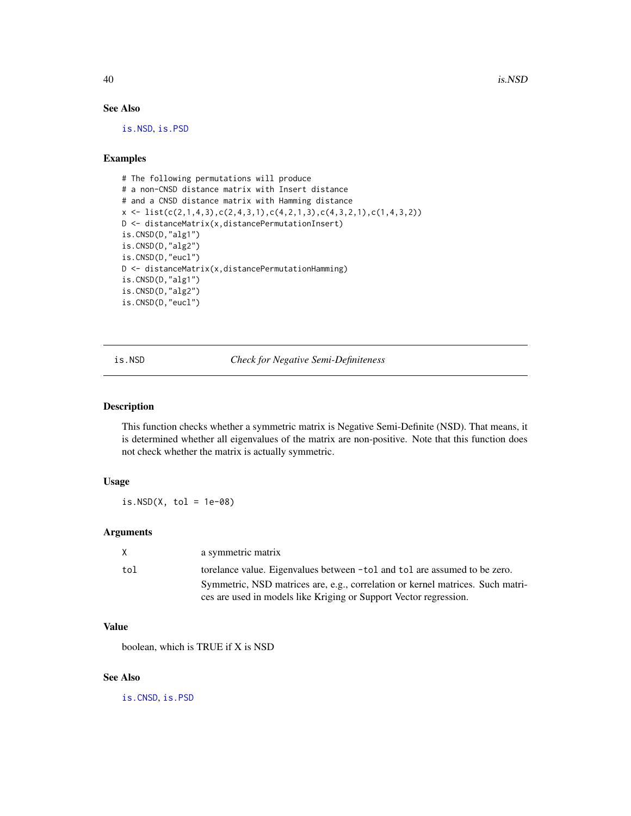40 is.NSD is a set of the set of the set of the set of the set of the set of the set of the set of the set of the set of the set of the set of the set of the set of the set of the set of the set of the set of the set of th

### See Also

[is.NSD](#page-39-0), [is.PSD](#page-40-0)

# Examples

```
# The following permutations will produce
# a non-CNSD distance matrix with Insert distance
# and a CNSD distance matrix with Hamming distance
x \leftarrow \text{list}(c(2,1,4,3), c(2,4,3,1), c(4,2,1,3), c(4,3,2,1), c(1,4,3,2))D <- distanceMatrix(x,distancePermutationInsert)
is.CNSD(D,"alg1")
is.CNSD(D,"alg2")
is.CNSD(D,"eucl")
D <- distanceMatrix(x,distancePermutationHamming)
is.CNSD(D,"alg1")
is.CNSD(D,"alg2")
is.CNSD(D,"eucl")
```
<span id="page-39-0"></span>is.NSD *Check for Negative Semi-Definiteness*

### Description

This function checks whether a symmetric matrix is Negative Semi-Definite (NSD). That means, it is determined whether all eigenvalues of the matrix are non-positive. Note that this function does not check whether the matrix is actually symmetric.

## Usage

is. $NSD(X, tol = 1e-08)$ 

## Arguments

| X.  | a symmetric matrix                                                             |
|-----|--------------------------------------------------------------------------------|
| tol | torelance value. Eigenvalues between -tol and tol are assumed to be zero.      |
|     | Symmetric, NSD matrices are, e.g., correlation or kernel matrices. Such matri- |
|     | ces are used in models like Kriging or Support Vector regression.              |

#### Value

boolean, which is TRUE if X is NSD

#### See Also

[is.CNSD](#page-38-0), [is.PSD](#page-40-0)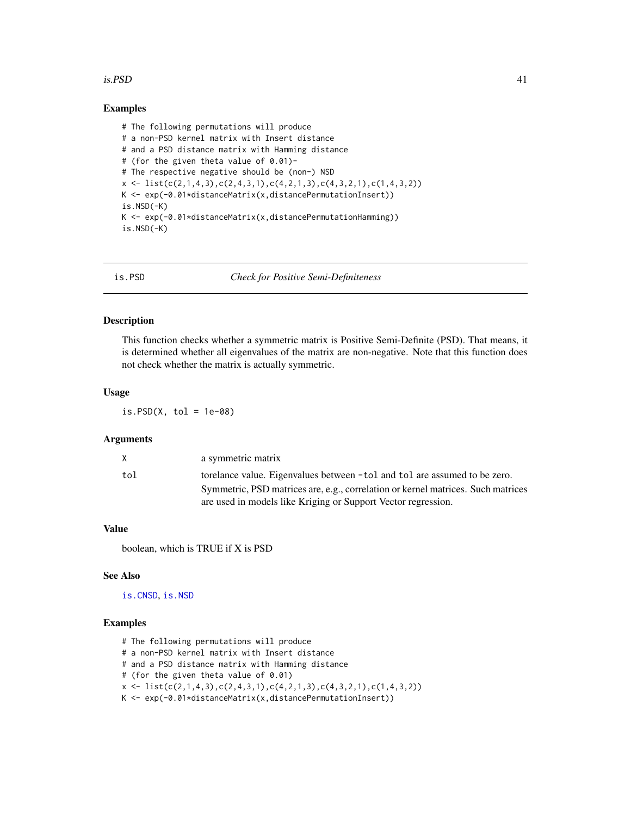### $i$ s. PSD 41

### Examples

```
# The following permutations will produce
# a non-PSD kernel matrix with Insert distance
# and a PSD distance matrix with Hamming distance
# (for the given theta value of 0.01)-
# The respective negative should be (non-) NSD
x \leftarrow \text{list}(c(2,1,4,3), c(2,4,3,1), c(4,2,1,3), c(4,3,2,1), c(1,4,3,2))K <- exp(-0.01*distanceMatrix(x,distancePermutationInsert))
is.NSD(-K)
K \leq -\exp(-\theta.01 * distanceMatrix(x,distancePermutationHamming))is.NSD(-K)
```
<span id="page-40-0"></span>is.PSD *Check for Positive Semi-Definiteness*

### Description

This function checks whether a symmetric matrix is Positive Semi-Definite (PSD). That means, it is determined whether all eigenvalues of the matrix are non-negative. Note that this function does not check whether the matrix is actually symmetric.

### Usage

is. $PSD(X, tol = 1e-08)$ 

#### Arguments

| X   | a symmetric matrix                                                               |
|-----|----------------------------------------------------------------------------------|
| tol | torelance value. Eigenvalues between -tol and tol are assumed to be zero.        |
|     | Symmetric, PSD matrices are, e.g., correlation or kernel matrices. Such matrices |
|     | are used in models like Kriging or Support Vector regression.                    |

### Value

boolean, which is TRUE if X is PSD

#### See Also

[is.CNSD](#page-38-0), [is.NSD](#page-39-0)

- # The following permutations will produce
- # a non-PSD kernel matrix with Insert distance
- # and a PSD distance matrix with Hamming distance
- # (for the given theta value of 0.01)
- $x \leftarrow \text{list}(c(2,1,4,3), c(2,4,3,1), c(4,2,1,3), c(4,3,2,1), c(1,4,3,2))$
- K <- exp(-0.01\*distanceMatrix(x,distancePermutationInsert))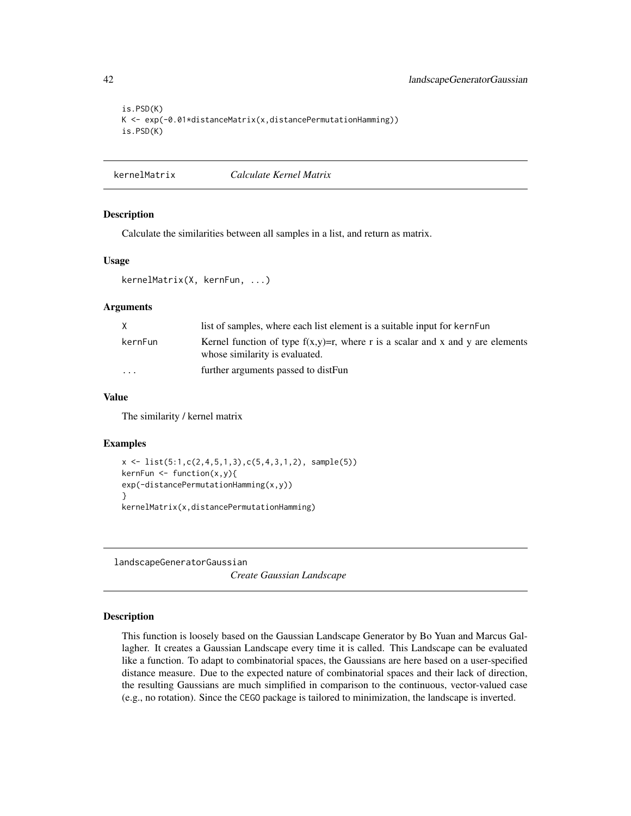```
is.PSD(K)
K <- exp(-0.01*distanceMatrix(x,distancePermutationHamming))
is.PSD(K)
```

```
kernelMatrix Calculate Kernel Matrix
```
#### Description

Calculate the similarities between all samples in a list, and return as matrix.

#### Usage

```
kernelMatrix(X, kernFun, ...)
```
#### Arguments

| X        | list of samples, where each list element is a suitable input for kernFun                                            |
|----------|---------------------------------------------------------------------------------------------------------------------|
| kernFun  | Kernel function of type $f(x,y)=r$ , where r is a scalar and x and y are elements<br>whose similarity is evaluated. |
| $\cdots$ | further arguments passed to distFun                                                                                 |

### Value

The similarity / kernel matrix

#### Examples

```
x \leftarrow \text{list}(5:1, c(2, 4, 5, 1, 3), c(5, 4, 3, 1, 2), \text{sample}(5))kernFun \leftarrow function(x,y)exp(-distancePermutationHamming(x,y))
}
kernelMatrix(x,distancePermutationHamming)
```
<span id="page-41-0"></span>landscapeGeneratorGaussian

*Create Gaussian Landscape*

#### Description

This function is loosely based on the Gaussian Landscape Generator by Bo Yuan and Marcus Gallagher. It creates a Gaussian Landscape every time it is called. This Landscape can be evaluated like a function. To adapt to combinatorial spaces, the Gaussians are here based on a user-specified distance measure. Due to the expected nature of combinatorial spaces and their lack of direction, the resulting Gaussians are much simplified in comparison to the continuous, vector-valued case (e.g., no rotation). Since the CEGO package is tailored to minimization, the landscape is inverted.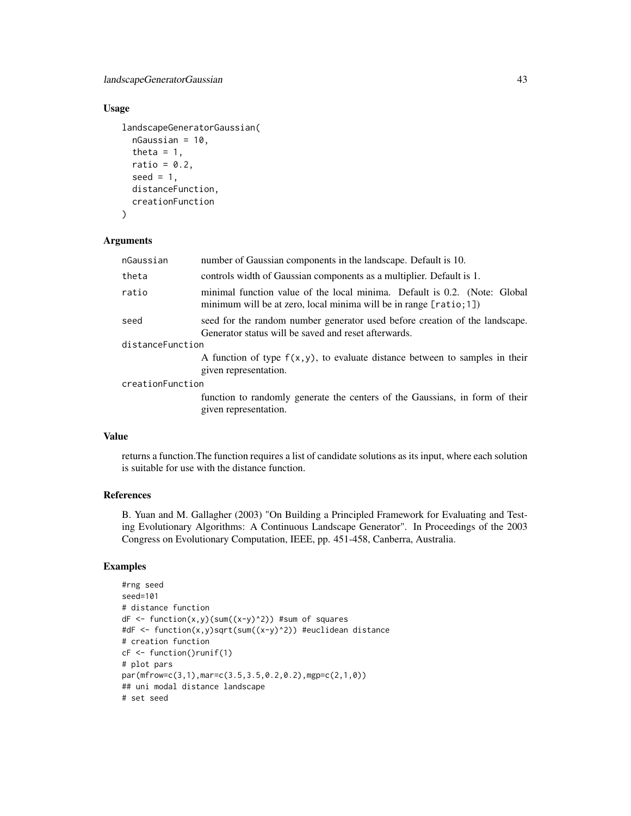## Usage

```
landscapeGeneratorGaussian(
  nGaussian = 10,
  theta = 1,
  ratio = 0.2,
  seed = 1,
 distanceFunction,
  creationFunction
)
```
#### Arguments

| number of Gaussian components in the landscape. Default is 10.                                                                                    |  |  |
|---------------------------------------------------------------------------------------------------------------------------------------------------|--|--|
| controls width of Gaussian components as a multiplier. Default is 1.                                                                              |  |  |
| minimal function value of the local minima. Default is 0.2. (Note: Global<br>minimum will be at zero, local minima will be in range $[ratio;1]$ ) |  |  |
| seed for the random number generator used before creation of the landscape.<br>Generator status will be saved and reset afterwards.               |  |  |
| distanceFunction                                                                                                                                  |  |  |
| A function of type $f(x, y)$ , to evaluate distance between to samples in their<br>given representation.                                          |  |  |
| creationFunction                                                                                                                                  |  |  |
| function to randomly generate the centers of the Gaussians, in form of their<br>given representation.                                             |  |  |
|                                                                                                                                                   |  |  |

# Value

returns a function.The function requires a list of candidate solutions as its input, where each solution is suitable for use with the distance function.

### References

B. Yuan and M. Gallagher (2003) "On Building a Principled Framework for Evaluating and Testing Evolutionary Algorithms: A Continuous Landscape Generator". In Proceedings of the 2003 Congress on Evolutionary Computation, IEEE, pp. 451-458, Canberra, Australia.

```
#rng seed
seed=101
# distance function
dF \leftarrow function(x,y)(sum((x-y)^2)) #sum of squares
#dF <- function(x,y)sqrt(sum((x-y)^2)) #euclidean distance
# creation function
cF <- function()runif(1)
# plot pars
par(mfrow=c(3,1),mar=c(3.5,3.5,0.2,0.2),mgp=c(2,1,0))
## uni modal distance landscape
# set seed
```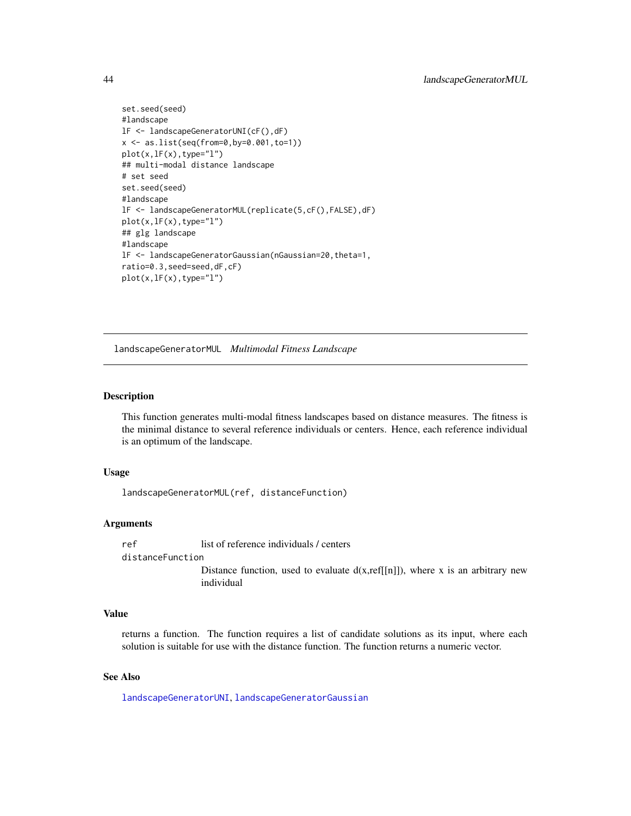```
set.seed(seed)
#landscape
lF <- landscapeGeneratorUNI(cF(),dF)
x <- as.list(seq(from=0,by=0.001,to=1))
plot(x,lF(x),type="l")
## multi-modal distance landscape
# set seed
set.seed(seed)
#landscape
lF <- landscapeGeneratorMUL(replicate(5,cF(),FALSE),dF)
plot(x,lF(x),type="l")
## glg landscape
#landscape
lF <- landscapeGeneratorGaussian(nGaussian=20,theta=1,
ratio=0.3,seed=seed,dF,cF)
plot(x,lF(x),type="l")
```
<span id="page-43-0"></span>landscapeGeneratorMUL *Multimodal Fitness Landscape*

## Description

This function generates multi-modal fitness landscapes based on distance measures. The fitness is the minimal distance to several reference individuals or centers. Hence, each reference individual is an optimum of the landscape.

#### Usage

landscapeGeneratorMUL(ref, distanceFunction)

#### Arguments

ref list of reference individuals / centers

## distanceFunction

Distance function, used to evaluate  $d(x, ref[[n]])$ , where x is an arbitrary new individual

### Value

returns a function. The function requires a list of candidate solutions as its input, where each solution is suitable for use with the distance function. The function returns a numeric vector.

#### See Also

[landscapeGeneratorUNI](#page-44-0), [landscapeGeneratorGaussian](#page-41-0)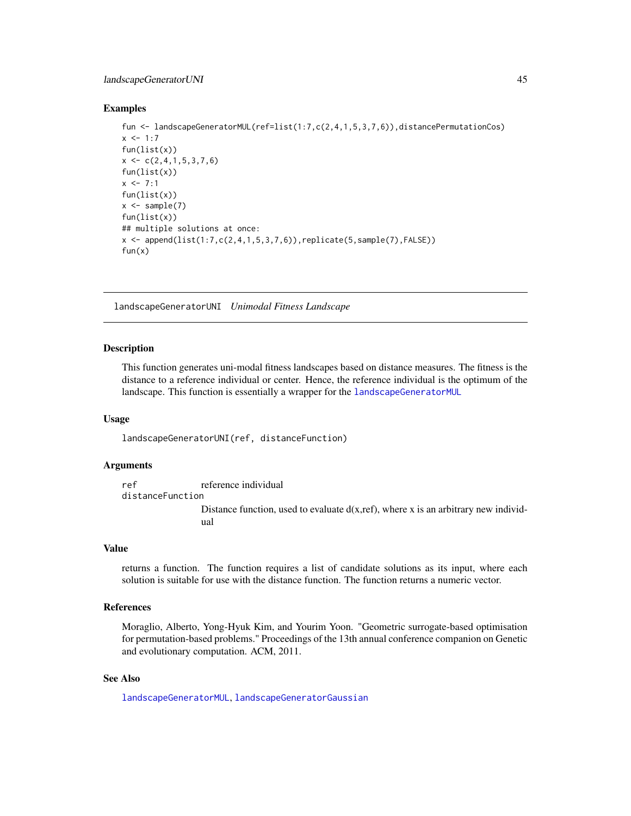#### Examples

```
fun <- landscapeGeneratorMUL(ref=list(1:7,c(2,4,1,5,3,7,6)),distancePermutationCos)
x \le -1:7fun(list(x))x \leftarrow c(2, 4, 1, 5, 3, 7, 6)fun(list(x))x \le -7:1fun(list(x))
x \leftarrow sample(7)
fun(list(x))
## multiple solutions at once:
x \le append(list(1:7,c(2,4,1,5,3,7,6)),replicate(5,sample(7),FALSE))
fun(x)
```
<span id="page-44-0"></span>landscapeGeneratorUNI *Unimodal Fitness Landscape*

### Description

This function generates uni-modal fitness landscapes based on distance measures. The fitness is the distance to a reference individual or center. Hence, the reference individual is the optimum of the landscape. This function is essentially a wrapper for the [landscapeGeneratorMUL](#page-43-0)

#### Usage

landscapeGeneratorUNI(ref, distanceFunction)

# Arguments

ref reference individual distanceFunction Distance function, used to evaluate  $d(x,ref)$ , where x is an arbitrary new individual

#### Value

returns a function. The function requires a list of candidate solutions as its input, where each solution is suitable for use with the distance function. The function returns a numeric vector.

## References

Moraglio, Alberto, Yong-Hyuk Kim, and Yourim Yoon. "Geometric surrogate-based optimisation for permutation-based problems." Proceedings of the 13th annual conference companion on Genetic and evolutionary computation. ACM, 2011.

### See Also

[landscapeGeneratorMUL](#page-43-0), [landscapeGeneratorGaussian](#page-41-0)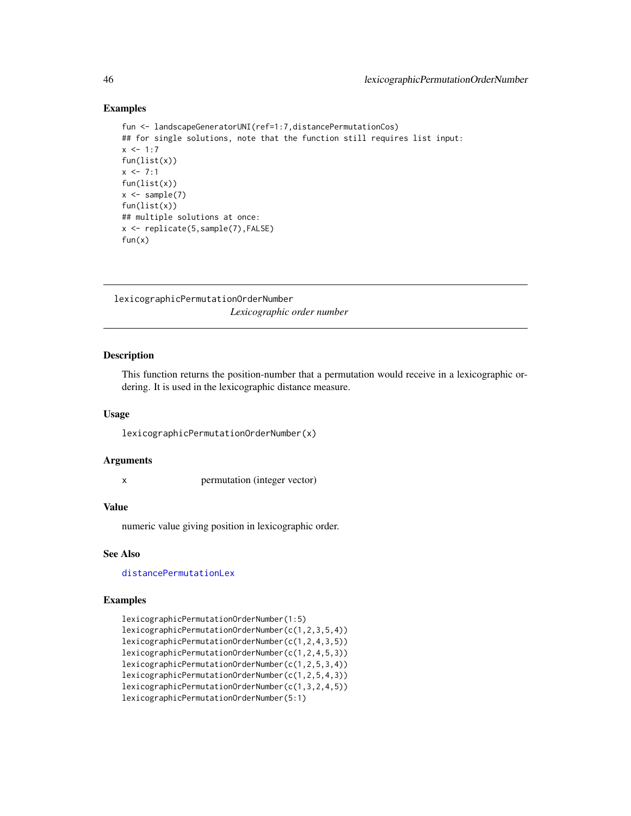### Examples

```
fun <- landscapeGeneratorUNI(ref=1:7,distancePermutationCos)
## for single solutions, note that the function still requires list input:
x < -1:7fun(list(x))
x \le -7:1fun(list(x))
x \leftarrow sample(7)
fun(list(x))
## multiple solutions at once:
x <- replicate(5,sample(7),FALSE)
fun(x)
```
lexicographicPermutationOrderNumber *Lexicographic order number*

## Description

This function returns the position-number that a permutation would receive in a lexicographic ordering. It is used in the lexicographic distance measure.

### Usage

lexicographicPermutationOrderNumber(x)

#### Arguments

x permutation (integer vector)

### Value

numeric value giving position in lexicographic order.

#### See Also

[distancePermutationLex](#page-28-0)

```
lexicographicPermutationOrderNumber(1:5)
lexicographicPermutationOrderNumber(c(1,2,3,5,4))
lexicographicPermutationOrderNumber(c(1,2,4,3,5))
lexicographicPermutationOrderNumber(c(1,2,4,5,3))
lexicographicPermutationOrderNumber(c(1,2,5,3,4))
lexicographicPermutationOrderNumber(c(1,2,5,4,3))
lexicographicPermutationOrderNumber(c(1,3,2,4,5))
lexicographicPermutationOrderNumber(5:1)
```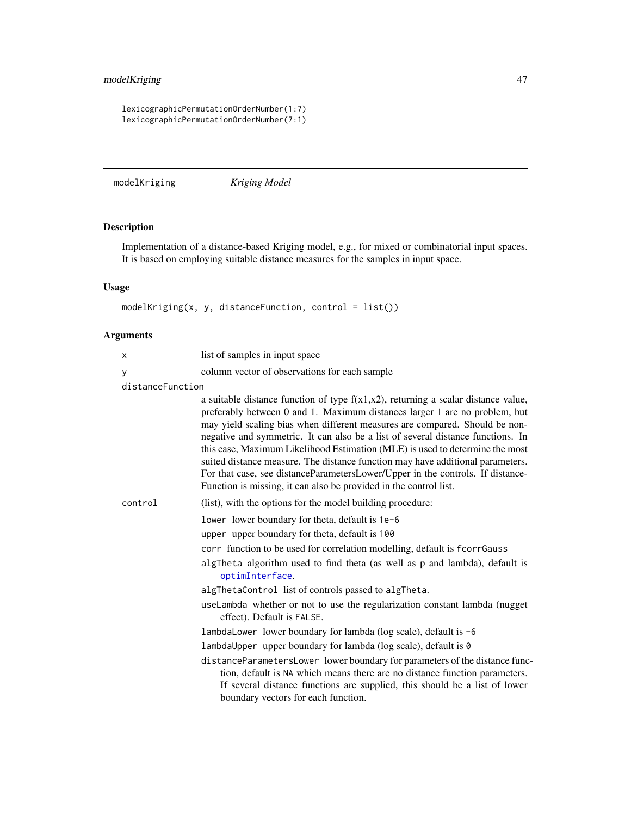## modelKriging 47

lexicographicPermutationOrderNumber(1:7) lexicographicPermutationOrderNumber(7:1)

<span id="page-46-0"></span>modelKriging *Kriging Model*

# Description

Implementation of a distance-based Kriging model, e.g., for mixed or combinatorial input spaces. It is based on employing suitable distance measures for the samples in input space.

## Usage

modelKriging(x, y, distanceFunction, control = list())

| X                | list of samples in input space                                                                                                                                                                                                                                                                                                                                                                                                                                                                                                                                                                                                                                |
|------------------|---------------------------------------------------------------------------------------------------------------------------------------------------------------------------------------------------------------------------------------------------------------------------------------------------------------------------------------------------------------------------------------------------------------------------------------------------------------------------------------------------------------------------------------------------------------------------------------------------------------------------------------------------------------|
| У                | column vector of observations for each sample                                                                                                                                                                                                                                                                                                                                                                                                                                                                                                                                                                                                                 |
| distanceFunction |                                                                                                                                                                                                                                                                                                                                                                                                                                                                                                                                                                                                                                                               |
|                  | a suitable distance function of type $f(x1,x2)$ , returning a scalar distance value,<br>preferably between 0 and 1. Maximum distances larger 1 are no problem, but<br>may yield scaling bias when different measures are compared. Should be non-<br>negative and symmetric. It can also be a list of several distance functions. In<br>this case, Maximum Likelihood Estimation (MLE) is used to determine the most<br>suited distance measure. The distance function may have additional parameters.<br>For that case, see distanceParametersLower/Upper in the controls. If distance-<br>Function is missing, it can also be provided in the control list. |
| control          | (list), with the options for the model building procedure:                                                                                                                                                                                                                                                                                                                                                                                                                                                                                                                                                                                                    |
|                  | lower lower boundary for theta, default is 1e-6                                                                                                                                                                                                                                                                                                                                                                                                                                                                                                                                                                                                               |
|                  | upper upper boundary for theta, default is 100                                                                                                                                                                                                                                                                                                                                                                                                                                                                                                                                                                                                                |
|                  | corr function to be used for correlation modelling, default is fcorrGauss                                                                                                                                                                                                                                                                                                                                                                                                                                                                                                                                                                                     |
|                  | algTheta algorithm used to find theta (as well as p and lambda), default is<br>optimInterface.                                                                                                                                                                                                                                                                                                                                                                                                                                                                                                                                                                |
|                  | algThetaControl list of controls passed to algTheta.                                                                                                                                                                                                                                                                                                                                                                                                                                                                                                                                                                                                          |
|                  | useLambda whether or not to use the regularization constant lambda (nugget)<br>effect). Default is FALSE.                                                                                                                                                                                                                                                                                                                                                                                                                                                                                                                                                     |
|                  | lambdaLower lower boundary for lambda (log scale), default is -6                                                                                                                                                                                                                                                                                                                                                                                                                                                                                                                                                                                              |
|                  | lambdaUpper upper boundary for lambda (log scale), default is 0                                                                                                                                                                                                                                                                                                                                                                                                                                                                                                                                                                                               |
|                  | distanceParametersLower lower boundary for parameters of the distance func-<br>tion, default is NA which means there are no distance function parameters.<br>If several distance functions are supplied, this should be a list of lower<br>boundary vectors for each function.                                                                                                                                                                                                                                                                                                                                                                                |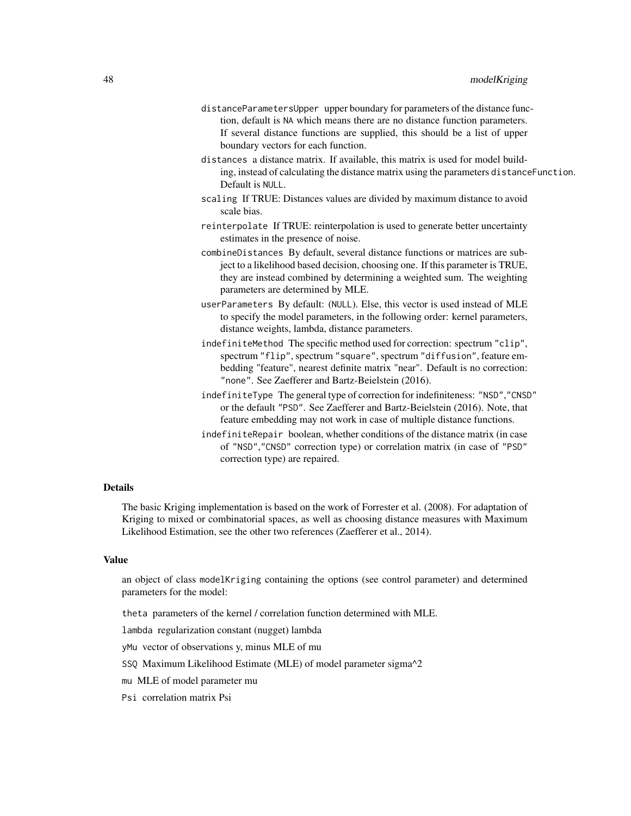- distanceParametersUpper upper boundary for parameters of the distance function, default is NA which means there are no distance function parameters. If several distance functions are supplied, this should be a list of upper boundary vectors for each function.
- distances a distance matrix. If available, this matrix is used for model building, instead of calculating the distance matrix using the parameters distanceFunction. Default is NULL.
- scaling If TRUE: Distances values are divided by maximum distance to avoid scale bias.
- reinterpolate If TRUE: reinterpolation is used to generate better uncertainty estimates in the presence of noise.
- combineDistances By default, several distance functions or matrices are subject to a likelihood based decision, choosing one. If this parameter is TRUE, they are instead combined by determining a weighted sum. The weighting parameters are determined by MLE.
- userParameters By default: (NULL). Else, this vector is used instead of MLE to specify the model parameters, in the following order: kernel parameters, distance weights, lambda, distance parameters.
- indefiniteMethod The specific method used for correction: spectrum "clip", spectrum "flip", spectrum "square", spectrum "diffusion", feature embedding "feature", nearest definite matrix "near". Default is no correction: "none". See Zaefferer and Bartz-Beielstein (2016).
- indefiniteType The general type of correction for indefiniteness: "NSD","CNSD" or the default "PSD". See Zaefferer and Bartz-Beielstein (2016). Note, that feature embedding may not work in case of multiple distance functions.
- indefiniteRepair boolean, whether conditions of the distance matrix (in case of "NSD","CNSD" correction type) or correlation matrix (in case of "PSD" correction type) are repaired.

## Details

The basic Kriging implementation is based on the work of Forrester et al. (2008). For adaptation of Kriging to mixed or combinatorial spaces, as well as choosing distance measures with Maximum Likelihood Estimation, see the other two references (Zaefferer et al., 2014).

#### Value

an object of class modelKriging containing the options (see control parameter) and determined parameters for the model:

theta parameters of the kernel / correlation function determined with MLE.

lambda regularization constant (nugget) lambda

- yMu vector of observations y, minus MLE of mu
- SSQ Maximum Likelihood Estimate (MLE) of model parameter sigma^2
- mu MLE of model parameter mu
- Psi correlation matrix Psi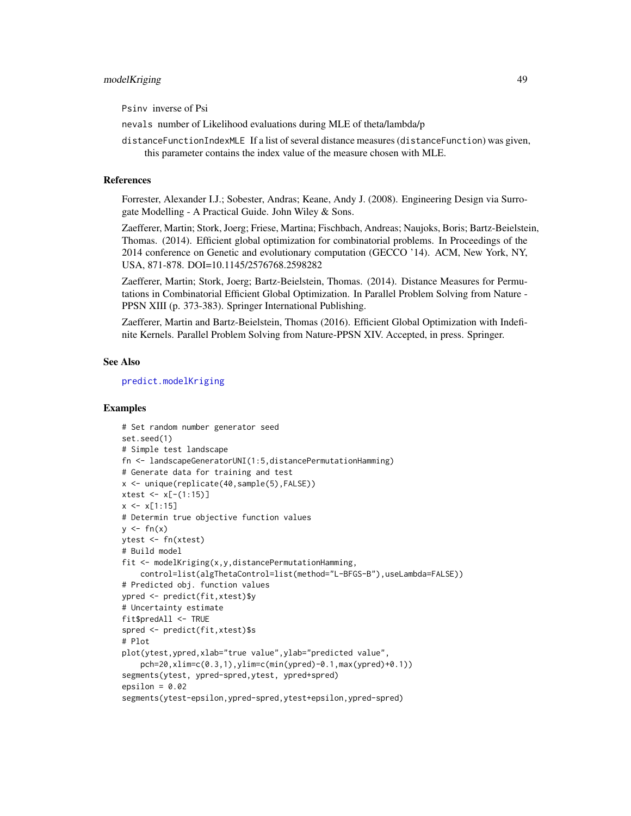## modelKriging 49

Psinv inverse of Psi

nevals number of Likelihood evaluations during MLE of theta/lambda/p

distanceFunctionIndexMLE If a list of several distance measures (distanceFunction) was given, this parameter contains the index value of the measure chosen with MLE.

## References

Forrester, Alexander I.J.; Sobester, Andras; Keane, Andy J. (2008). Engineering Design via Surrogate Modelling - A Practical Guide. John Wiley & Sons.

Zaefferer, Martin; Stork, Joerg; Friese, Martina; Fischbach, Andreas; Naujoks, Boris; Bartz-Beielstein, Thomas. (2014). Efficient global optimization for combinatorial problems. In Proceedings of the 2014 conference on Genetic and evolutionary computation (GECCO '14). ACM, New York, NY, USA, 871-878. DOI=10.1145/2576768.2598282

Zaefferer, Martin; Stork, Joerg; Bartz-Beielstein, Thomas. (2014). Distance Measures for Permutations in Combinatorial Efficient Global Optimization. In Parallel Problem Solving from Nature - PPSN XIII (p. 373-383). Springer International Publishing.

Zaefferer, Martin and Bartz-Beielstein, Thomas (2016). Efficient Global Optimization with Indefinite Kernels. Parallel Problem Solving from Nature-PPSN XIV. Accepted, in press. Springer.

### See Also

[predict.modelKriging](#page-72-0)

```
# Set random number generator seed
set.seed(1)
# Simple test landscape
fn <- landscapeGeneratorUNI(1:5,distancePermutationHamming)
# Generate data for training and test
x <- unique(replicate(40,sample(5),FALSE))
xtest < -x[-(1:15)]x \leq x[1:15]# Determin true objective function values
y \le -f_n(x)ytest <- fn(xtest)
# Build model
fit <- modelKriging(x,y,distancePermutationHamming,
    control=list(algThetaControl=list(method="L-BFGS-B"),useLambda=FALSE))
# Predicted obj. function values
ypred <- predict(fit,xtest)$y
# Uncertainty estimate
fit$predAll <- TRUE
spred <- predict(fit,xtest)$s
# Plot
plot(ytest,ypred,xlab="true value",ylab="predicted value",
    pch=20,xlim=c(0.3,1),ylim=c(min(ypred)-0.1,max(ypred)+0.1))
segments(ytest, ypred-spred,ytest, ypred+spred)
epsilon = 0.02segments(ytest-epsilon,ypred-spred,ytest+epsilon,ypred-spred)
```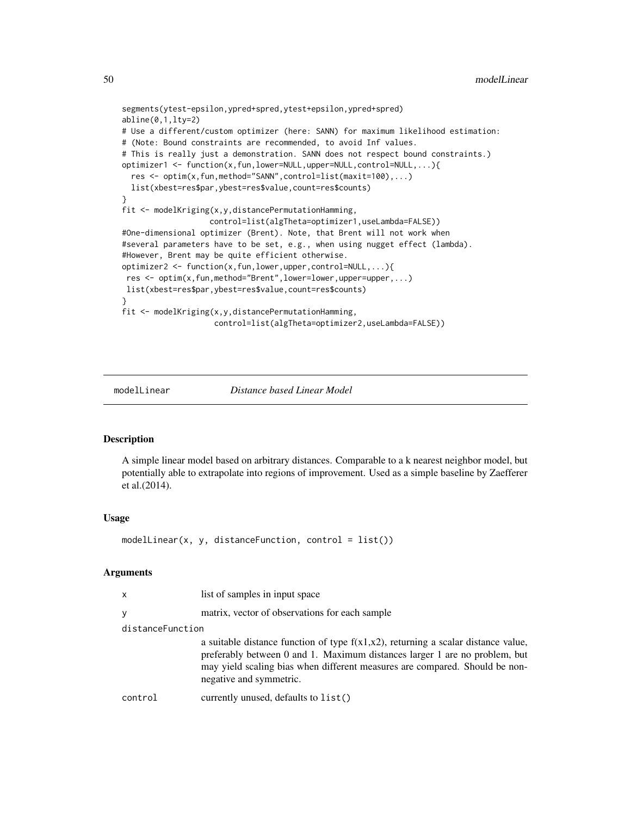```
segments(ytest-epsilon,ypred+spred,ytest+epsilon,ypred+spred)
abline(0,1,lty=2)
# Use a different/custom optimizer (here: SANN) for maximum likelihood estimation:
# (Note: Bound constraints are recommended, to avoid Inf values.
# This is really just a demonstration. SANN does not respect bound constraints.)
optimizer1 <- function(x,fun,lower=NULL,upper=NULL,control=NULL,...){
 res <- optim(x,fun,method="SANN",control=list(maxit=100),...)
 list(xbest=res$par,ybest=res$value,count=res$counts)
}
fit <- modelKriging(x,y,distancePermutationHamming,
                   control=list(algTheta=optimizer1,useLambda=FALSE))
#One-dimensional optimizer (Brent). Note, that Brent will not work when
#several parameters have to be set, e.g., when using nugget effect (lambda).
#However, Brent may be quite efficient otherwise.
optimizer2 <- function(x,fun,lower,upper,control=NULL,...){
res <- optim(x,fun,method="Brent",lower=lower,upper=upper,...)
list(xbest=res$par,ybest=res$value,count=res$counts)
}
fit <- modelKriging(x,y,distancePermutationHamming,
                    control=list(algTheta=optimizer2,useLambda=FALSE))
```
<span id="page-49-0"></span>modelLinear *Distance based Linear Model*

### **Description**

A simple linear model based on arbitrary distances. Comparable to a k nearest neighbor model, but potentially able to extrapolate into regions of improvement. Used as a simple baseline by Zaefferer et al.(2014).

#### Usage

 $modelLinear(x, y, distanceFunction, control = list())$ 

| x                | list of samples in input space                                                                                                                                                                                                                                               |
|------------------|------------------------------------------------------------------------------------------------------------------------------------------------------------------------------------------------------------------------------------------------------------------------------|
|                  | matrix, vector of observations for each sample                                                                                                                                                                                                                               |
| distanceFunction |                                                                                                                                                                                                                                                                              |
|                  | a suitable distance function of type $f(x1,x2)$ , returning a scalar distance value,<br>preferably between 0 and 1. Maximum distances larger 1 are no problem, but<br>may yield scaling bias when different measures are compared. Should be non-<br>negative and symmetric. |
| control          | currently unused, defaults to list()                                                                                                                                                                                                                                         |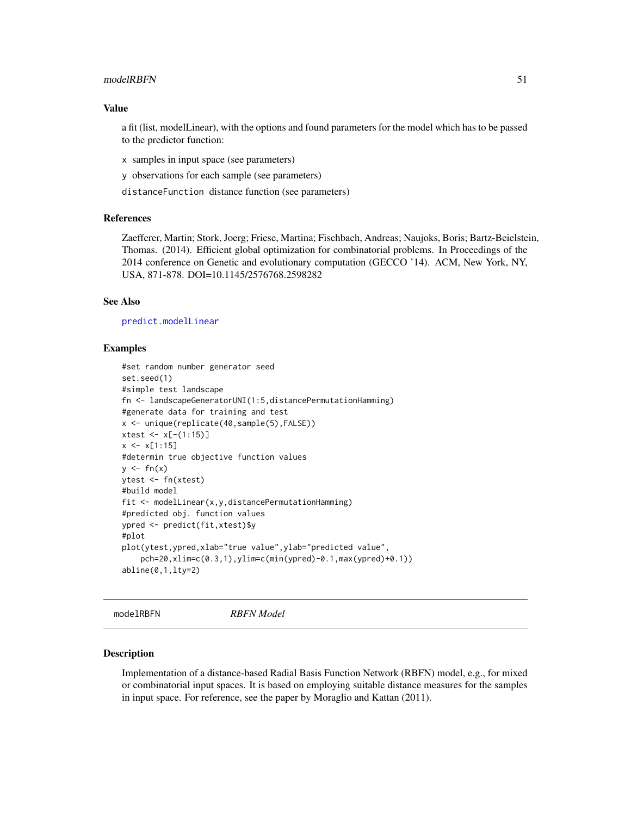#### modelRBFN 51

### Value

a fit (list, modelLinear), with the options and found parameters for the model which has to be passed to the predictor function:

x samples in input space (see parameters)

y observations for each sample (see parameters)

distanceFunction distance function (see parameters)

### References

Zaefferer, Martin; Stork, Joerg; Friese, Martina; Fischbach, Andreas; Naujoks, Boris; Bartz-Beielstein, Thomas. (2014). Efficient global optimization for combinatorial problems. In Proceedings of the 2014 conference on Genetic and evolutionary computation (GECCO '14). ACM, New York, NY, USA, 871-878. DOI=10.1145/2576768.2598282

### See Also

[predict.modelLinear](#page-73-0)

#### Examples

```
#set random number generator seed
set.seed(1)
#simple test landscape
fn <- landscapeGeneratorUNI(1:5,distancePermutationHamming)
#generate data for training and test
x <- unique(replicate(40,sample(5),FALSE))
xtest <- x[-(1:15)]
x \leq x[1:15]#determin true objective function values
y \le -f n(x)ytest <- fn(xtest)
#build model
fit <- modelLinear(x,y,distancePermutationHamming)
#predicted obj. function values
ypred <- predict(fit,xtest)$y
#plot
plot(ytest,ypred,xlab="true value",ylab="predicted value",
    pch=20,xlim=c(0.3,1),ylim=c(min(ypred)-0.1,max(ypred)+0.1))
abline(0,1,lty=2)
```
<span id="page-50-0"></span>modelRBFN *RBFN Model*

#### Description

Implementation of a distance-based Radial Basis Function Network (RBFN) model, e.g., for mixed or combinatorial input spaces. It is based on employing suitable distance measures for the samples in input space. For reference, see the paper by Moraglio and Kattan (2011).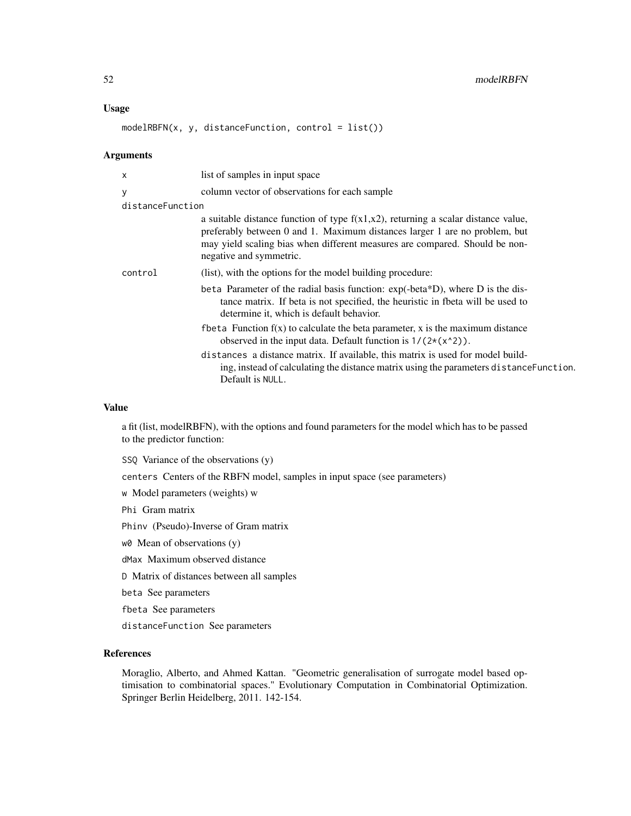#### Usage

 $modelRBFN(x, y, distanceFunction, control = list())$ 

#### Arguments

| X                | list of samples in input space                                                                                                                                                                                                                                               |
|------------------|------------------------------------------------------------------------------------------------------------------------------------------------------------------------------------------------------------------------------------------------------------------------------|
| У                | column vector of observations for each sample                                                                                                                                                                                                                                |
| distanceFunction |                                                                                                                                                                                                                                                                              |
|                  | a suitable distance function of type $f(x1,x2)$ , returning a scalar distance value,<br>preferably between 0 and 1. Maximum distances larger 1 are no problem, but<br>may yield scaling bias when different measures are compared. Should be non-<br>negative and symmetric. |
| control          | (list), with the options for the model building procedure:                                                                                                                                                                                                                   |
|                  | beta Parameter of the radial basis function: $exp(-beta^*D)$ , where D is the dis-<br>tance matrix. If beta is not specified, the heuristic in fbeta will be used to<br>determine it, which is default behavior.                                                             |
|                  | f beta Function $f(x)$ to calculate the beta parameter, x is the maximum distance<br>observed in the input data. Default function is $1/(2*(x^2))$ .                                                                                                                         |
|                  | distances a distance matrix. If available, this matrix is used for model build-<br>ing, instead of calculating the distance matrix using the parameters distance Function.<br>Default is NULL.                                                                               |
|                  |                                                                                                                                                                                                                                                                              |

#### Value

a fit (list, modelRBFN), with the options and found parameters for the model which has to be passed to the predictor function:

SSQ Variance of the observations (y)

centers Centers of the RBFN model, samples in input space (see parameters)

w Model parameters (weights) w

Phi Gram matrix

Phinv (Pseudo)-Inverse of Gram matrix

w0 Mean of observations (y)

dMax Maximum observed distance

D Matrix of distances between all samples

beta See parameters

fbeta See parameters

distanceFunction See parameters

### References

Moraglio, Alberto, and Ahmed Kattan. "Geometric generalisation of surrogate model based optimisation to combinatorial spaces." Evolutionary Computation in Combinatorial Optimization. Springer Berlin Heidelberg, 2011. 142-154.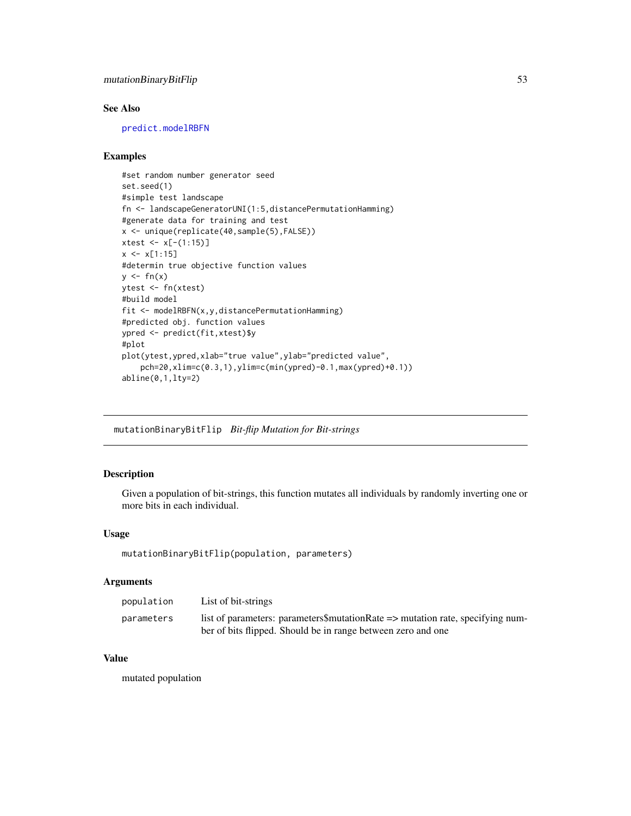## mutationBinaryBitFlip 53

## See Also

[predict.modelRBFN](#page-74-0)

### Examples

```
#set random number generator seed
set.seed(1)
#simple test landscape
fn <- landscapeGeneratorUNI(1:5,distancePermutationHamming)
#generate data for training and test
x <- unique(replicate(40,sample(5),FALSE))
xtest <- x[-(1:15)]
x \leq x[1:15]#determin true objective function values
y \leq -fn(x)ytest <- fn(xtest)
#build model
fit <- modelRBFN(x,y,distancePermutationHamming)
#predicted obj. function values
ypred <- predict(fit,xtest)$y
#plot
plot(ytest,ypred,xlab="true value",ylab="predicted value",
   pch=20,xlim=c(0.3,1),ylim=c(min(ypred)-0.1,max(ypred)+0.1))
abline(0,1,lty=2)
```
mutationBinaryBitFlip *Bit-flip Mutation for Bit-strings*

### Description

Given a population of bit-strings, this function mutates all individuals by randomly inverting one or more bits in each individual.

### Usage

```
mutationBinaryBitFlip(population, parameters)
```
#### Arguments

| population | List of bit-strings                                                            |
|------------|--------------------------------------------------------------------------------|
| parameters | list of parameters: parameters\$mutationRate => mutation rate, specifying num- |
|            | ber of bits flipped. Should be in range between zero and one                   |

### Value

mutated population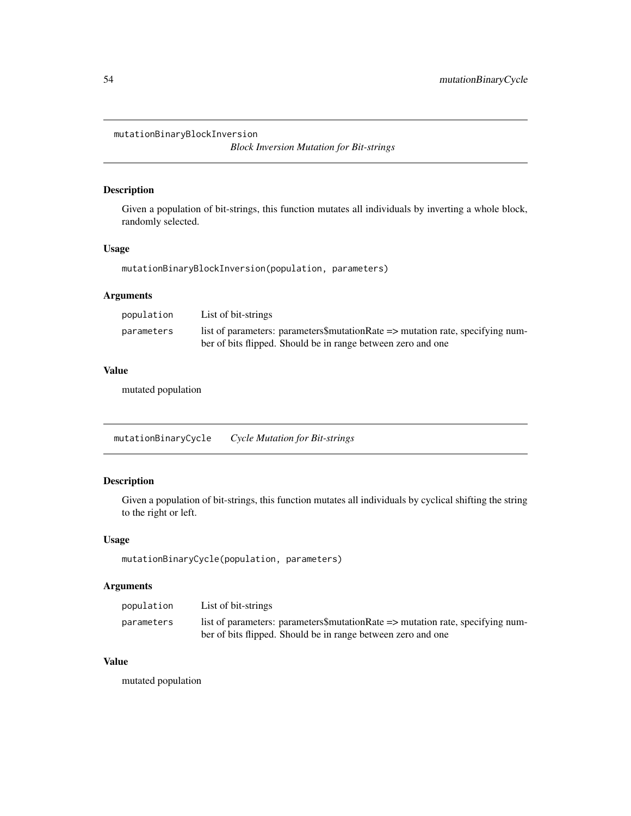mutationBinaryBlockInversion

*Block Inversion Mutation for Bit-strings*

### Description

Given a population of bit-strings, this function mutates all individuals by inverting a whole block, randomly selected.

## Usage

mutationBinaryBlockInversion(population, parameters)

## Arguments

| population | List of bit-strings                                                                                                                            |
|------------|------------------------------------------------------------------------------------------------------------------------------------------------|
| parameters | list of parameters: parameters\$mutationRate => mutation rate, specifying num-<br>ber of bits flipped. Should be in range between zero and one |

### Value

mutated population

mutationBinaryCycle *Cycle Mutation for Bit-strings*

## Description

Given a population of bit-strings, this function mutates all individuals by cyclical shifting the string to the right or left.

## Usage

mutationBinaryCycle(population, parameters)

### Arguments

| population | List of bit-strings                                                            |
|------------|--------------------------------------------------------------------------------|
| parameters | list of parameters: parameters\$mutationRate => mutation rate, specifying num- |
|            | ber of bits flipped. Should be in range between zero and one                   |

#### Value

mutated population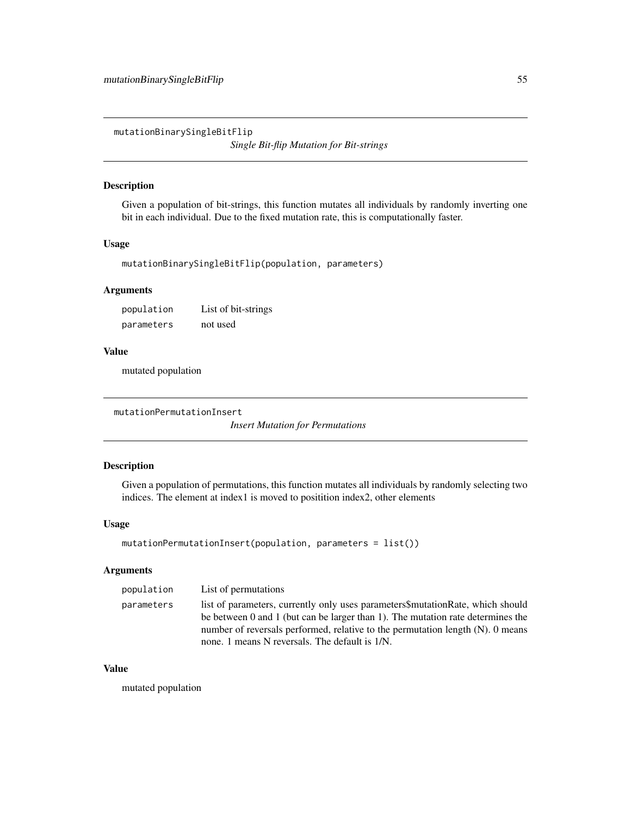mutationBinarySingleBitFlip

*Single Bit-flip Mutation for Bit-strings*

# Description

Given a population of bit-strings, this function mutates all individuals by randomly inverting one bit in each individual. Due to the fixed mutation rate, this is computationally faster.

#### Usage

```
mutationBinarySingleBitFlip(population, parameters)
```
## Arguments

| population | List of bit-strings |
|------------|---------------------|
| parameters | not used            |

## Value

mutated population

```
mutationPermutationInsert
```
*Insert Mutation for Permutations*

## Description

Given a population of permutations, this function mutates all individuals by randomly selecting two indices. The element at index1 is moved to positition index2, other elements

#### Usage

```
mutationPermutationInsert(population, parameters = list())
```
### Arguments

| population | List of permutations                                                                                                                                                                                                                                                                                        |
|------------|-------------------------------------------------------------------------------------------------------------------------------------------------------------------------------------------------------------------------------------------------------------------------------------------------------------|
| parameters | list of parameters, currently only uses parameters\$mutationRate, which should<br>be between 0 and 1 (but can be larger than 1). The mutation rate determines the<br>number of reversals performed, relative to the permutation length $(N)$ . 0 means<br>none. 1 means N reversals. The default is $1/N$ . |
|            |                                                                                                                                                                                                                                                                                                             |

### Value

mutated population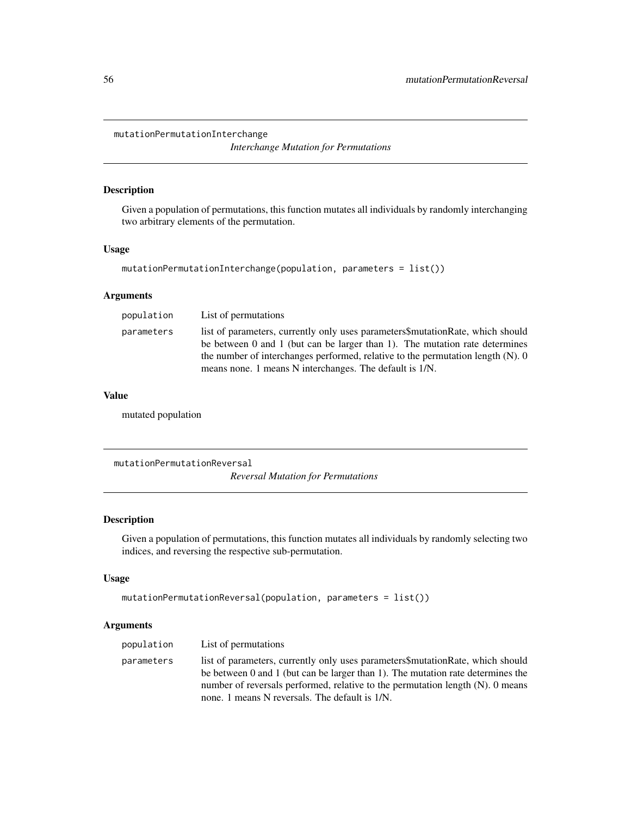mutationPermutationInterchange

*Interchange Mutation for Permutations*

### Description

Given a population of permutations, this function mutates all individuals by randomly interchanging two arbitrary elements of the permutation.

### Usage

```
mutationPermutationInterchange(population, parameters = list())
```
## Arguments

| population | List of permutations                                                                                                                                                                                                                                                                                           |
|------------|----------------------------------------------------------------------------------------------------------------------------------------------------------------------------------------------------------------------------------------------------------------------------------------------------------------|
| parameters | list of parameters, currently only uses parameters mutation Rate, which should<br>be between 0 and 1 (but can be larger than 1). The mutation rate determines<br>the number of interchanges performed, relative to the permutation length $(N)$ . O<br>means none. 1 means N interchanges. The default is 1/N. |
|            |                                                                                                                                                                                                                                                                                                                |

### Value

mutated population

mutationPermutationReversal

*Reversal Mutation for Permutations*

### Description

Given a population of permutations, this function mutates all individuals by randomly selecting two indices, and reversing the respective sub-permutation.

#### Usage

```
mutationPermutationReversal(population, parameters = list())
```

| population | List of permutations                                                                                                                                                                                                                                                                                        |
|------------|-------------------------------------------------------------------------------------------------------------------------------------------------------------------------------------------------------------------------------------------------------------------------------------------------------------|
| parameters | list of parameters, currently only uses parameters mutation Rate, which should<br>be between 0 and 1 (but can be larger than 1). The mutation rate determines the<br>number of reversals performed, relative to the permutation length $(N)$ . 0 means<br>none. 1 means N reversals. The default is $1/N$ . |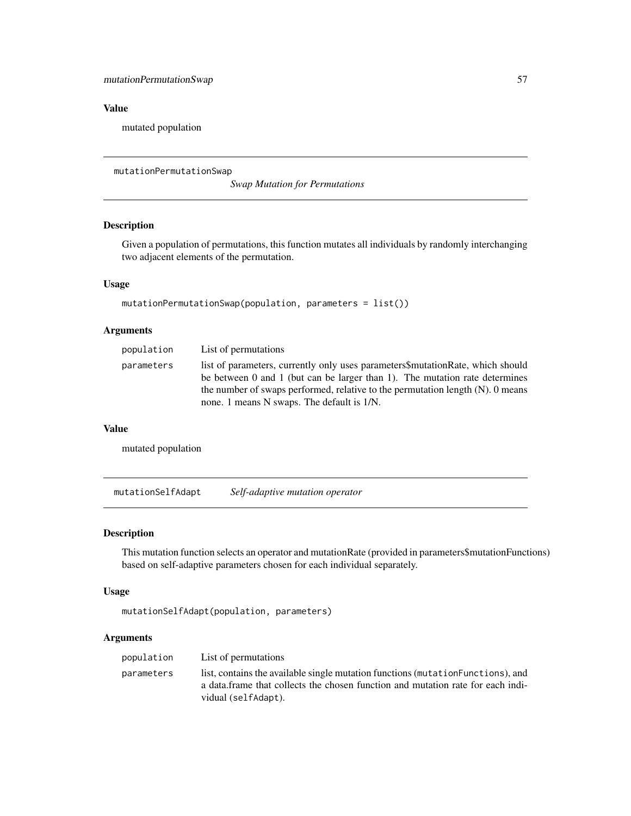## Value

mutated population

```
mutationPermutationSwap
```
*Swap Mutation for Permutations*

### Description

Given a population of permutations, this function mutates all individuals by randomly interchanging two adjacent elements of the permutation.

## Usage

```
mutationPermutationSwap(population, parameters = list())
```
### Arguments

| population | List of permutations                                                                                                                                                                                                                               |
|------------|----------------------------------------------------------------------------------------------------------------------------------------------------------------------------------------------------------------------------------------------------|
| parameters | list of parameters, currently only uses parameters mutation Rate, which should<br>be between 0 and 1 (but can be larger than 1). The mutation rate determines<br>the number of swaps performed, relative to the permutation length $(N)$ . 0 means |
|            | none. 1 means N swaps. The default is $1/N$ .                                                                                                                                                                                                      |

#### Value

mutated population

<span id="page-56-1"></span>mutationSelfAdapt *Self-adaptive mutation operator*

### Description

This mutation function selects an operator and mutationRate (provided in parameters\$mutationFunctions) based on self-adaptive parameters chosen for each individual separately.

## Usage

```
mutationSelfAdapt(population, parameters)
```

| population | List of permutations                                                                                                                                                                        |
|------------|---------------------------------------------------------------------------------------------------------------------------------------------------------------------------------------------|
| parameters | list, contains the available single mutation functions (mutation Functions), and<br>a data. frame that collects the chosen function and mutation rate for each indi-<br>vidual (selfAdapt). |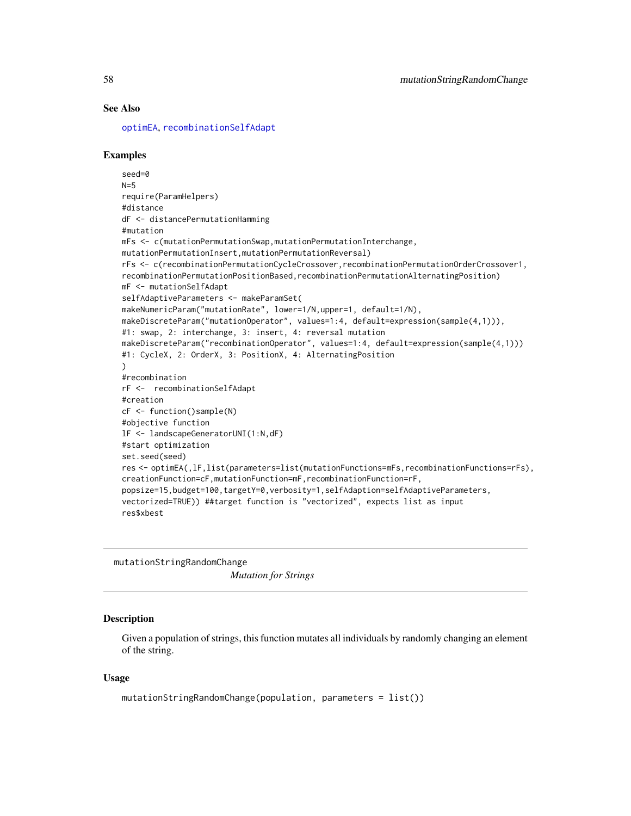### See Also

[optimEA](#page-63-0), [recombinationSelfAdapt](#page-78-0)

### Examples

```
seed=0
N=5require(ParamHelpers)
#distance
dF <- distancePermutationHamming
#mutation
mFs <- c(mutationPermutationSwap,mutationPermutationInterchange,
mutationPermutationInsert,mutationPermutationReversal)
rFs <- c(recombinationPermutationCycleCrossover,recombinationPermutationOrderCrossover1,
recombinationPermutationPositionBased,recombinationPermutationAlternatingPosition)
mF <- mutationSelfAdapt
selfAdaptiveParameters <- makeParamSet(
makeNumericParam("mutationRate", lower=1/N,upper=1, default=1/N),
makeDiscreteParam("mutationOperator", values=1:4, default=expression(sample(4,1))),
#1: swap, 2: interchange, 3: insert, 4: reversal mutation
makeDiscreteParam("recombinationOperator", values=1:4, default=expression(sample(4,1)))
#1: CycleX, 2: OrderX, 3: PositionX, 4: AlternatingPosition
)
#recombination
rF <- recombinationSelfAdapt
#creation
cF <- function()sample(N)
#objective function
lF <- landscapeGeneratorUNI(1:N,dF)
#start optimization
set.seed(seed)
res <- optimEA(,lF,list(parameters=list(mutationFunctions=mFs,recombinationFunctions=rFs),
creationFunction=cF,mutationFunction=mF,recombinationFunction=rF,
popsize=15,budget=100,targetY=0,verbosity=1,selfAdaption=selfAdaptiveParameters,
vectorized=TRUE)) ##target function is "vectorized", expects list as input
res$xbest
```
mutationStringRandomChange *Mutation for Strings*

### **Description**

Given a population of strings, this function mutates all individuals by randomly changing an element of the string.

#### Usage

```
mutationStringRandomChange(population, parameters = list())
```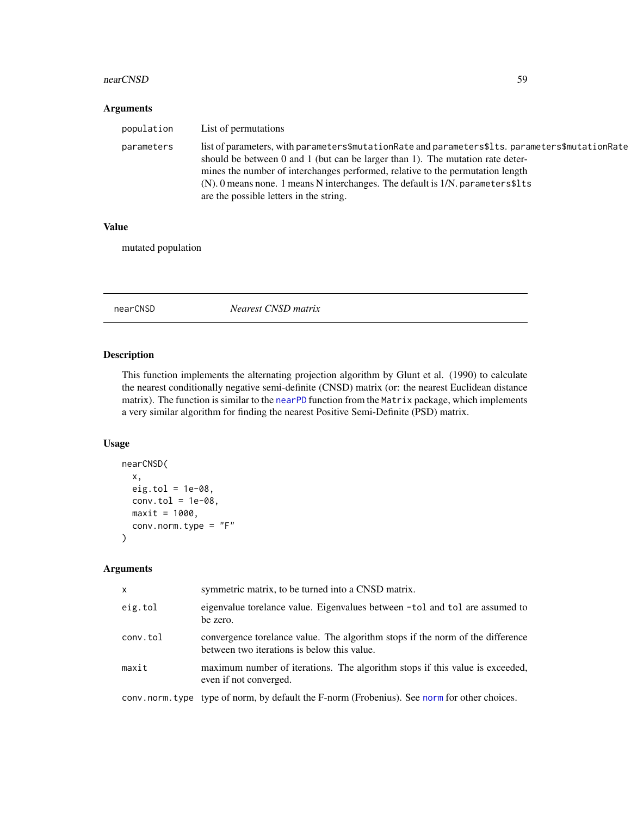#### nearCNSD 59

### Arguments

| population | List of permutations                                                                                                                                                                                                                                                                                                                                                                                    |
|------------|---------------------------------------------------------------------------------------------------------------------------------------------------------------------------------------------------------------------------------------------------------------------------------------------------------------------------------------------------------------------------------------------------------|
| parameters | list of parameters, with parameters\$mutationRate and parameters\$1ts. parameters\$mutationRate<br>should be between 0 and 1 (but can be larger than 1). The mutation rate deter-<br>mines the number of interchanges performed, relative to the permutation length<br>$(N)$ . 0 means none. 1 means N interchanges. The default is $1/N$ . parameters \$1ts<br>are the possible letters in the string. |

## Value

mutated population

nearCNSD *Nearest CNSD matrix*

## Description

This function implements the alternating projection algorithm by Glunt et al. (1990) to calculate the nearest conditionally negative semi-definite (CNSD) matrix (or: the nearest Euclidean distance matrix). The function is similar to the [nearPD](#page-0-0) function from the Matrix package, which implements a very similar algorithm for finding the nearest Positive Semi-Definite (PSD) matrix.

### Usage

```
nearCNSD(
  x,
  eig.tol = 1e-08,
  conv.tol = 1e-08,
  maxit = 1000,
  conv.norm.type = "F"
\mathcal{E}
```

| $\mathsf{x}$ | symmetric matrix, to be turned into a CNSD matrix.                                                                            |
|--------------|-------------------------------------------------------------------------------------------------------------------------------|
| eig.tol      | eigenvalue torelance value. Eigenvalues between -tol and tol are assumed to<br>be zero.                                       |
| conv.tol     | convergence torelance value. The algorithm stops if the norm of the difference<br>between two iterations is below this value. |
| maxit        | maximum number of iterations. The algorithm stops if this value is exceeded,<br>even if not converged.                        |
|              | conv. norm. type type of norm, by default the F-norm (Frobenius). See norm for other choices.                                 |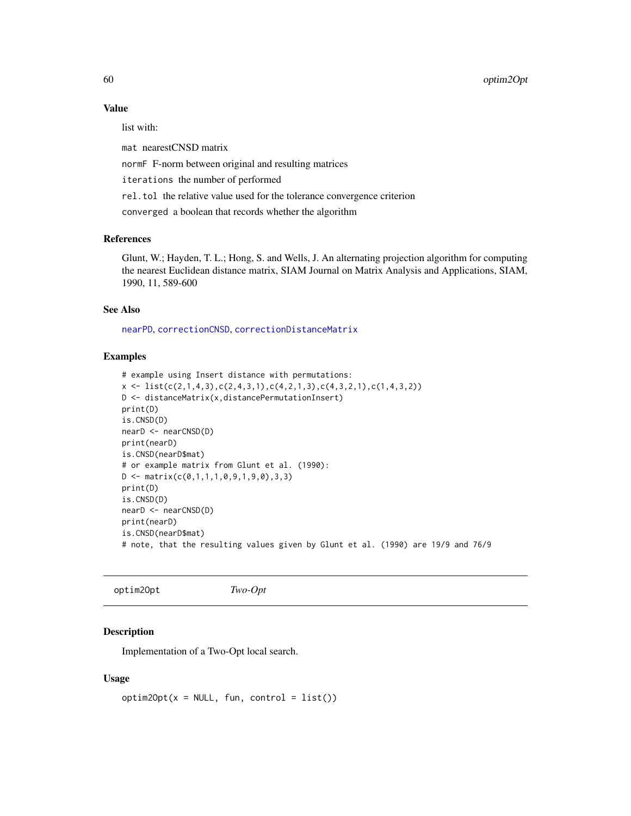### Value

list with:

mat nearestCNSD matrix

normF F-norm between original and resulting matrices

iterations the number of performed

rel.tol the relative value used for the tolerance convergence criterion

converged a boolean that records whether the algorithm

#### References

Glunt, W.; Hayden, T. L.; Hong, S. and Wells, J. An alternating projection algorithm for computing the nearest Euclidean distance matrix, SIAM Journal on Matrix Analysis and Applications, SIAM, 1990, 11, 589-600

#### See Also

[nearPD](#page-0-0), [correctionCNSD](#page-10-0), [correctionDistanceMatrix](#page-12-0)

## Examples

```
# example using Insert distance with permutations:
x \leftarrow \text{list}(c(2,1,4,3),c(2,4,3,1),c(4,2,1,3),c(4,3,2,1),c(1,4,3,2))D <- distanceMatrix(x,distancePermutationInsert)
print(D)
is.CNSD(D)
nearD <- nearCNSD(D)
print(nearD)
is.CNSD(nearD$mat)
# or example matrix from Glunt et al. (1990):
D \leftarrow matrix(c(0,1,1,1,0,9,1,9,0),3,3)print(D)
is.CNSD(D)
nearD <- nearCNSD(D)
print(nearD)
is.CNSD(nearD$mat)
# note, that the resulting values given by Glunt et al. (1990) are 19/9 and 76/9
```
<span id="page-59-0"></span>optim2Opt *Two-Opt*

### Description

Implementation of a Two-Opt local search.

#### Usage

 $option2Opt(x = NULL, fun, control = list())$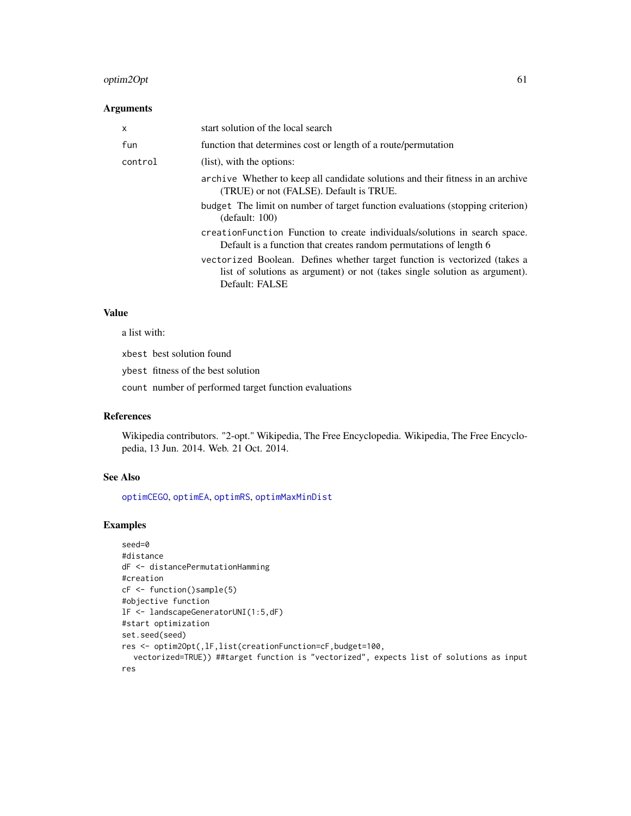## optim2Opt 61

### Arguments

| X       | start solution of the local search                                                                                                                                         |
|---------|----------------------------------------------------------------------------------------------------------------------------------------------------------------------------|
| fun     | function that determines cost or length of a route/permutation                                                                                                             |
| control | (list), with the options:                                                                                                                                                  |
|         | archive Whether to keep all candidate solutions and their fitness in an archive<br>(TRUE) or not (FALSE). Default is TRUE.                                                 |
|         | budget The limit on number of target function evaluations (stopping criterion)<br>(detault: 100)                                                                           |
|         | creation Function Function to create individuals/solutions in search space.<br>Default is a function that creates random permutations of length 6                          |
|         | vectorized Boolean. Defines whether target function is vectorized (takes a<br>list of solutions as argument) or not (takes single solution as argument).<br>Default: FALSE |

## Value

a list with:

xbest best solution found

ybest fitness of the best solution

count number of performed target function evaluations

### References

Wikipedia contributors. "2-opt." Wikipedia, The Free Encyclopedia. Wikipedia, The Free Encyclopedia, 13 Jun. 2014. Web. 21 Oct. 2014.

# See Also

[optimCEGO](#page-61-0), [optimEA](#page-63-0), [optimRS](#page-71-0), [optimMaxMinDist](#page-67-0)

```
seed=0
#distance
dF <- distancePermutationHamming
#creation
cF <- function()sample(5)
#objective function
lF <- landscapeGeneratorUNI(1:5,dF)
#start optimization
set.seed(seed)
res <- optim2Opt(,lF,list(creationFunction=cF,budget=100,
  vectorized=TRUE)) ##target function is "vectorized", expects list of solutions as input
res
```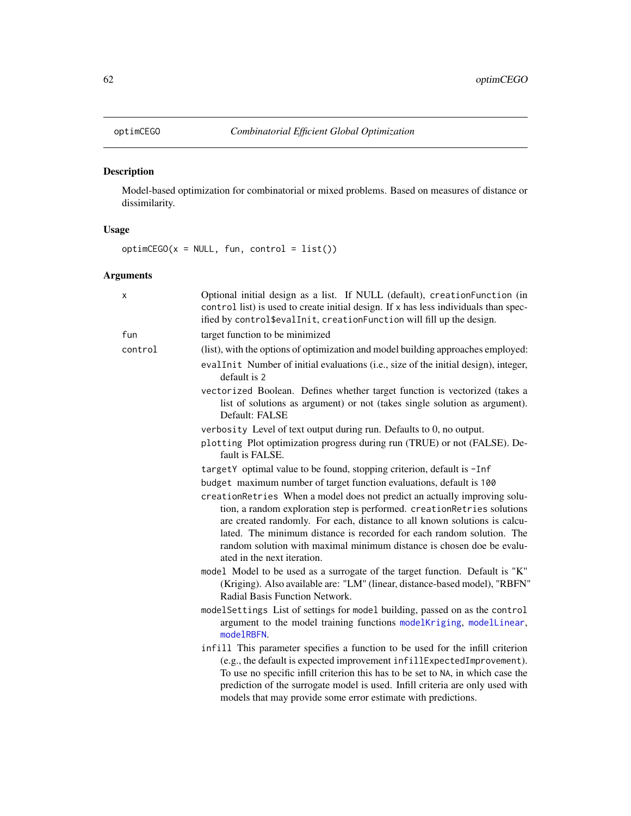<span id="page-61-0"></span>

# Description

Model-based optimization for combinatorial or mixed problems. Based on measures of distance or dissimilarity.

## Usage

 $optimCEGO(x = NULL, fun, control = list())$ 

| x       | Optional initial design as a list. If NULL (default), creationFunction (in<br>control list) is used to create initial design. If x has less individuals than spec-<br>ified by control\$evalInit, creationFunction will fill up the design.                                                                                                                                                                        |
|---------|--------------------------------------------------------------------------------------------------------------------------------------------------------------------------------------------------------------------------------------------------------------------------------------------------------------------------------------------------------------------------------------------------------------------|
| fun     | target function to be minimized                                                                                                                                                                                                                                                                                                                                                                                    |
| control | (list), with the options of optimization and model building approaches employed:                                                                                                                                                                                                                                                                                                                                   |
|         | evalInit Number of initial evaluations (i.e., size of the initial design), integer,<br>default is 2                                                                                                                                                                                                                                                                                                                |
|         | vectorized Boolean. Defines whether target function is vectorized (takes a<br>list of solutions as argument) or not (takes single solution as argument).<br>Default: FALSE                                                                                                                                                                                                                                         |
|         | verbosity Level of text output during run. Defaults to 0, no output.                                                                                                                                                                                                                                                                                                                                               |
|         | plotting Plot optimization progress during run (TRUE) or not (FALSE). De-<br>fault is FALSE.                                                                                                                                                                                                                                                                                                                       |
|         | targetY optimal value to be found, stopping criterion, default is -Inf                                                                                                                                                                                                                                                                                                                                             |
|         | budget maximum number of target function evaluations, default is 100                                                                                                                                                                                                                                                                                                                                               |
|         | creationRetries When a model does not predict an actually improving solu-<br>tion, a random exploration step is performed. creationRetries solutions<br>are created randomly. For each, distance to all known solutions is calcu-<br>lated. The minimum distance is recorded for each random solution. The<br>random solution with maximal minimum distance is chosen doe be evalu-<br>ated in the next iteration. |
|         | model Model to be used as a surrogate of the target function. Default is "K"<br>(Kriging). Also available are: "LM" (linear, distance-based model), "RBFN"<br>Radial Basis Function Network.                                                                                                                                                                                                                       |
|         | modelSettings List of settings for model building, passed on as the control<br>argument to the model training functions modelKriging, modelLinear,<br>modelRBFN.                                                                                                                                                                                                                                                   |
|         | infill This parameter specifies a function to be used for the infill criterion<br>(e.g., the default is expected improvement infillExpectedImprovement).<br>To use no specific infill criterion this has to be set to NA, in which case the<br>prediction of the surrogate model is used. Infill criteria are only used with<br>models that may provide some error estimate with predictions.                      |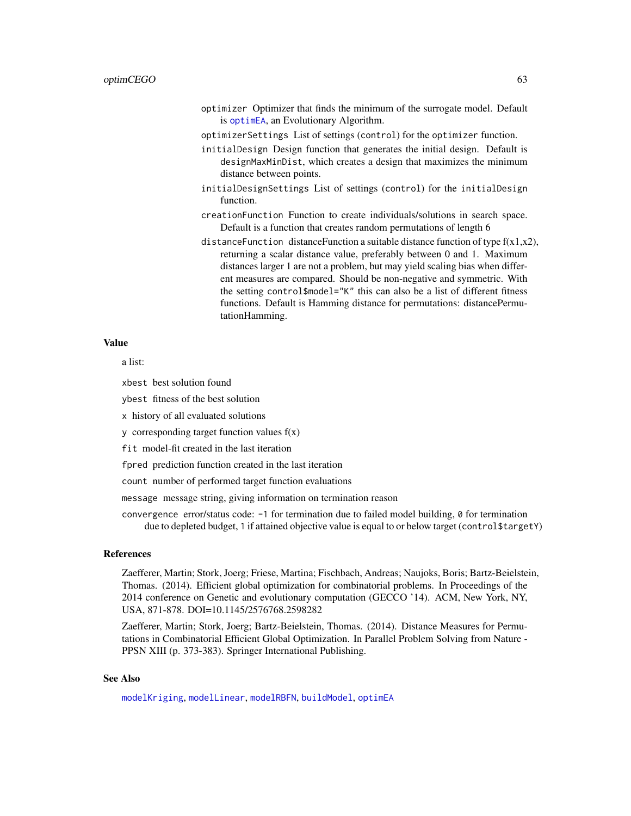optimizer Optimizer that finds the minimum of the surrogate model. Default is [optimEA](#page-63-0), an Evolutionary Algorithm.

optimizerSettings List of settings (control) for the optimizer function.

- initialDesign Design function that generates the initial design. Default is designMaxMinDist, which creates a design that maximizes the minimum distance between points.
- initialDesignSettings List of settings (control) for the initialDesign function.
- creationFunction Function to create individuals/solutions in search space. Default is a function that creates random permutations of length 6
- distanceFunction distanceFunction a suitable distance function of type  $f(x1,x2)$ , returning a scalar distance value, preferably between 0 and 1. Maximum distances larger 1 are not a problem, but may yield scaling bias when different measures are compared. Should be non-negative and symmetric. With the setting control\$model="K" this can also be a list of different fitness functions. Default is Hamming distance for permutations: distancePermutationHamming.

#### Value

a list:

xbest best solution found

ybest fitness of the best solution

x history of all evaluated solutions

 $\gamma$  corresponding target function values  $f(x)$ 

fit model-fit created in the last iteration

fpred prediction function created in the last iteration

count number of performed target function evaluations

message message string, giving information on termination reason

convergence error/status code: -1 for termination due to failed model building, 0 for termination due to depleted budget, 1 if attained objective value is equal to or below target (control\$targetY)

#### References

Zaefferer, Martin; Stork, Joerg; Friese, Martina; Fischbach, Andreas; Naujoks, Boris; Bartz-Beielstein, Thomas. (2014). Efficient global optimization for combinatorial problems. In Proceedings of the 2014 conference on Genetic and evolutionary computation (GECCO '14). ACM, New York, NY, USA, 871-878. DOI=10.1145/2576768.2598282

Zaefferer, Martin; Stork, Joerg; Bartz-Beielstein, Thomas. (2014). Distance Measures for Permutations in Combinatorial Efficient Global Optimization. In Parallel Problem Solving from Nature - PPSN XIII (p. 373-383). Springer International Publishing.

### See Also

[modelKriging](#page-46-0), [modelLinear](#page-49-0), [modelRBFN](#page-50-0), [buildModel](#page-0-0), [optimEA](#page-63-0)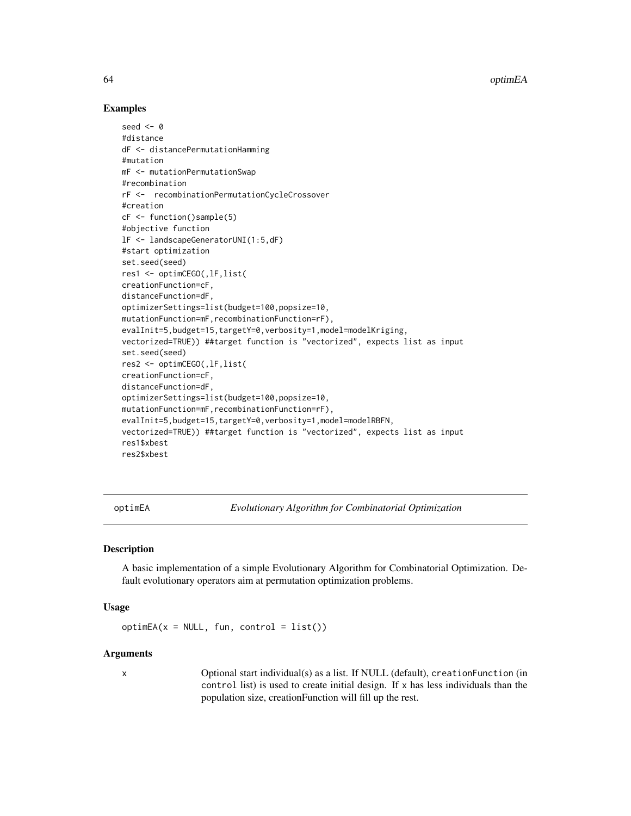### Examples

```
seed <-0#distance
dF <- distancePermutationHamming
#mutation
mF <- mutationPermutationSwap
#recombination
rF <- recombinationPermutationCycleCrossover
#creation
cF <- function()sample(5)
#objective function
lF <- landscapeGeneratorUNI(1:5,dF)
#start optimization
set.seed(seed)
res1 <- optimCEGO(,lF,list(
creationFunction=cF,
distanceFunction=dF,
optimizerSettings=list(budget=100,popsize=10,
mutationFunction=mF,recombinationFunction=rF),
evalInit=5,budget=15,targetY=0,verbosity=1,model=modelKriging,
vectorized=TRUE)) ##target function is "vectorized", expects list as input
set.seed(seed)
res2 <- optimCEGO(,lF,list(
creationFunction=cF,
distanceFunction=dF,
optimizerSettings=list(budget=100,popsize=10,
mutationFunction=mF,recombinationFunction=rF),
evalInit=5,budget=15,targetY=0,verbosity=1,model=modelRBFN,
vectorized=TRUE)) ##target function is "vectorized", expects list as input
res1$xbest
res2$xbest
```
<span id="page-63-0"></span>optimEA *Evolutionary Algorithm for Combinatorial Optimization*

#### **Description**

A basic implementation of a simple Evolutionary Algorithm for Combinatorial Optimization. Default evolutionary operators aim at permutation optimization problems.

#### Usage

 $optimEA(x = NULL, fun, control = list())$ 

#### Arguments

x Optional start individual(s) as a list. If NULL (default), creationFunction (in control list) is used to create initial design. If x has less individuals than the population size, creationFunction will fill up the rest.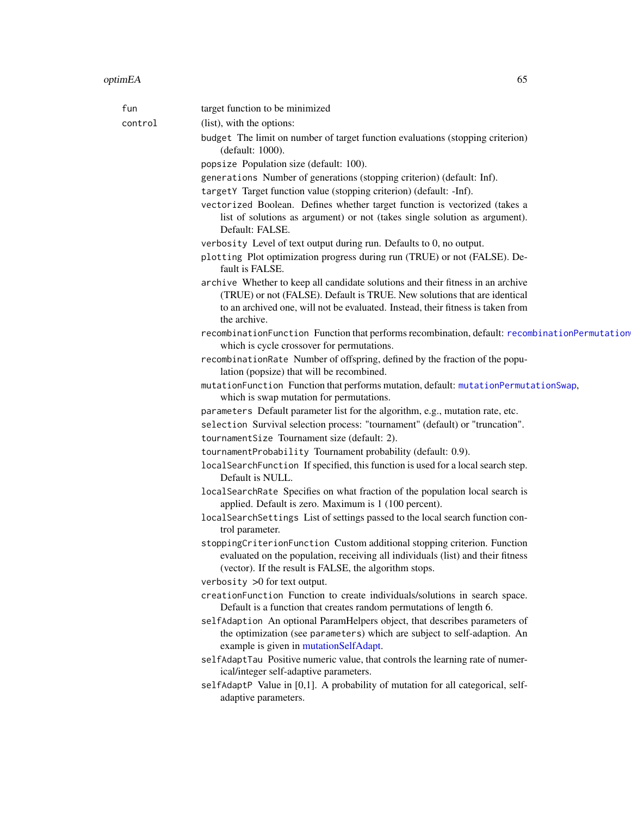| (list), with the options:<br>control<br>budget The limit on number of target function evaluations (stopping criterion)<br>(default: 1000).<br>popsize Population size (default: 100).<br>generations Number of generations (stopping criterion) (default: Inf).<br>targetY Target function value (stopping criterion) (default: -Inf).<br>vectorized Boolean. Defines whether target function is vectorized (takes a<br>list of solutions as argument) or not (takes single solution as argument).<br>Default: FALSE.<br>verbosity Level of text output during run. Defaults to 0, no output.<br>plotting Plot optimization progress during run (TRUE) or not (FALSE). De-<br>fault is FALSE.<br>archive Whether to keep all candidate solutions and their fitness in an archive<br>(TRUE) or not (FALSE). Default is TRUE. New solutions that are identical<br>to an archived one, will not be evaluated. Instead, their fitness is taken from<br>the archive.<br>which is cycle crossover for permutations.<br>recombinationRate Number of offspring, defined by the fraction of the popu-<br>lation (popsize) that will be recombined.<br>mutationFunction Function that performs mutation, default: mutationPermutationSwap,<br>which is swap mutation for permutations.<br>parameters Default parameter list for the algorithm, e.g., mutation rate, etc.<br>selection Survival selection process: "tournament" (default) or "truncation".<br>tournamentSize Tournament size (default: 2).<br>tournamentProbability Tournament probability (default: 0.9).<br>localSearchFunction If specified, this function is used for a local search step.<br>Default is NULL.<br>localSearchRate Specifies on what fraction of the population local search is<br>applied. Default is zero. Maximum is 1 (100 percent).<br>localSearchSettings List of settings passed to the local search function con-<br>trol parameter.<br>stoppingCriterionFunction Custom additional stopping criterion. Function<br>evaluated on the population, receiving all individuals (list) and their fitness<br>(vector). If the result is FALSE, the algorithm stops.<br>verbosity $>0$ for text output.<br>creationFunction Function to create individuals/solutions in search space.<br>Default is a function that creates random permutations of length 6.<br>selfAdaption An optional ParamHelpers object, that describes parameters of<br>the optimization (see parameters) which are subject to self-adaption. An<br>example is given in mutationSelfAdapt.<br>selfAdaptTau Positive numeric value, that controls the learning rate of numer-<br>ical/integer self-adaptive parameters. | fun | target function to be minimized                                                               |
|-----------------------------------------------------------------------------------------------------------------------------------------------------------------------------------------------------------------------------------------------------------------------------------------------------------------------------------------------------------------------------------------------------------------------------------------------------------------------------------------------------------------------------------------------------------------------------------------------------------------------------------------------------------------------------------------------------------------------------------------------------------------------------------------------------------------------------------------------------------------------------------------------------------------------------------------------------------------------------------------------------------------------------------------------------------------------------------------------------------------------------------------------------------------------------------------------------------------------------------------------------------------------------------------------------------------------------------------------------------------------------------------------------------------------------------------------------------------------------------------------------------------------------------------------------------------------------------------------------------------------------------------------------------------------------------------------------------------------------------------------------------------------------------------------------------------------------------------------------------------------------------------------------------------------------------------------------------------------------------------------------------------------------------------------------------------------------------------------------------------------------------------------------------------------------------------------------------------------------------------------------------------------------------------------------------------------------------------------------------------------------------------------------------------------------------------------------------------------------------------------------------------------------------------------------------------------------------------------------------------------------------------------------------------------|-----|-----------------------------------------------------------------------------------------------|
|                                                                                                                                                                                                                                                                                                                                                                                                                                                                                                                                                                                                                                                                                                                                                                                                                                                                                                                                                                                                                                                                                                                                                                                                                                                                                                                                                                                                                                                                                                                                                                                                                                                                                                                                                                                                                                                                                                                                                                                                                                                                                                                                                                                                                                                                                                                                                                                                                                                                                                                                                                                                                                                                       |     |                                                                                               |
|                                                                                                                                                                                                                                                                                                                                                                                                                                                                                                                                                                                                                                                                                                                                                                                                                                                                                                                                                                                                                                                                                                                                                                                                                                                                                                                                                                                                                                                                                                                                                                                                                                                                                                                                                                                                                                                                                                                                                                                                                                                                                                                                                                                                                                                                                                                                                                                                                                                                                                                                                                                                                                                                       |     |                                                                                               |
|                                                                                                                                                                                                                                                                                                                                                                                                                                                                                                                                                                                                                                                                                                                                                                                                                                                                                                                                                                                                                                                                                                                                                                                                                                                                                                                                                                                                                                                                                                                                                                                                                                                                                                                                                                                                                                                                                                                                                                                                                                                                                                                                                                                                                                                                                                                                                                                                                                                                                                                                                                                                                                                                       |     |                                                                                               |
|                                                                                                                                                                                                                                                                                                                                                                                                                                                                                                                                                                                                                                                                                                                                                                                                                                                                                                                                                                                                                                                                                                                                                                                                                                                                                                                                                                                                                                                                                                                                                                                                                                                                                                                                                                                                                                                                                                                                                                                                                                                                                                                                                                                                                                                                                                                                                                                                                                                                                                                                                                                                                                                                       |     |                                                                                               |
|                                                                                                                                                                                                                                                                                                                                                                                                                                                                                                                                                                                                                                                                                                                                                                                                                                                                                                                                                                                                                                                                                                                                                                                                                                                                                                                                                                                                                                                                                                                                                                                                                                                                                                                                                                                                                                                                                                                                                                                                                                                                                                                                                                                                                                                                                                                                                                                                                                                                                                                                                                                                                                                                       |     |                                                                                               |
|                                                                                                                                                                                                                                                                                                                                                                                                                                                                                                                                                                                                                                                                                                                                                                                                                                                                                                                                                                                                                                                                                                                                                                                                                                                                                                                                                                                                                                                                                                                                                                                                                                                                                                                                                                                                                                                                                                                                                                                                                                                                                                                                                                                                                                                                                                                                                                                                                                                                                                                                                                                                                                                                       |     |                                                                                               |
|                                                                                                                                                                                                                                                                                                                                                                                                                                                                                                                                                                                                                                                                                                                                                                                                                                                                                                                                                                                                                                                                                                                                                                                                                                                                                                                                                                                                                                                                                                                                                                                                                                                                                                                                                                                                                                                                                                                                                                                                                                                                                                                                                                                                                                                                                                                                                                                                                                                                                                                                                                                                                                                                       |     |                                                                                               |
|                                                                                                                                                                                                                                                                                                                                                                                                                                                                                                                                                                                                                                                                                                                                                                                                                                                                                                                                                                                                                                                                                                                                                                                                                                                                                                                                                                                                                                                                                                                                                                                                                                                                                                                                                                                                                                                                                                                                                                                                                                                                                                                                                                                                                                                                                                                                                                                                                                                                                                                                                                                                                                                                       |     |                                                                                               |
|                                                                                                                                                                                                                                                                                                                                                                                                                                                                                                                                                                                                                                                                                                                                                                                                                                                                                                                                                                                                                                                                                                                                                                                                                                                                                                                                                                                                                                                                                                                                                                                                                                                                                                                                                                                                                                                                                                                                                                                                                                                                                                                                                                                                                                                                                                                                                                                                                                                                                                                                                                                                                                                                       |     |                                                                                               |
|                                                                                                                                                                                                                                                                                                                                                                                                                                                                                                                                                                                                                                                                                                                                                                                                                                                                                                                                                                                                                                                                                                                                                                                                                                                                                                                                                                                                                                                                                                                                                                                                                                                                                                                                                                                                                                                                                                                                                                                                                                                                                                                                                                                                                                                                                                                                                                                                                                                                                                                                                                                                                                                                       |     |                                                                                               |
|                                                                                                                                                                                                                                                                                                                                                                                                                                                                                                                                                                                                                                                                                                                                                                                                                                                                                                                                                                                                                                                                                                                                                                                                                                                                                                                                                                                                                                                                                                                                                                                                                                                                                                                                                                                                                                                                                                                                                                                                                                                                                                                                                                                                                                                                                                                                                                                                                                                                                                                                                                                                                                                                       |     |                                                                                               |
|                                                                                                                                                                                                                                                                                                                                                                                                                                                                                                                                                                                                                                                                                                                                                                                                                                                                                                                                                                                                                                                                                                                                                                                                                                                                                                                                                                                                                                                                                                                                                                                                                                                                                                                                                                                                                                                                                                                                                                                                                                                                                                                                                                                                                                                                                                                                                                                                                                                                                                                                                                                                                                                                       |     |                                                                                               |
|                                                                                                                                                                                                                                                                                                                                                                                                                                                                                                                                                                                                                                                                                                                                                                                                                                                                                                                                                                                                                                                                                                                                                                                                                                                                                                                                                                                                                                                                                                                                                                                                                                                                                                                                                                                                                                                                                                                                                                                                                                                                                                                                                                                                                                                                                                                                                                                                                                                                                                                                                                                                                                                                       |     | recombinationFunction Function that performs recombination, default: recombinationPermutation |
|                                                                                                                                                                                                                                                                                                                                                                                                                                                                                                                                                                                                                                                                                                                                                                                                                                                                                                                                                                                                                                                                                                                                                                                                                                                                                                                                                                                                                                                                                                                                                                                                                                                                                                                                                                                                                                                                                                                                                                                                                                                                                                                                                                                                                                                                                                                                                                                                                                                                                                                                                                                                                                                                       |     |                                                                                               |
|                                                                                                                                                                                                                                                                                                                                                                                                                                                                                                                                                                                                                                                                                                                                                                                                                                                                                                                                                                                                                                                                                                                                                                                                                                                                                                                                                                                                                                                                                                                                                                                                                                                                                                                                                                                                                                                                                                                                                                                                                                                                                                                                                                                                                                                                                                                                                                                                                                                                                                                                                                                                                                                                       |     |                                                                                               |
|                                                                                                                                                                                                                                                                                                                                                                                                                                                                                                                                                                                                                                                                                                                                                                                                                                                                                                                                                                                                                                                                                                                                                                                                                                                                                                                                                                                                                                                                                                                                                                                                                                                                                                                                                                                                                                                                                                                                                                                                                                                                                                                                                                                                                                                                                                                                                                                                                                                                                                                                                                                                                                                                       |     |                                                                                               |
|                                                                                                                                                                                                                                                                                                                                                                                                                                                                                                                                                                                                                                                                                                                                                                                                                                                                                                                                                                                                                                                                                                                                                                                                                                                                                                                                                                                                                                                                                                                                                                                                                                                                                                                                                                                                                                                                                                                                                                                                                                                                                                                                                                                                                                                                                                                                                                                                                                                                                                                                                                                                                                                                       |     |                                                                                               |
|                                                                                                                                                                                                                                                                                                                                                                                                                                                                                                                                                                                                                                                                                                                                                                                                                                                                                                                                                                                                                                                                                                                                                                                                                                                                                                                                                                                                                                                                                                                                                                                                                                                                                                                                                                                                                                                                                                                                                                                                                                                                                                                                                                                                                                                                                                                                                                                                                                                                                                                                                                                                                                                                       |     |                                                                                               |
|                                                                                                                                                                                                                                                                                                                                                                                                                                                                                                                                                                                                                                                                                                                                                                                                                                                                                                                                                                                                                                                                                                                                                                                                                                                                                                                                                                                                                                                                                                                                                                                                                                                                                                                                                                                                                                                                                                                                                                                                                                                                                                                                                                                                                                                                                                                                                                                                                                                                                                                                                                                                                                                                       |     |                                                                                               |
|                                                                                                                                                                                                                                                                                                                                                                                                                                                                                                                                                                                                                                                                                                                                                                                                                                                                                                                                                                                                                                                                                                                                                                                                                                                                                                                                                                                                                                                                                                                                                                                                                                                                                                                                                                                                                                                                                                                                                                                                                                                                                                                                                                                                                                                                                                                                                                                                                                                                                                                                                                                                                                                                       |     |                                                                                               |
|                                                                                                                                                                                                                                                                                                                                                                                                                                                                                                                                                                                                                                                                                                                                                                                                                                                                                                                                                                                                                                                                                                                                                                                                                                                                                                                                                                                                                                                                                                                                                                                                                                                                                                                                                                                                                                                                                                                                                                                                                                                                                                                                                                                                                                                                                                                                                                                                                                                                                                                                                                                                                                                                       |     |                                                                                               |
|                                                                                                                                                                                                                                                                                                                                                                                                                                                                                                                                                                                                                                                                                                                                                                                                                                                                                                                                                                                                                                                                                                                                                                                                                                                                                                                                                                                                                                                                                                                                                                                                                                                                                                                                                                                                                                                                                                                                                                                                                                                                                                                                                                                                                                                                                                                                                                                                                                                                                                                                                                                                                                                                       |     |                                                                                               |
|                                                                                                                                                                                                                                                                                                                                                                                                                                                                                                                                                                                                                                                                                                                                                                                                                                                                                                                                                                                                                                                                                                                                                                                                                                                                                                                                                                                                                                                                                                                                                                                                                                                                                                                                                                                                                                                                                                                                                                                                                                                                                                                                                                                                                                                                                                                                                                                                                                                                                                                                                                                                                                                                       |     |                                                                                               |
|                                                                                                                                                                                                                                                                                                                                                                                                                                                                                                                                                                                                                                                                                                                                                                                                                                                                                                                                                                                                                                                                                                                                                                                                                                                                                                                                                                                                                                                                                                                                                                                                                                                                                                                                                                                                                                                                                                                                                                                                                                                                                                                                                                                                                                                                                                                                                                                                                                                                                                                                                                                                                                                                       |     |                                                                                               |
|                                                                                                                                                                                                                                                                                                                                                                                                                                                                                                                                                                                                                                                                                                                                                                                                                                                                                                                                                                                                                                                                                                                                                                                                                                                                                                                                                                                                                                                                                                                                                                                                                                                                                                                                                                                                                                                                                                                                                                                                                                                                                                                                                                                                                                                                                                                                                                                                                                                                                                                                                                                                                                                                       |     |                                                                                               |
|                                                                                                                                                                                                                                                                                                                                                                                                                                                                                                                                                                                                                                                                                                                                                                                                                                                                                                                                                                                                                                                                                                                                                                                                                                                                                                                                                                                                                                                                                                                                                                                                                                                                                                                                                                                                                                                                                                                                                                                                                                                                                                                                                                                                                                                                                                                                                                                                                                                                                                                                                                                                                                                                       |     |                                                                                               |
|                                                                                                                                                                                                                                                                                                                                                                                                                                                                                                                                                                                                                                                                                                                                                                                                                                                                                                                                                                                                                                                                                                                                                                                                                                                                                                                                                                                                                                                                                                                                                                                                                                                                                                                                                                                                                                                                                                                                                                                                                                                                                                                                                                                                                                                                                                                                                                                                                                                                                                                                                                                                                                                                       |     |                                                                                               |
|                                                                                                                                                                                                                                                                                                                                                                                                                                                                                                                                                                                                                                                                                                                                                                                                                                                                                                                                                                                                                                                                                                                                                                                                                                                                                                                                                                                                                                                                                                                                                                                                                                                                                                                                                                                                                                                                                                                                                                                                                                                                                                                                                                                                                                                                                                                                                                                                                                                                                                                                                                                                                                                                       |     |                                                                                               |
| adaptive parameters.                                                                                                                                                                                                                                                                                                                                                                                                                                                                                                                                                                                                                                                                                                                                                                                                                                                                                                                                                                                                                                                                                                                                                                                                                                                                                                                                                                                                                                                                                                                                                                                                                                                                                                                                                                                                                                                                                                                                                                                                                                                                                                                                                                                                                                                                                                                                                                                                                                                                                                                                                                                                                                                  |     | selfAdaptP Value in [0,1]. A probability of mutation for all categorical, self-               |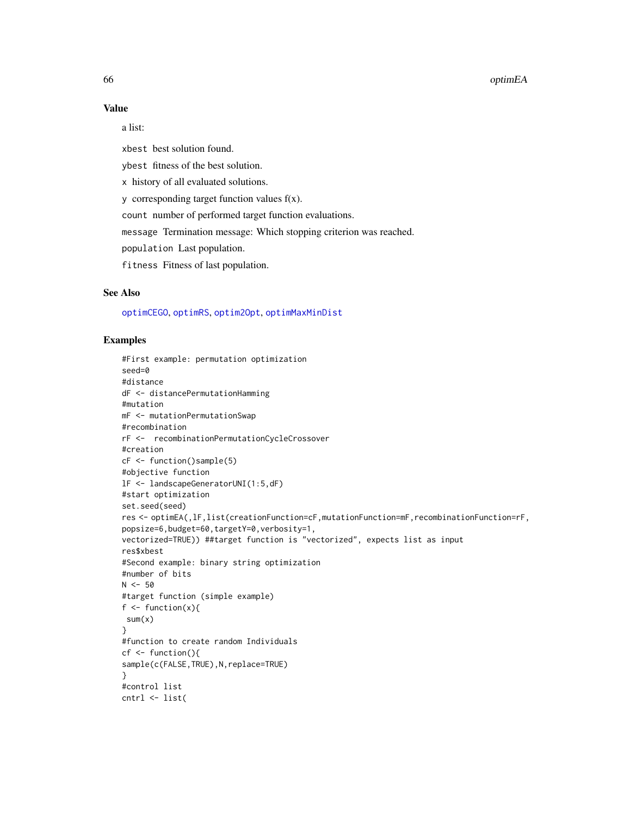#### 66 optimEA

### Value

a list:

xbest best solution found.

ybest fitness of the best solution.

x history of all evaluated solutions.

y corresponding target function values f(x).

count number of performed target function evaluations.

message Termination message: Which stopping criterion was reached.

population Last population.

fitness Fitness of last population.

## See Also

[optimCEGO](#page-61-0), [optimRS](#page-71-0), [optim2Opt](#page-59-0), [optimMaxMinDist](#page-67-0)

```
#First example: permutation optimization
seed=0
#distance
dF <- distancePermutationHamming
#mutation
mF <- mutationPermutationSwap
#recombination
rF <- recombinationPermutationCycleCrossover
#creation
cF <- function()sample(5)
#objective function
lF <- landscapeGeneratorUNI(1:5,dF)
#start optimization
set.seed(seed)
res <- optimEA(,lF,list(creationFunction=cF,mutationFunction=mF,recombinationFunction=rF,
popsize=6,budget=60,targetY=0,verbosity=1,
vectorized=TRUE)) ##target function is "vectorized", expects list as input
res$xbest
#Second example: binary string optimization
#number of bits
N < -50#target function (simple example)
f \leftarrow function(x){
 sum(x)
}
#function to create random Individuals
cf < - function(){
sample(c(FALSE,TRUE),N,replace=TRUE)
}
#control list
cntrl <- list(
```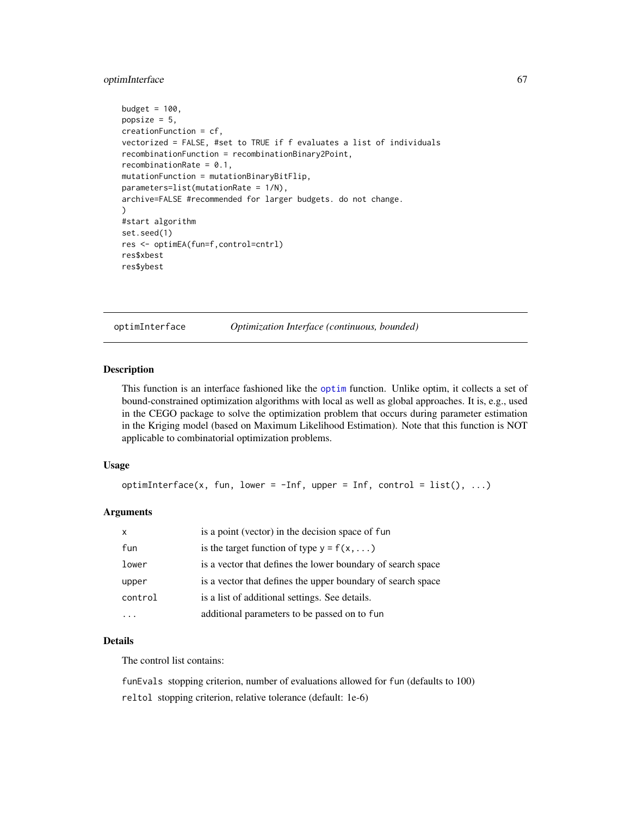## optimInterface 67

```
budget = 100,
popsize = 5,
creationFunction = cf,
vectorized = FALSE, #set to TRUE if f evaluates a list of individuals
recombinationFunction = recombinationBinary2Point,
recombinationRate = 0.1,
mutationFunction = mutationBinaryBitFlip,
parameters=list(mutationRate = 1/N),
archive=FALSE #recommended for larger budgets. do not change.
\lambda#start algorithm
set.seed(1)
res <- optimEA(fun=f,control=cntrl)
res$xbest
res$ybest
```
<span id="page-66-0"></span>optimInterface *Optimization Interface (continuous, bounded)*

#### Description

This function is an interface fashioned like the [optim](#page-0-0) function. Unlike optim, it collects a set of bound-constrained optimization algorithms with local as well as global approaches. It is, e.g., used in the CEGO package to solve the optimization problem that occurs during parameter estimation in the Kriging model (based on Maximum Likelihood Estimation). Note that this function is NOT applicable to combinatorial optimization problems.

## Usage

```
optimInterface(x, fun, lower = -Inf, upper = Inf, control = list(), ...)
```
#### Arguments

| $\boldsymbol{\mathsf{x}}$ | is a point (vector) in the decision space of fun            |
|---------------------------|-------------------------------------------------------------|
| fun                       | is the target function of type $y = f(x, \dots)$            |
| lower                     | is a vector that defines the lower boundary of search space |
| upper                     | is a vector that defines the upper boundary of search space |
| control                   | is a list of additional settings. See details.              |
|                           | additional parameters to be passed on to fun                |

## Details

The control list contains:

funEvals stopping criterion, number of evaluations allowed for fun (defaults to 100) reltol stopping criterion, relative tolerance (default: 1e-6)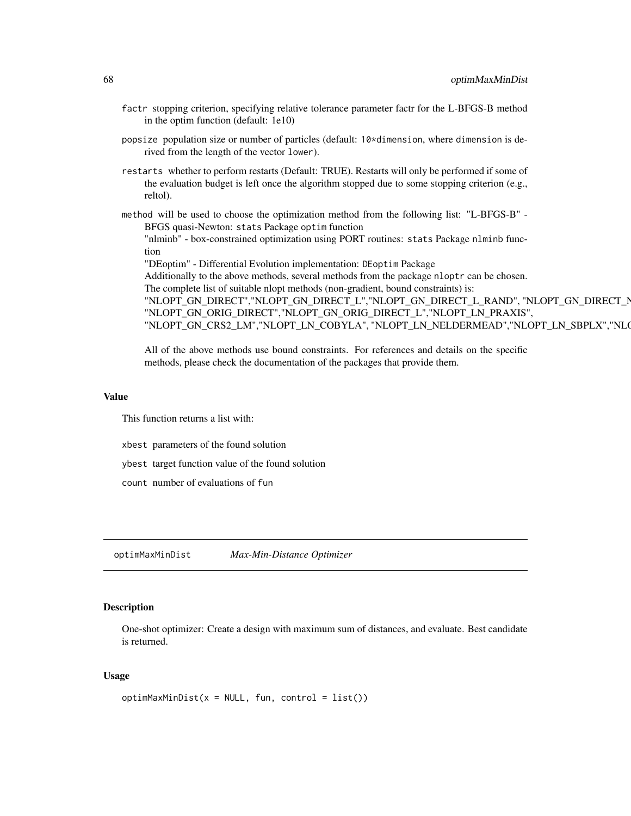- factr stopping criterion, specifying relative tolerance parameter factr for the L-BFGS-B method in the optim function (default: 1e10)
- popsize population size or number of particles (default: 10\*dimension, where dimension is derived from the length of the vector lower).
- restarts whether to perform restarts (Default: TRUE). Restarts will only be performed if some of the evaluation budget is left once the algorithm stopped due to some stopping criterion (e.g., reltol).
- method will be used to choose the optimization method from the following list: "L-BFGS-B" BFGS quasi-Newton: stats Package optim function

"nlminb" - box-constrained optimization using PORT routines: stats Package nlminb function

"DEoptim" - Differential Evolution implementation: DEoptim Package

Additionally to the above methods, several methods from the package nloptr can be chosen. The complete list of suitable nlopt methods (non-gradient, bound constraints) is:

"NLOPT\_GN\_DIRECT","NLOPT\_GN\_DIRECT\_L","NLOPT\_GN\_DIRECT\_L\_RAND", "NLOPT\_GN\_DIRECT\_N "NLOPT\_GN\_ORIG\_DIRECT","NLOPT\_GN\_ORIG\_DIRECT\_L","NLOPT\_LN\_PRAXIS", "NLOPT\_GN\_CRS2\_LM","NLOPT\_LN\_COBYLA", "NLOPT\_LN\_NELDERMEAD","NLOPT\_LN\_SBPLX","NLO

All of the above methods use bound constraints. For references and details on the specific methods, please check the documentation of the packages that provide them.

#### Value

This function returns a list with:

- xbest parameters of the found solution
- ybest target function value of the found solution
- count number of evaluations of fun

<span id="page-67-0"></span>optimMaxMinDist *Max-Min-Distance Optimizer*

### Description

One-shot optimizer: Create a design with maximum sum of distances, and evaluate. Best candidate is returned.

#### Usage

```
optimMaxMinDist(x = NULL, fun, control = list())
```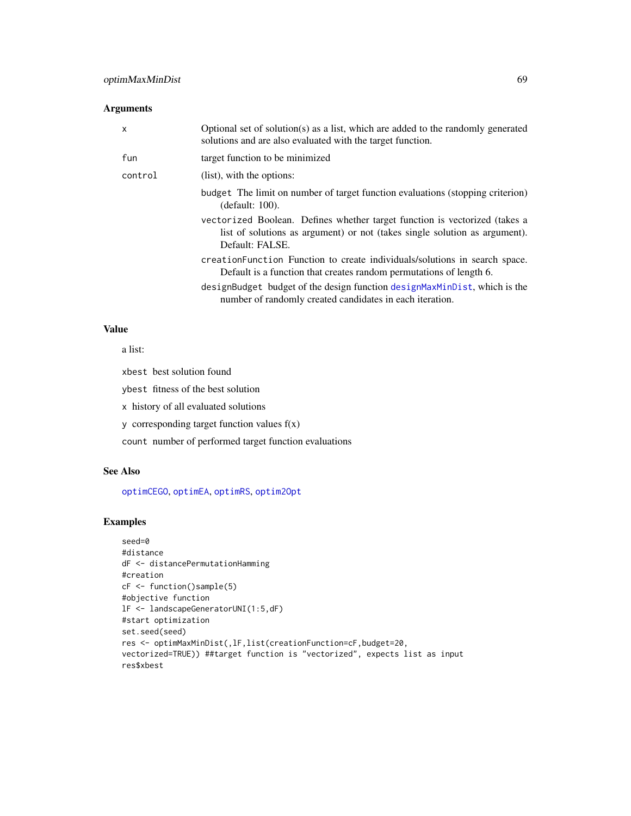### Arguments

| x       | Optional set of solution(s) as a list, which are added to the randomly generated<br>solutions and are also evaluated with the target function.                              |
|---------|-----------------------------------------------------------------------------------------------------------------------------------------------------------------------------|
| fun     | target function to be minimized                                                                                                                                             |
| control | (list), with the options:                                                                                                                                                   |
|         | budget The limit on number of target function evaluations (stopping criterion)<br>(default: 100).                                                                           |
|         | vectorized Boolean. Defines whether target function is vectorized (takes a<br>list of solutions as argument) or not (takes single solution as argument).<br>Default: FALSE. |
|         | creation Function Function to create individuals/solutions in search space.<br>Default is a function that creates random permutations of length 6.                          |
|         | designBudget budget of the design function designMaxMinDist, which is the<br>number of randomly created candidates in each iteration.                                       |

## Value

a list:

xbest best solution found

ybest fitness of the best solution

x history of all evaluated solutions

y corresponding target function values f(x)

count number of performed target function evaluations

### See Also

[optimCEGO](#page-61-0), [optimEA](#page-63-0), [optimRS](#page-71-0), [optim2Opt](#page-59-0)

```
seed=0
#distance
dF <- distancePermutationHamming
#creation
cF <- function()sample(5)
#objective function
lF <- landscapeGeneratorUNI(1:5,dF)
#start optimization
set.seed(seed)
res <- optimMaxMinDist(,lF,list(creationFunction=cF,budget=20,
vectorized=TRUE)) ##target function is "vectorized", expects list as input
res$xbest
```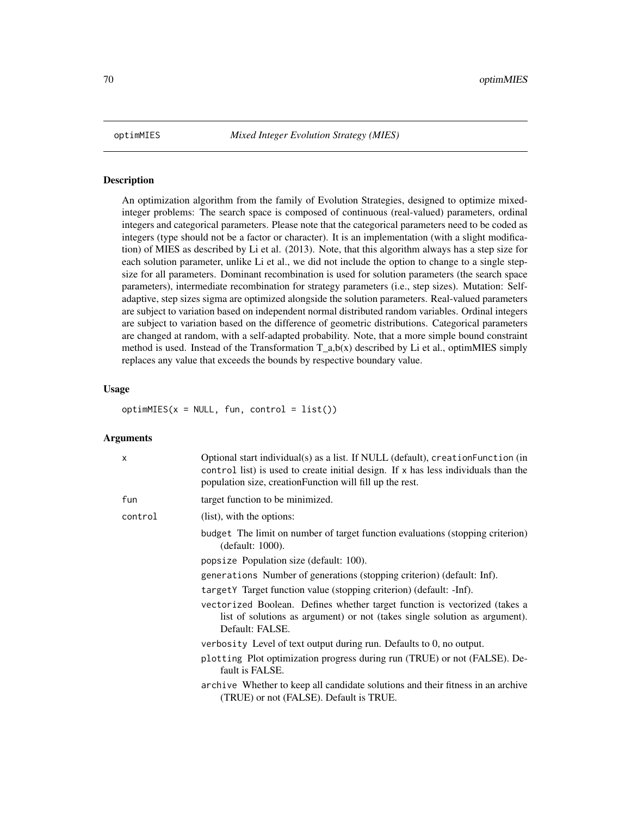### **Description**

An optimization algorithm from the family of Evolution Strategies, designed to optimize mixedinteger problems: The search space is composed of continuous (real-valued) parameters, ordinal integers and categorical parameters. Please note that the categorical parameters need to be coded as integers (type should not be a factor or character). It is an implementation (with a slight modification) of MIES as described by Li et al. (2013). Note, that this algorithm always has a step size for each solution parameter, unlike Li et al., we did not include the option to change to a single stepsize for all parameters. Dominant recombination is used for solution parameters (the search space parameters), intermediate recombination for strategy parameters (i.e., step sizes). Mutation: Selfadaptive, step sizes sigma are optimized alongside the solution parameters. Real-valued parameters are subject to variation based on independent normal distributed random variables. Ordinal integers are subject to variation based on the difference of geometric distributions. Categorical parameters are changed at random, with a self-adapted probability. Note, that a more simple bound constraint method is used. Instead of the Transformation T\_a,b(x) described by Li et al., optimMIES simply replaces any value that exceeds the bounds by respective boundary value.

### Usage

 $optimMIES(x = NULL, fun, control = list())$ 

| X       | Optional start individual(s) as a list. If NULL (default), creation Function (in<br>control list) is used to create initial design. If x has less individuals than the<br>population size, creationFunction will fill up the rest. |
|---------|------------------------------------------------------------------------------------------------------------------------------------------------------------------------------------------------------------------------------------|
| fun     | target function to be minimized.                                                                                                                                                                                                   |
| control | (list), with the options:                                                                                                                                                                                                          |
|         | budget The limit on number of target function evaluations (stopping criterion)<br>(default: 1000).                                                                                                                                 |
|         | popsize Population size (default: 100).                                                                                                                                                                                            |
|         | generations Number of generations (stopping criterion) (default: Inf).                                                                                                                                                             |
|         | targetY Target function value (stopping criterion) (default: -Inf).                                                                                                                                                                |
|         | vectorized Boolean. Defines whether target function is vectorized (takes a<br>list of solutions as argument) or not (takes single solution as argument).<br>Default: FALSE.                                                        |
|         | verbosity Level of text output during run. Defaults to $0$ , no output.                                                                                                                                                            |
|         | plotting Plot optimization progress during run (TRUE) or not (FALSE). De-<br>fault is FALSE.                                                                                                                                       |
|         | archive Whether to keep all candidate solutions and their fitness in an archive<br>(TRUE) or not (FALSE). Default is TRUE.                                                                                                         |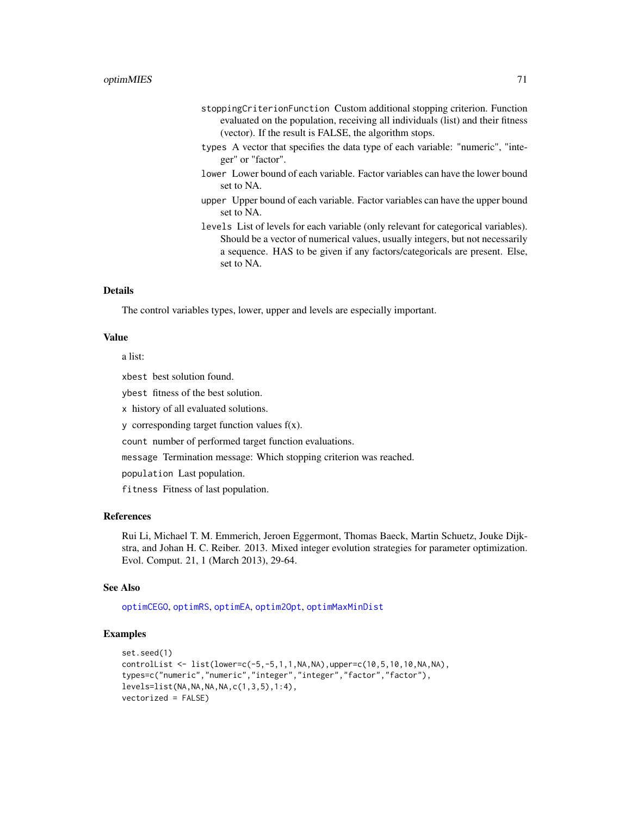- stoppingCriterionFunction Custom additional stopping criterion. Function evaluated on the population, receiving all individuals (list) and their fitness (vector). If the result is FALSE, the algorithm stops.
- types A vector that specifies the data type of each variable: "numeric", "integer" or "factor".
- lower Lower bound of each variable. Factor variables can have the lower bound set to NA.
- upper Upper bound of each variable. Factor variables can have the upper bound set to NA.
- levels List of levels for each variable (only relevant for categorical variables). Should be a vector of numerical values, usually integers, but not necessarily a sequence. HAS to be given if any factors/categoricals are present. Else, set to NA.

#### Details

The control variables types, lower, upper and levels are especially important.

#### Value

a list:

xbest best solution found.

ybest fitness of the best solution.

x history of all evaluated solutions.

y corresponding target function values f(x).

count number of performed target function evaluations.

message Termination message: Which stopping criterion was reached.

population Last population.

fitness Fitness of last population.

#### References

Rui Li, Michael T. M. Emmerich, Jeroen Eggermont, Thomas Baeck, Martin Schuetz, Jouke Dijkstra, and Johan H. C. Reiber. 2013. Mixed integer evolution strategies for parameter optimization. Evol. Comput. 21, 1 (March 2013), 29-64.

#### See Also

[optimCEGO](#page-61-0), [optimRS](#page-71-0), [optimEA](#page-63-0), [optim2Opt](#page-59-0), [optimMaxMinDist](#page-67-0)

```
set.seed(1)
controlList <- list(lower=c(-5,-5,1,1,NA,NA),upper=c(10,5,10,10,NA,NA),
types=c("numeric","numeric","integer","integer","factor","factor"),
levels = list(NA, NA, NA, NA, c(1, 3, 5), 1:4),vectorized = FALSE)
```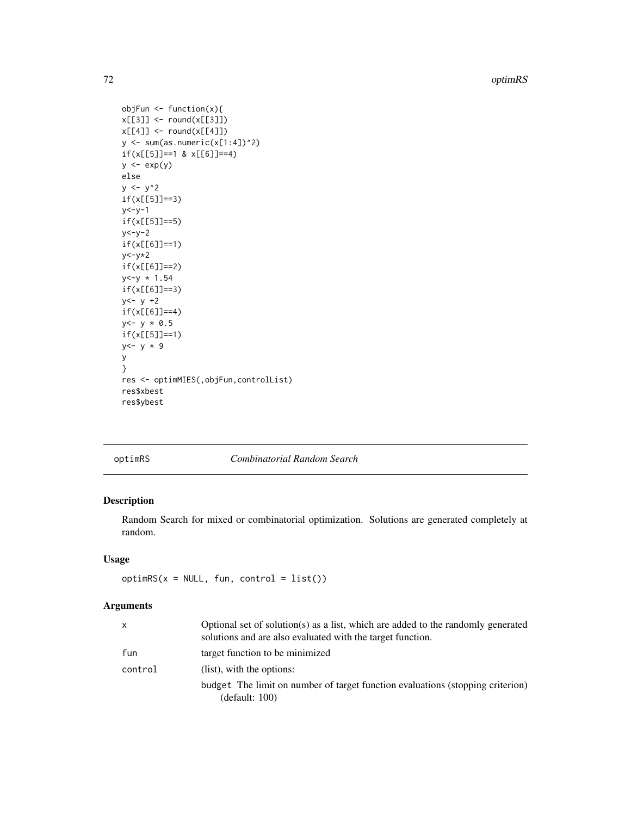72 optimRS

```
objFun \leq function(x){
x[[3]] <- round(x[[3]])
x[[4]] \leftarrow \text{round}(x[[4]])y \leftarrow sum(as.numeric(x[1:4])^2)if(x[[5]] == 1 & x[[6]] == 4)y \leftarrow \exp(y)else
y \le -y^2if(x[[5]]==3)
y < -y-1if(x[[5]]==5)
y < -y-2if(x[[6]]==1)
y < -y * 2if(x[[6]]==2)
y < -y * 1.54if(x[[6]]==3)
y < -y +2if(x[[6]]==4)
y < -y * 0.5if(x[[5]]==1)
y < -y * 9y
}
res <- optimMIES(,objFun,controlList)
res$xbest
res$ybest
```
<span id="page-71-0"></span>optimRS *Combinatorial Random Search*

# Description

Random Search for mixed or combinatorial optimization. Solutions are generated completely at random.

### Usage

```
optimRS(x = NULL, fun, control = list())
```

| X       | Optional set of solution(s) as a list, which are added to the randomly generated<br>solutions and are also evaluated with the target function. |
|---------|------------------------------------------------------------------------------------------------------------------------------------------------|
| fun     | target function to be minimized                                                                                                                |
| control | (list), with the options:                                                                                                                      |
|         | budget The limit on number of target function evaluations (stopping criterion)<br>(default: 100)                                               |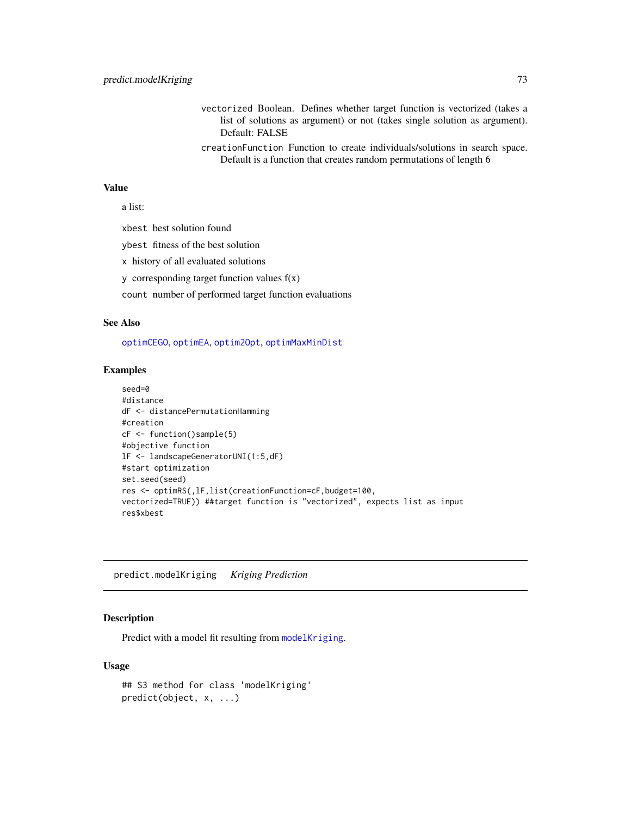- <span id="page-72-1"></span>vectorized Boolean. Defines whether target function is vectorized (takes a list of solutions as argument) or not (takes single solution as argument). Default: FALSE
- creationFunction Function to create individuals/solutions in search space. Default is a function that creates random permutations of length 6

a list:

xbest best solution found

ybest fitness of the best solution

x history of all evaluated solutions

y corresponding target function values  $f(x)$ 

count number of performed target function evaluations

#### See Also

[optimCEGO](#page-61-0), [optimEA](#page-63-0), [optim2Opt](#page-59-0), [optimMaxMinDist](#page-67-0)

#### Examples

```
seed=0
#distance
dF <- distancePermutationHamming
#creation
cF <- function()sample(5)
#objective function
lF <- landscapeGeneratorUNI(1:5,dF)
#start optimization
set.seed(seed)
res <- optimRS(,lF,list(creationFunction=cF,budget=100,
vectorized=TRUE)) ##target function is "vectorized", expects list as input
res$xbest
```
<span id="page-72-0"></span>predict.modelKriging *Kriging Prediction*

# Description

Predict with a model fit resulting from [modelKriging](#page-46-0).

#### Usage

```
## S3 method for class 'modelKriging'
predict(object, x, ...)
```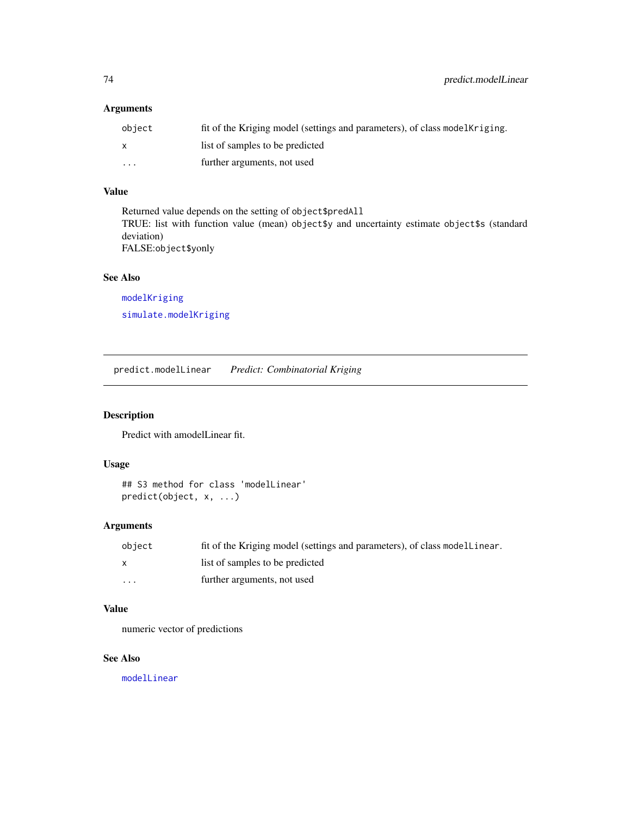# <span id="page-73-0"></span>Arguments

| object       | fit of the Kriging model (settings and parameters), of class model Kriging. |
|--------------|-----------------------------------------------------------------------------|
| $\mathsf{x}$ | list of samples to be predicted                                             |
| $\cdots$     | further arguments, not used                                                 |

# Value

Returned value depends on the setting of object\$predAll TRUE: list with function value (mean) object\$y and uncertainty estimate object\$s (standard deviation) FALSE:object\$yonly

## See Also

[modelKriging](#page-46-0) [simulate.modelKriging](#page-81-0)

predict.modelLinear *Predict: Combinatorial Kriging*

# Description

Predict with amodelLinear fit.

# Usage

```
## S3 method for class 'modelLinear'
predict(object, x, ...)
```
# Arguments

| object       | fit of the Kriging model (settings and parameters), of class modellinear. |
|--------------|---------------------------------------------------------------------------|
| $\mathsf{x}$ | list of samples to be predicted                                           |
| .            | further arguments, not used                                               |

# Value

numeric vector of predictions

# See Also

[modelLinear](#page-49-0)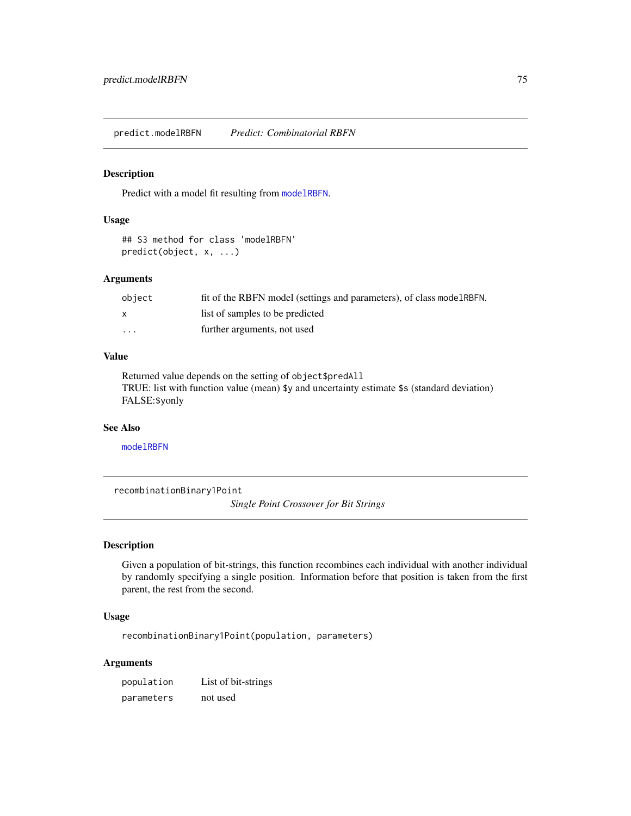<span id="page-74-0"></span>predict.modelRBFN *Predict: Combinatorial RBFN*

#### Description

Predict with a model fit resulting from [modelRBFN](#page-50-0).

## Usage

```
## S3 method for class 'modelRBFN'
predict(object, x, ...)
```
# Arguments

| obiect                  | fit of the RBFN model (settings and parameters), of class model RBFN. |
|-------------------------|-----------------------------------------------------------------------|
| X                       | list of samples to be predicted                                       |
| $\cdot$ $\cdot$ $\cdot$ | further arguments, not used                                           |

## Value

Returned value depends on the setting of object\$predAll TRUE: list with function value (mean) \$y and uncertainty estimate \$s (standard deviation) FALSE:\$yonly

## See Also

[modelRBFN](#page-50-0)

recombinationBinary1Point

*Single Point Crossover for Bit Strings*

# Description

Given a population of bit-strings, this function recombines each individual with another individual by randomly specifying a single position. Information before that position is taken from the first parent, the rest from the second.

## Usage

recombinationBinary1Point(population, parameters)

| population | List of bit-strings |
|------------|---------------------|
| parameters | not used            |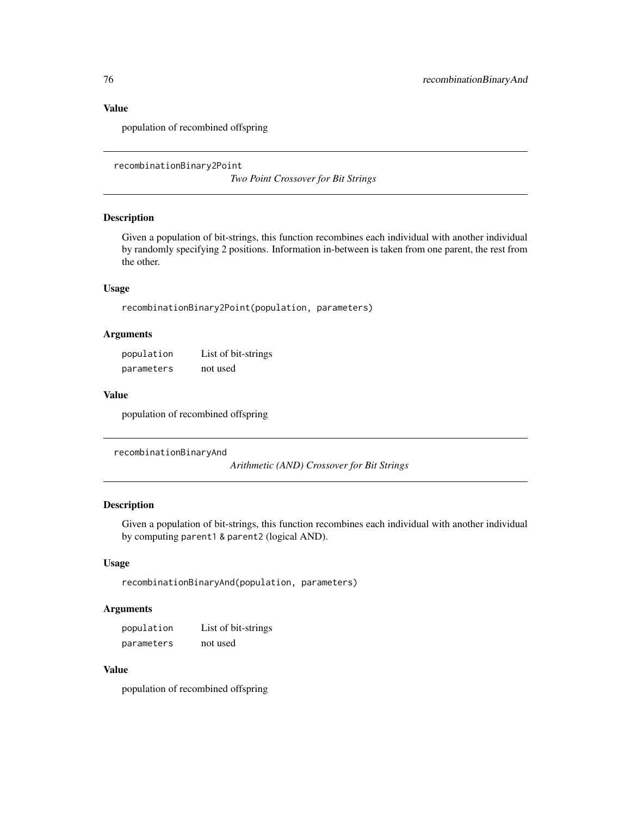population of recombined offspring

recombinationBinary2Point

*Two Point Crossover for Bit Strings*

#### Description

Given a population of bit-strings, this function recombines each individual with another individual by randomly specifying 2 positions. Information in-between is taken from one parent, the rest from the other.

# Usage

```
recombinationBinary2Point(population, parameters)
```
# Arguments

| population | List of bit-strings |
|------------|---------------------|
| parameters | not used            |

## Value

population of recombined offspring

```
recombinationBinaryAnd
```
*Arithmetic (AND) Crossover for Bit Strings*

# Description

Given a population of bit-strings, this function recombines each individual with another individual by computing parent1 & parent2 (logical AND).

#### Usage

```
recombinationBinaryAnd(population, parameters)
```
## Arguments

population List of bit-strings parameters not used

# Value

population of recombined offspring

<span id="page-75-0"></span>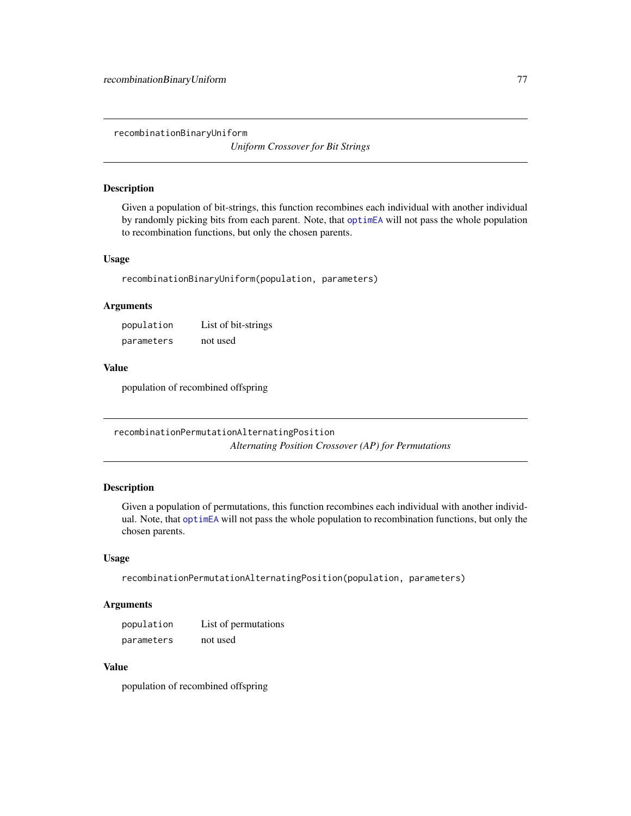<span id="page-76-0"></span>recombinationBinaryUniform

*Uniform Crossover for Bit Strings*

## Description

Given a population of bit-strings, this function recombines each individual with another individual by randomly picking bits from each parent. Note, that [optimEA](#page-63-0) will not pass the whole population to recombination functions, but only the chosen parents.

#### Usage

recombinationBinaryUniform(population, parameters)

## Arguments

| population | List of bit-strings |  |
|------------|---------------------|--|
| parameters | not used            |  |

## Value

population of recombined offspring

recombinationPermutationAlternatingPosition *Alternating Position Crossover (AP) for Permutations*

# Description

Given a population of permutations, this function recombines each individual with another individual. Note, that [optimEA](#page-63-0) will not pass the whole population to recombination functions, but only the chosen parents.

## Usage

recombinationPermutationAlternatingPosition(population, parameters)

## Arguments

| population | List of permutations |
|------------|----------------------|
| parameters | not used             |

## Value

population of recombined offspring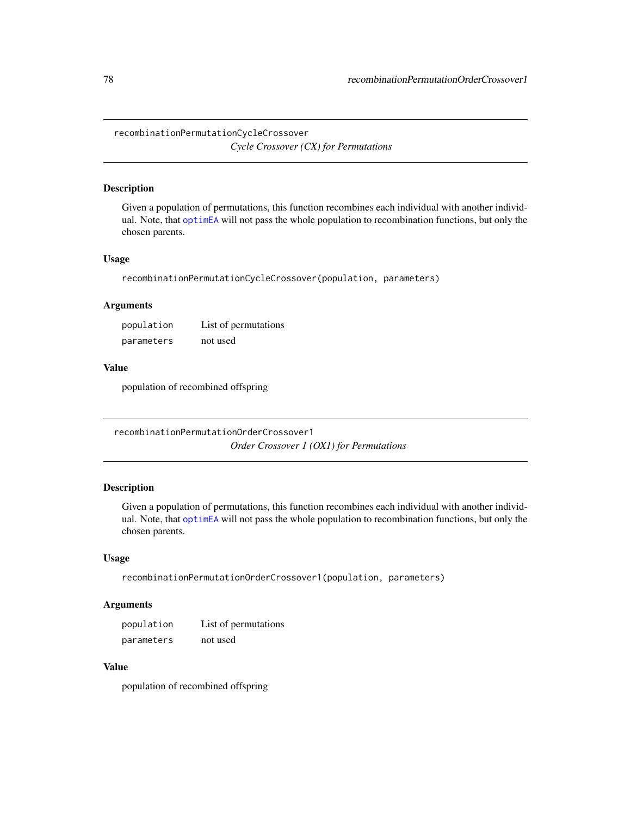<span id="page-77-0"></span>recombinationPermutationCycleCrossover

*Cycle Crossover (CX) for Permutations*

# Description

Given a population of permutations, this function recombines each individual with another individual. Note, that [optimEA](#page-63-0) will not pass the whole population to recombination functions, but only the chosen parents.

## Usage

recombinationPermutationCycleCrossover(population, parameters)

# Arguments

| population | List of permutations |
|------------|----------------------|
| parameters | not used             |

## Value

population of recombined offspring

recombinationPermutationOrderCrossover1 *Order Crossover 1 (OX1) for Permutations*

# Description

Given a population of permutations, this function recombines each individual with another individual. Note, that [optimEA](#page-63-0) will not pass the whole population to recombination functions, but only the chosen parents.

#### Usage

recombinationPermutationOrderCrossover1(population, parameters)

## Arguments

| population | List of permutations |
|------------|----------------------|
| parameters | not used             |

## Value

population of recombined offspring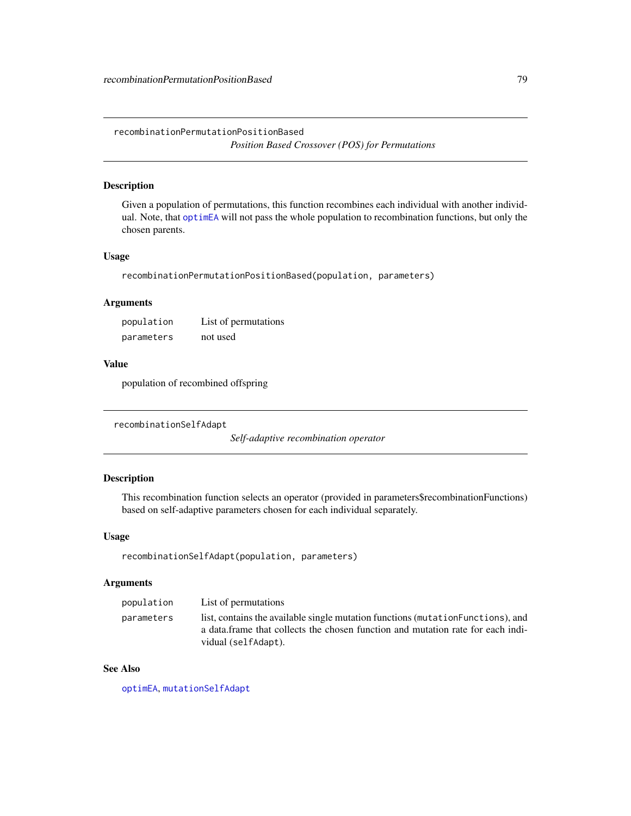<span id="page-78-0"></span>recombinationPermutationPositionBased *Position Based Crossover (POS) for Permutations*

# Description

Given a population of permutations, this function recombines each individual with another individual. Note, that [optimEA](#page-63-0) will not pass the whole population to recombination functions, but only the chosen parents.

#### Usage

recombinationPermutationPositionBased(population, parameters)

#### Arguments

population List of permutations parameters not used

# Value

population of recombined offspring

```
recombinationSelfAdapt
```
*Self-adaptive recombination operator*

## Description

This recombination function selects an operator (provided in parameters\$recombinationFunctions) based on self-adaptive parameters chosen for each individual separately.

#### Usage

```
recombinationSelfAdapt(population, parameters)
```
# Arguments

| population | List of permutations                                                                                                                                                                       |
|------------|--------------------------------------------------------------------------------------------------------------------------------------------------------------------------------------------|
| parameters | list, contains the available single mutation functions (mutation Functions), and<br>a data frame that collects the chosen function and mutation rate for each indi-<br>vidual (selfAdapt). |

# See Also

[optimEA](#page-63-0), [mutationSelfAdapt](#page-56-0)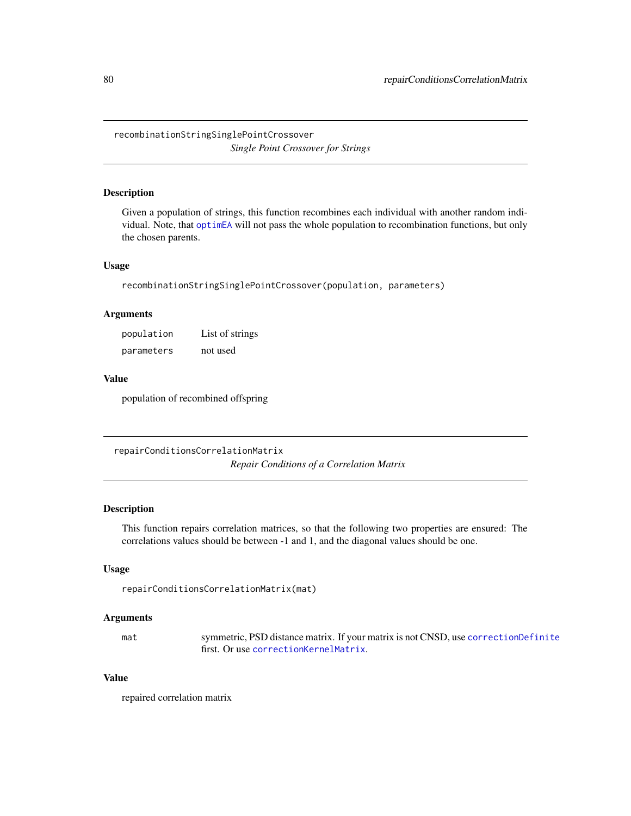<span id="page-79-1"></span>recombinationStringSinglePointCrossover *Single Point Crossover for Strings*

## **Description**

Given a population of strings, this function recombines each individual with another random individual. Note, that [optimEA](#page-63-0) will not pass the whole population to recombination functions, but only the chosen parents.

#### Usage

recombinationStringSinglePointCrossover(population, parameters)

## Arguments

population List of strings parameters not used

## Value

population of recombined offspring

<span id="page-79-0"></span>repairConditionsCorrelationMatrix *Repair Conditions of a Correlation Matrix*

## Description

This function repairs correlation matrices, so that the following two properties are ensured: The correlations values should be between -1 and 1, and the diagonal values should be one.

#### Usage

```
repairConditionsCorrelationMatrix(mat)
```
#### Arguments

mat symmetric, PSD distance matrix. If your matrix is not CNSD, use [correctionDefinite](#page-11-0) first. Or use [correctionKernelMatrix](#page-13-0).

# Value

repaired correlation matrix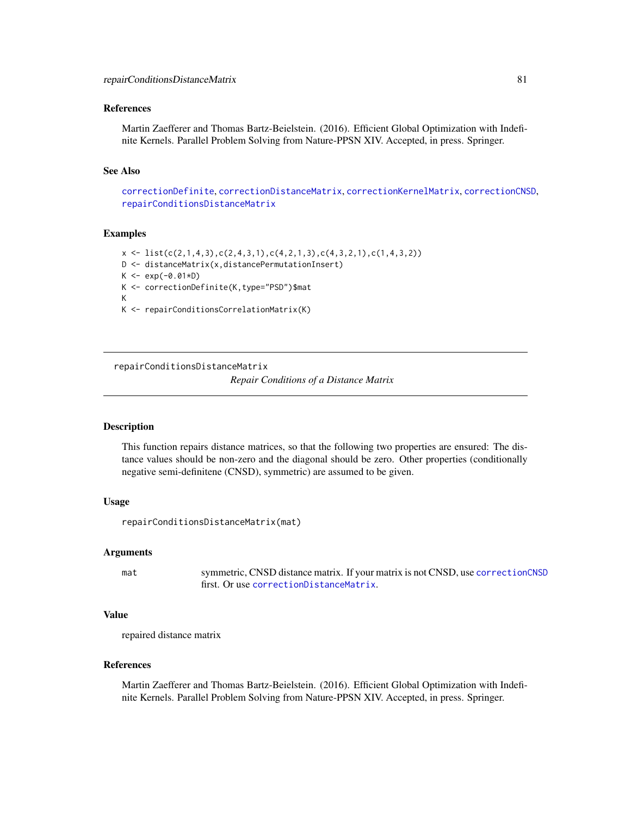#### <span id="page-80-1"></span>References

Martin Zaefferer and Thomas Bartz-Beielstein. (2016). Efficient Global Optimization with Indefinite Kernels. Parallel Problem Solving from Nature-PPSN XIV. Accepted, in press. Springer.

#### See Also

[correctionDefinite](#page-11-0), [correctionDistanceMatrix](#page-12-0), [correctionKernelMatrix](#page-13-0), [correctionCNSD](#page-10-0), [repairConditionsDistanceMatrix](#page-80-0)

#### Examples

```
x \leftarrow \text{list}(c(2,1,4,3), c(2,4,3,1), c(4,2,1,3), c(4,3,2,1), c(1,4,3,2))D <- distanceMatrix(x,distancePermutationInsert)
K < -exp(-0.01*D)K <- correctionDefinite(K,type="PSD")$mat
K
K <- repairConditionsCorrelationMatrix(K)
```
<span id="page-80-0"></span>repairConditionsDistanceMatrix

*Repair Conditions of a Distance Matrix*

#### Description

This function repairs distance matrices, so that the following two properties are ensured: The distance values should be non-zero and the diagonal should be zero. Other properties (conditionally negative semi-definitene (CNSD), symmetric) are assumed to be given.

#### Usage

```
repairConditionsDistanceMatrix(mat)
```
#### Arguments

mat symmetric, CNSD distance matrix. If your matrix is not CNSD, use [correctionCNSD](#page-10-0) first. Or use [correctionDistanceMatrix](#page-12-0).

#### Value

repaired distance matrix

## References

Martin Zaefferer and Thomas Bartz-Beielstein. (2016). Efficient Global Optimization with Indefinite Kernels. Parallel Problem Solving from Nature-PPSN XIV. Accepted, in press. Springer.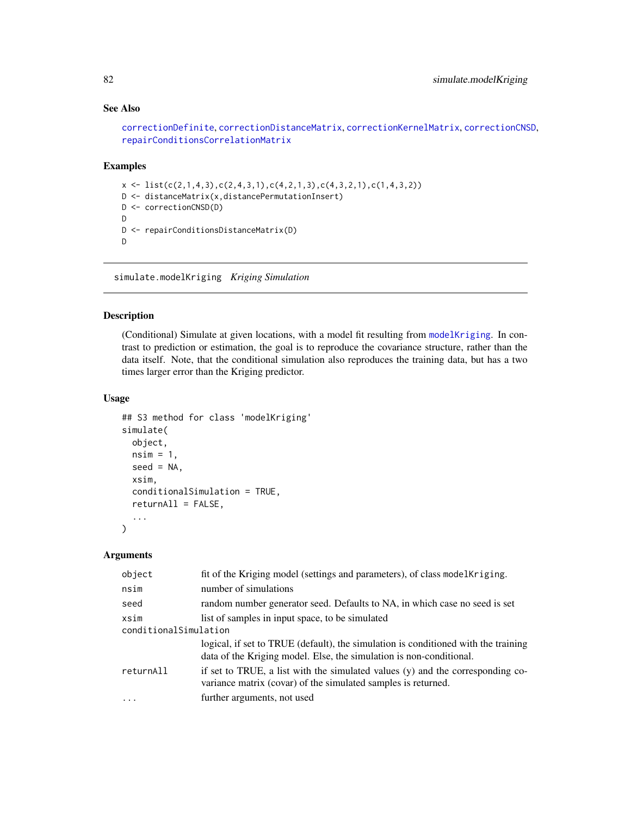# See Also

```
correctionDefinite, correctionDistanceMatrix, correctionKernelMatrix, correctionCNSD,
repairConditionsCorrelationMatrix
```
## Examples

```
x \leftarrow \text{list}(c(2,1,4,3), c(2,4,3,1), c(4,2,1,3), c(4,3,2,1), c(1,4,3,2))D <- distanceMatrix(x,distancePermutationInsert)
D <- correctionCNSD(D)
D
D <- repairConditionsDistanceMatrix(D)
D
```
<span id="page-81-0"></span>simulate.modelKriging *Kriging Simulation*

## Description

(Conditional) Simulate at given locations, with a model fit resulting from [modelKriging](#page-46-0). In contrast to prediction or estimation, the goal is to reproduce the covariance structure, rather than the data itself. Note, that the conditional simulation also reproduces the training data, but has a two times larger error than the Kriging predictor.

# Usage

```
## S3 method for class 'modelKriging'
simulate(
 object,
 nsim = 1,
  seed = NA,
  xsim,
  conditionalSimulation = TRUE,
  returnAll = FALSE,
  ...
)
```

| object                | fit of the Kriging model (settings and parameters), of class model Kriging.                                                                               |
|-----------------------|-----------------------------------------------------------------------------------------------------------------------------------------------------------|
| nsim                  | number of simulations                                                                                                                                     |
| seed                  | random number generator seed. Defaults to NA, in which case no seed is set                                                                                |
| xsim                  | list of samples in input space, to be simulated                                                                                                           |
| conditionalSimulation |                                                                                                                                                           |
|                       | logical, if set to TRUE (default), the simulation is conditioned with the training<br>data of the Kriging model. Else, the simulation is non-conditional. |
| returnAll             | if set to TRUE, a list with the simulated values (y) and the corresponding co-<br>variance matrix (covar) of the simulated samples is returned.           |
| $\cdots$              | further arguments, not used                                                                                                                               |

<span id="page-81-1"></span>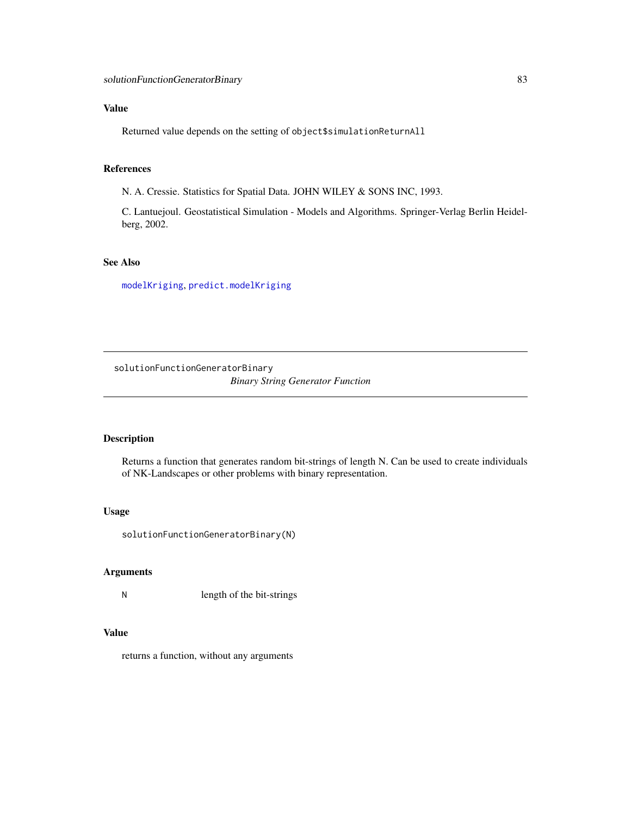<span id="page-82-0"></span>Returned value depends on the setting of object\$simulationReturnAll

# References

N. A. Cressie. Statistics for Spatial Data. JOHN WILEY & SONS INC, 1993.

C. Lantuejoul. Geostatistical Simulation - Models and Algorithms. Springer-Verlag Berlin Heidelberg, 2002.

# See Also

[modelKriging](#page-46-0), [predict.modelKriging](#page-72-0)

solutionFunctionGeneratorBinary *Binary String Generator Function*

## Description

Returns a function that generates random bit-strings of length N. Can be used to create individuals of NK-Landscapes or other problems with binary representation.

#### Usage

solutionFunctionGeneratorBinary(N)

# Arguments

N length of the bit-strings

## Value

returns a function, without any arguments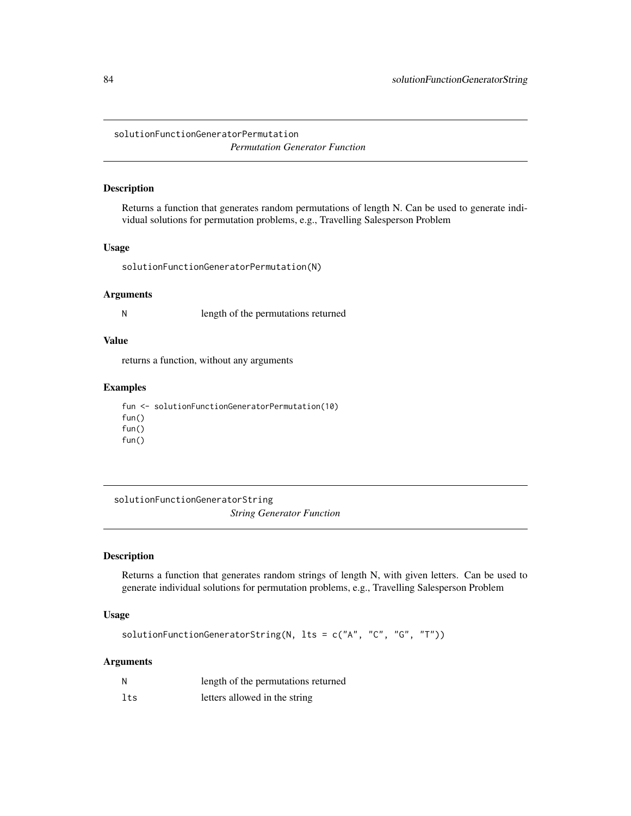<span id="page-83-0"></span>solutionFunctionGeneratorPermutation *Permutation Generator Function*

## Description

Returns a function that generates random permutations of length N. Can be used to generate individual solutions for permutation problems, e.g., Travelling Salesperson Problem

## Usage

solutionFunctionGeneratorPermutation(N)

## Arguments

N length of the permutations returned

## Value

returns a function, without any arguments

## Examples

fun <- solutionFunctionGeneratorPermutation(10) fun() fun() fun()

solutionFunctionGeneratorString *String Generator Function*

# Description

Returns a function that generates random strings of length N, with given letters. Can be used to generate individual solutions for permutation problems, e.g., Travelling Salesperson Problem

#### Usage

solutionFunctionGeneratorString(N, lts = c("A", "C", "G", "T"))

| N   | length of the permutations returned |
|-----|-------------------------------------|
| lts | letters allowed in the string       |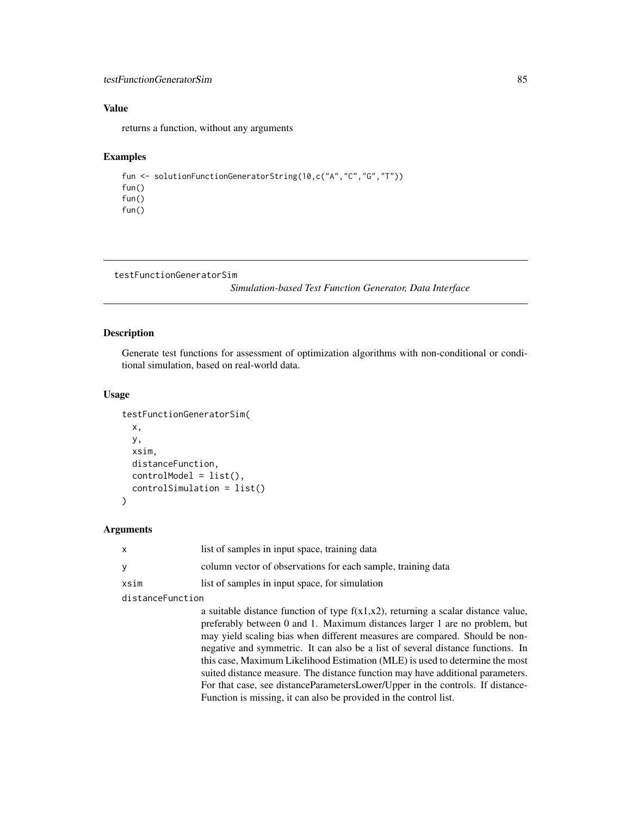## <span id="page-84-0"></span>testFunctionGeneratorSim 85

# Value

returns a function, without any arguments

## Examples

```
fun <- solutionFunctionGeneratorString(10,c("A","C","G","T"))
fun()
fun()
fun()
```

```
testFunctionGeneratorSim
```
*Simulation-based Test Function Generator, Data Interface*

# Description

Generate test functions for assessment of optimization algorithms with non-conditional or conditional simulation, based on real-world data.

## Usage

```
testFunctionGeneratorSim(
 x,
 y,
  xsim,
 distanceFunction,
 controlModel = list(),
  controlSimulation = list()
)
```

| $\mathsf{x}$     | list of samples in input space, training data                                                                                                                                                                                                                                                                                                                                                                                                                                                                                                                                                                                                                 |
|------------------|---------------------------------------------------------------------------------------------------------------------------------------------------------------------------------------------------------------------------------------------------------------------------------------------------------------------------------------------------------------------------------------------------------------------------------------------------------------------------------------------------------------------------------------------------------------------------------------------------------------------------------------------------------------|
| У                | column vector of observations for each sample, training data                                                                                                                                                                                                                                                                                                                                                                                                                                                                                                                                                                                                  |
| xsim             | list of samples in input space, for simulation                                                                                                                                                                                                                                                                                                                                                                                                                                                                                                                                                                                                                |
| distanceFunction |                                                                                                                                                                                                                                                                                                                                                                                                                                                                                                                                                                                                                                                               |
|                  | a suitable distance function of type $f(x1,x2)$ , returning a scalar distance value,<br>preferably between 0 and 1. Maximum distances larger 1 are no problem, but<br>may yield scaling bias when different measures are compared. Should be non-<br>negative and symmetric. It can also be a list of several distance functions. In<br>this case, Maximum Likelihood Estimation (MLE) is used to determine the most<br>suited distance measure. The distance function may have additional parameters.<br>For that case, see distanceParametersLower/Upper in the controls. If distance-<br>Function is missing, it can also be provided in the control list. |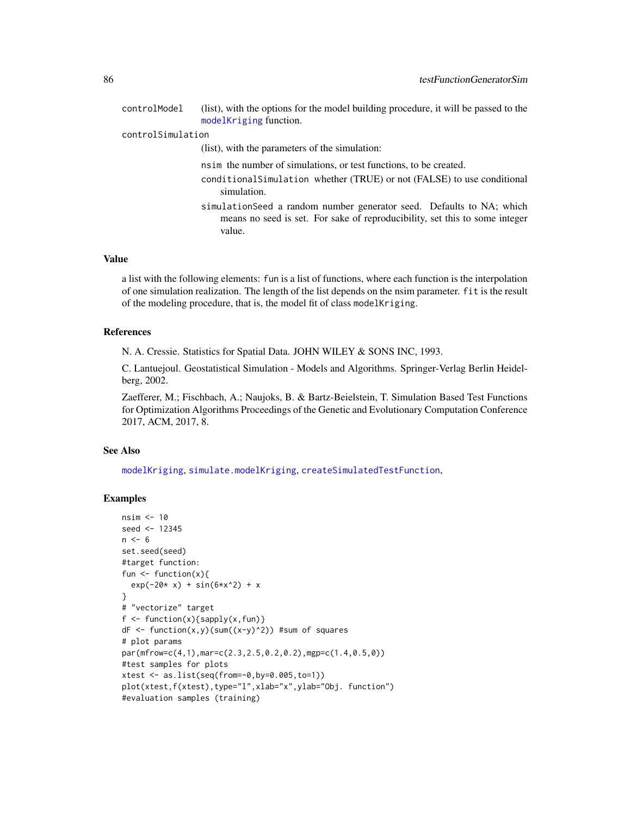<span id="page-85-0"></span>

| (list), with the options for the model building procedure, it will be passed to the<br>modelKriging function.                                                  |
|----------------------------------------------------------------------------------------------------------------------------------------------------------------|
| controlSimulation                                                                                                                                              |
| (list), with the parameters of the simulation:                                                                                                                 |
| nsim the number of simulations, or test functions, to be created.                                                                                              |
| conditional Simulation whether (TRUE) or not (FALSE) to use conditional<br>simulation.                                                                         |
| simulation Seed a random number generator seed. Defaults to NA; which<br>means no seed is set. For sake of reproducibility, set this to some integer<br>value. |
|                                                                                                                                                                |

a list with the following elements: fun is a list of functions, where each function is the interpolation of one simulation realization. The length of the list depends on the nsim parameter. fit is the result of the modeling procedure, that is, the model fit of class modelKriging.

#### References

N. A. Cressie. Statistics for Spatial Data. JOHN WILEY & SONS INC, 1993.

C. Lantuejoul. Geostatistical Simulation - Models and Algorithms. Springer-Verlag Berlin Heidelberg, 2002.

Zaefferer, M.; Fischbach, A.; Naujoks, B. & Bartz-Beielstein, T. Simulation Based Test Functions for Optimization Algorithms Proceedings of the Genetic and Evolutionary Computation Conference 2017, ACM, 2017, 8.

## See Also

[modelKriging](#page-46-0), [simulate.modelKriging](#page-81-0), [createSimulatedTestFunction](#page-14-0),

# Examples

```
nsim <- 10
seed <- 12345
n \le -6set.seed(seed)
#target function:
fun \leftarrow function(x){
  exp(-20* x) + sin(6*x^2) + x}
# "vectorize" target
f \leftarrow function(x){sapply(x,fun)}
dF \leftarrow function(x,y)(sum((x-y)^2)) #sum of squares
# plot params
par(mfrow=c(4,1),mar=c(2.3,2.5,0.2,0.2),mgp=c(1.4,0.5,0))
#test samples for plots
xtest <- as.list(seq(from=-0,by=0.005,to=1))
plot(xtest,f(xtest),type="l",xlab="x",ylab="Obj. function")
#evaluation samples (training)
```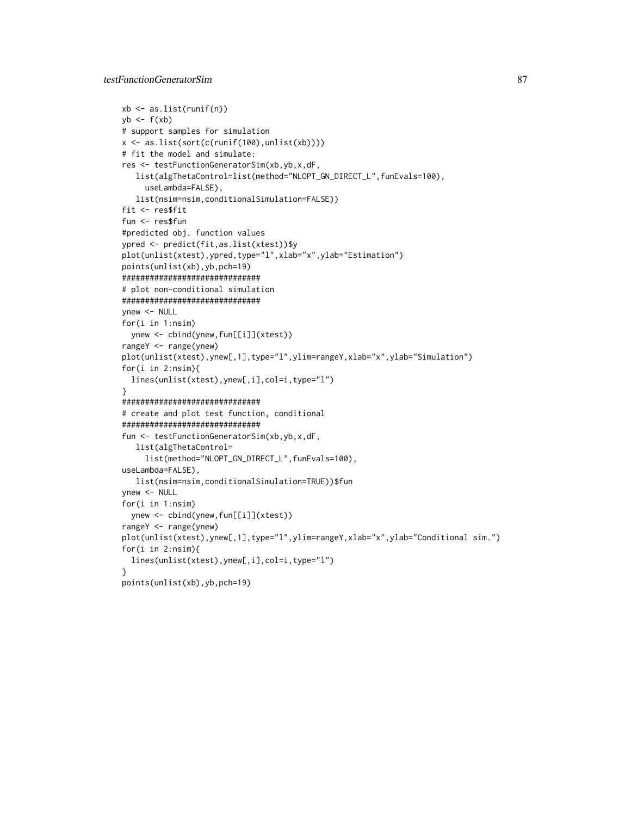```
xb \leftarrow as.list(runif(n))yb \leftarrow f(xb)# support samples for simulation
x <- as.list(sort(c(runif(100),unlist(xb))))
# fit the model and simulate:
res <- testFunctionGeneratorSim(xb,yb,x,dF,
  list(algThetaControl=list(method="NLOPT_GN_DIRECT_L",funEvals=100),
     useLambda=FALSE),
   list(nsim=nsim,conditionalSimulation=FALSE))
fit <- res$fit
fun <- res$fun
#predicted obj. function values
ypred <- predict(fit,as.list(xtest))$y
plot(unlist(xtest),ypred,type="l",xlab="x",ylab="Estimation")
points(unlist(xb),yb,pch=19)
##############################
# plot non-conditional simulation
##############################
ynew <- NULL
for(i in 1:nsim)
 ynew <- cbind(ynew,fun[[i]](xtest))
rangeY <- range(ynew)
plot(unlist(xtest),ynew[,1],type="l",ylim=rangeY,xlab="x",ylab="Simulation")
for(i in 2:nsim){
  lines(unlist(xtest),ynew[,i],col=i,type="l")
}
##############################
# create and plot test function, conditional
##############################
fun <- testFunctionGeneratorSim(xb,yb,x,dF,
   list(algThetaControl=
     list(method="NLOPT_GN_DIRECT_L",funEvals=100),
useLambda=FALSE),
   list(nsim=nsim,conditionalSimulation=TRUE))$fun
ynew <- NULL
for(i in 1:nsim)
  ynew <- cbind(ynew,fun[[i]](xtest))
rangeY <- range(ynew)
plot(unlist(xtest),ynew[,1],type="l",ylim=rangeY,xlab="x",ylab="Conditional sim.")
for(i in 2:nsim){
  lines(unlist(xtest),ynew[,i],col=i,type="l")
}
points(unlist(xb),yb,pch=19)
```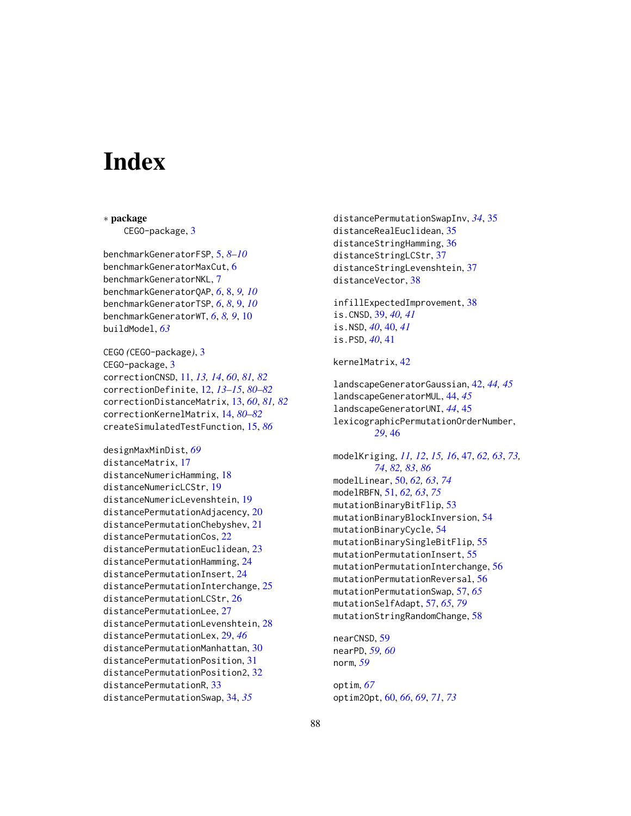# **Index**

∗ package CEGO-package, [3](#page-2-0) benchmarkGeneratorFSP, [5,](#page-4-0) *[8–](#page-7-0)[10](#page-9-0)* benchmarkGeneratorMaxCut, [6](#page-5-0) benchmarkGeneratorNKL, [7](#page-6-0) benchmarkGeneratorQAP, *[6](#page-5-0)*, [8,](#page-7-0) *[9,](#page-8-0) [10](#page-9-0)*

benchmarkGeneratorTSP, *[6](#page-5-0)*, *[8](#page-7-0)*, [9,](#page-8-0) *[10](#page-9-0)* benchmarkGeneratorWT, *[6](#page-5-0)*, *[8,](#page-7-0) [9](#page-8-0)*, [10](#page-9-0) buildModel, *[63](#page-62-0)*

CEGO *(*CEGO-package*)*, [3](#page-2-0) CEGO-package, [3](#page-2-0) correctionCNSD, [11,](#page-10-1) *[13,](#page-12-1) [14](#page-13-1)*, *[60](#page-59-1)*, *[81,](#page-80-1) [82](#page-81-1)* correctionDefinite, [12,](#page-11-1) *[13–](#page-12-1)[15](#page-14-1)*, *[80–](#page-79-1)[82](#page-81-1)* correctionDistanceMatrix, [13,](#page-12-1) *[60](#page-59-1)*, *[81,](#page-80-1) [82](#page-81-1)* correctionKernelMatrix, [14,](#page-13-1) *[80–](#page-79-1)[82](#page-81-1)* createSimulatedTestFunction, [15,](#page-14-1) *[86](#page-85-0)*

```
designMaxMinDist, 69
distanceMatrix, 17
distanceNumericHamming, 18
distanceNumericLCStr, 19
distanceNumericLevenshtein, 19
20
distancePermutationChebyshev, 21
distancePermutationCos, 22
distancePermutationEuclidean, 23
distancePermutationHamming, 24
distancePermutationInsert, 24
distancePermutationInterchange, 25
distancePermutationLCStr, 26
distancePermutationLee, 27
distancePermutationLevenshtein, 28
distancePermutationLex, 29, 46
distancePermutationManhattan, 30
distancePermutationPosition, 31
distancePermutationPosition2, 32
distancePermutationR, 33
distancePermutationSwap, 34, 35
```
distancePermutationSwapInv, *[34](#page-33-0)*, [35](#page-34-0) distanceRealEuclidean, [35](#page-34-0) distanceStringHamming, [36](#page-35-0) distanceStringLCStr, [37](#page-36-0) distanceStringLevenshtein, [37](#page-36-0) distanceVector, [38](#page-37-0) infillExpectedImprovement, [38](#page-37-0) is.CNSD, [39,](#page-38-0) *[40,](#page-39-0) [41](#page-40-0)* is.NSD, *[40](#page-39-0)*, [40,](#page-39-0) *[41](#page-40-0)* is.PSD, *[40](#page-39-0)*, [41](#page-40-0) kernelMatrix, [42](#page-41-0) landscapeGeneratorGaussian, [42,](#page-41-0) *[44,](#page-43-0) [45](#page-44-0)* landscapeGeneratorMUL, [44,](#page-43-0) *[45](#page-44-0)* landscapeGeneratorUNI, *[44](#page-43-0)*, [45](#page-44-0) lexicographicPermutationOrderNumber, *[29](#page-28-0)*, [46](#page-45-0) modelKriging, *[11,](#page-10-1) [12](#page-11-1)*, *[15,](#page-14-1) [16](#page-15-0)*, [47,](#page-46-1) *[62,](#page-61-1) [63](#page-62-0)*, *[73,](#page-72-1) [74](#page-73-0)*, *[82,](#page-81-1) [83](#page-82-0)*, *[86](#page-85-0)* modelLinear, [50,](#page-49-1) *[62,](#page-61-1) [63](#page-62-0)*, *[74](#page-73-0)* modelRBFN, [51,](#page-50-1) *[62,](#page-61-1) [63](#page-62-0)*, *[75](#page-74-0)* mutationBinaryBitFlip, [53](#page-52-0) mutationBinaryBlockInversion, [54](#page-53-0) mutationBinaryCycle, [54](#page-53-0) mutationBinarySingleBitFlip, [55](#page-54-0) mutationPermutationInsert, [55](#page-54-0) mutationPermutationInterchange, [56](#page-55-0) mutationPermutationReversal, [56](#page-55-0) mutationPermutationSwap, [57,](#page-56-1) *[65](#page-64-0)* mutationSelfAdapt, [57,](#page-56-1) *[65](#page-64-0)*, *[79](#page-78-0)* mutationStringRandomChange, [58](#page-57-0) nearCNSD, [59](#page-58-0) nearPD, *[59,](#page-58-0) [60](#page-59-1)*

optim, *[67](#page-66-0)* optim2Opt, [60,](#page-59-1) *[66](#page-65-0)*, *[69](#page-68-0)*, *[71](#page-70-0)*, *[73](#page-72-1)*

norm, *[59](#page-58-0)*